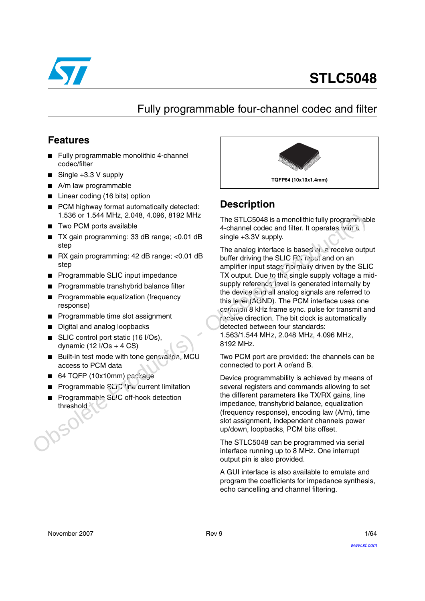

# **STLC5048**

# Fully programmable four-channel codec and filter

## **Features**

- Fully programmable monolithic 4-channel codec/filter
- Single +3.3 V supply
- A/m law programmable
- Linear coding (16 bits) option
- PCM highway format automatically detected: 1.536 or 1.544 MHz, 2.048, 4.096, 8192 MHz
- Two PCM ports available
- TX gain programming: 33 dB range; <0.01 dB step
- RX gain programming: 42 dB range: <0.01 dB sten
- Programmable SLIC input impedance
- Programmable transhybrid balance filter
- Programmable equalization (frequency response)
- Programmable time slot assignment
- Digital and analog loopbacks
- SLIC control port static (16 I/Os), dynamic  $(12 \text{ I/Os} + 4 \text{ CS})$
- Built-in test mode with tone generation, MCU access to PCM data
- $64$  TQFP (10x10mm) papirage
- **Programmable SLIC line current limitation**
- Programmable SL<sup>I</sup>C off-hook detection threshold



## **Description**

The STLC5048 is a monolithic fully programmable 4-channel codec and filter. It operates which a single +3.3V supply.

The analog interface is based on a receive output buffer driving the SLIC RX input and on an amplifier input stage normally driven by the SLIC TX output. Due to the single supply voltage a midsupply reference level is generated internally by the device and all analog signals are referred to this level (AGND). The PCM interface uses one common 8 kHz frame sync. pulse for transmit and receive direction. The bit clock is automatically detected between four standards: 1.563/1.544 MHz, 2.048 MHz, 4.096 MHz, 8192 MHz. 1.536 or 1.544 MHz, 2.048, 4.096, 8192 MHz<br>
The STLCS048 is a monolithic fully programmable<br>
TV gian programming: 33 dB range; <0.01 dB<br>
Single +3.3V supply.<br>
Step and codes and iffer it operates witi z<br>
Determining: 42 d

Two PCM port are provided: the channels can be connected to port A or/and B.

Device programmability is achieved by means of several registers and commands allowing to set the different parameters like TX/RX gains, line impedance, transhybrid balance, equalization (frequency response), encoding law (A/m), time slot assignment, independent channels power up/down, loopbacks, PCM bits offset.

The STLC5048 can be programmed via serial interface running up to 8 MHz. One interrupt output pin is also provided.

A GUI interface is also available to emulate and program the coefficients for impedance synthesis, echo cancelling and channel filtering.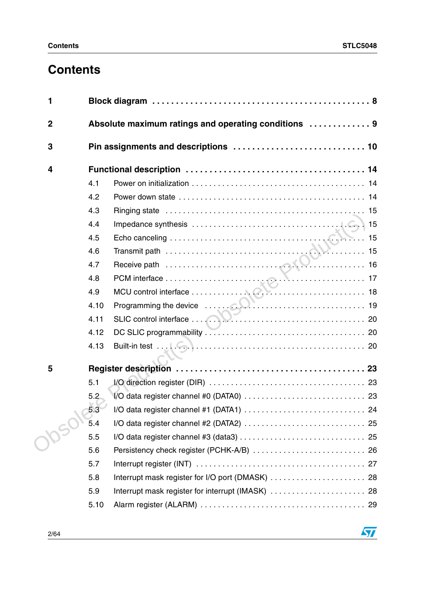# **Contents**

| 1              |      |                                                      |  |
|----------------|------|------------------------------------------------------|--|
| $\overline{2}$ |      | Absolute maximum ratings and operating conditions  9 |  |
| 3              |      | Pin assignments and descriptions  10                 |  |
| 4              |      |                                                      |  |
|                | 4.1  |                                                      |  |
|                | 4.2  |                                                      |  |
|                | 4.3  |                                                      |  |
|                | 4.4  |                                                      |  |
|                | 4.5  |                                                      |  |
|                | 4.6  | Transmit path $\frac{1}{15}$                         |  |
|                | 4.7  |                                                      |  |
|                | 4.8  |                                                      |  |
|                | 4.9  |                                                      |  |
|                | 4.10 |                                                      |  |
|                | 4.11 |                                                      |  |
|                | 4.12 |                                                      |  |
|                | 4.13 |                                                      |  |
| 5              |      |                                                      |  |
|                | 5.1  |                                                      |  |
|                | 5.2  |                                                      |  |
|                | 5.3  |                                                      |  |
|                | 5.4  |                                                      |  |
|                | 5.5  |                                                      |  |
|                | 5.6  |                                                      |  |
|                | 5.7  |                                                      |  |
|                | 5.8  |                                                      |  |
|                | 5.9  | Interrupt mask register for interrupt (IMASK)  28    |  |
|                | 5.10 |                                                      |  |

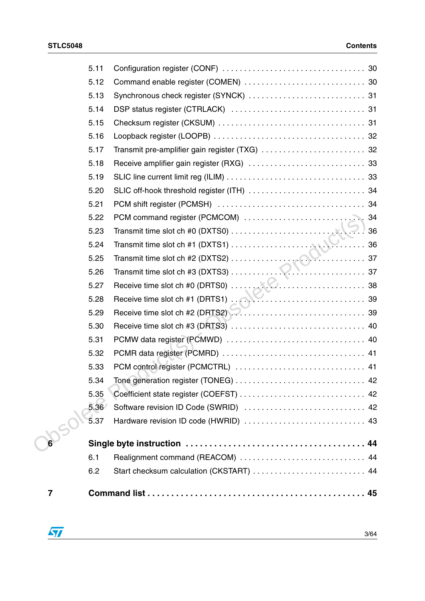|   | 5.11 |                                          |  |
|---|------|------------------------------------------|--|
|   | 5.12 |                                          |  |
|   | 5.13 |                                          |  |
|   | 5.14 |                                          |  |
|   | 5.15 |                                          |  |
|   | 5.16 |                                          |  |
|   | 5.17 |                                          |  |
|   | 5.18 |                                          |  |
|   | 5.19 |                                          |  |
|   | 5.20 |                                          |  |
|   | 5.21 |                                          |  |
|   | 5.22 |                                          |  |
|   | 5.23 |                                          |  |
|   | 5.24 |                                          |  |
|   | 5.25 |                                          |  |
|   | 5.26 |                                          |  |
|   | 5.27 |                                          |  |
|   | 5.28 |                                          |  |
|   | 5.29 |                                          |  |
|   | 5.30 |                                          |  |
|   | 5.31 |                                          |  |
|   | 5.32 |                                          |  |
|   | 5.33 |                                          |  |
|   | 5.34 |                                          |  |
|   | 5.35 |                                          |  |
|   | 5.36 | Software revision ID Code (SWRID)  42    |  |
|   | 5.37 | Hardware revision ID code (HWRID)  43    |  |
|   |      |                                          |  |
|   | 6.1  | Realignment command (REACOM)  44         |  |
|   | 6.2  | Start checksum calculation (CKSTART)  44 |  |
| 7 |      |                                          |  |

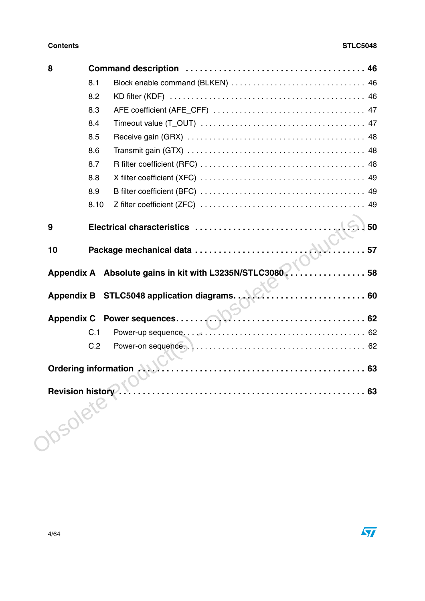| 8  |      |                                                                  |  |
|----|------|------------------------------------------------------------------|--|
|    | 8.1  |                                                                  |  |
|    | 8.2  |                                                                  |  |
|    | 8.3  |                                                                  |  |
|    | 8.4  |                                                                  |  |
|    | 8.5  |                                                                  |  |
|    | 8.6  |                                                                  |  |
|    | 8.7  |                                                                  |  |
|    | 8.8  |                                                                  |  |
|    | 8.9  |                                                                  |  |
|    | 8.10 |                                                                  |  |
| 9  |      |                                                                  |  |
| 10 |      | . 57                                                             |  |
|    |      | Appendix A Absolute gains in kit with L3235N/STLC3080  58        |  |
|    |      | Appendix B STLC5048 application diagrams. New Construction of 60 |  |
|    |      |                                                                  |  |
|    | C.1  |                                                                  |  |
|    |      |                                                                  |  |
|    |      |                                                                  |  |
|    |      |                                                                  |  |
|    |      | Revision history. (ORIGIN: 1999)                                 |  |

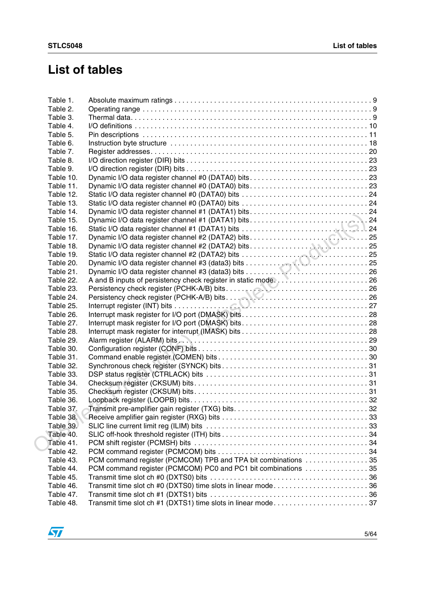# **List of tables**

| Table 2.<br>Table 3.<br>Table 4.<br>Table 5.<br>Table 6.<br>Table 7.<br>Table 8.<br>Table 9.<br>Table 10.<br>Table 11.<br>Table 12.<br>Table 13.<br>Table 14.<br>Table 15.<br>Table 16.<br>Table 17.<br>Table 18.<br>Table 19.<br>Table 20.<br>Table 21.<br>A and B inputs of persistency check register in static mode26<br>Table 22.<br>Table 23.<br>Table 24.<br>Table 25.<br>Table 26.<br>Table 27.<br>Table 28.<br>Table 29.<br>Table 30.<br>Table 31.<br>Table 32.<br>Table 33.<br>Table 34.<br>Table 35.<br>Table 36.<br>Table 37.<br>Table 38.<br>Table 39.<br>Table 40.<br>Table 41.<br>Table 42.<br>PCM command register (PCMCOM) TPB and TPA bit combinations 35<br>Table 43.<br>PCM command register (PCMCOM) PC0 and PC1 bit combinations 35<br>Table 44.<br>Table 45.<br>Transmit time slot ch #0 (DXTS0) time slots in linear mode36<br>Table 46.<br>Table 47.<br>Transmit time slot ch #1 (DXTS1) time slots in linear mode37<br>Table 48. | Table 1. |  |
|------------------------------------------------------------------------------------------------------------------------------------------------------------------------------------------------------------------------------------------------------------------------------------------------------------------------------------------------------------------------------------------------------------------------------------------------------------------------------------------------------------------------------------------------------------------------------------------------------------------------------------------------------------------------------------------------------------------------------------------------------------------------------------------------------------------------------------------------------------------------------------------------------------------------------------------------------------|----------|--|
|                                                                                                                                                                                                                                                                                                                                                                                                                                                                                                                                                                                                                                                                                                                                                                                                                                                                                                                                                            |          |  |
|                                                                                                                                                                                                                                                                                                                                                                                                                                                                                                                                                                                                                                                                                                                                                                                                                                                                                                                                                            |          |  |
|                                                                                                                                                                                                                                                                                                                                                                                                                                                                                                                                                                                                                                                                                                                                                                                                                                                                                                                                                            |          |  |
|                                                                                                                                                                                                                                                                                                                                                                                                                                                                                                                                                                                                                                                                                                                                                                                                                                                                                                                                                            |          |  |
|                                                                                                                                                                                                                                                                                                                                                                                                                                                                                                                                                                                                                                                                                                                                                                                                                                                                                                                                                            |          |  |
|                                                                                                                                                                                                                                                                                                                                                                                                                                                                                                                                                                                                                                                                                                                                                                                                                                                                                                                                                            |          |  |
|                                                                                                                                                                                                                                                                                                                                                                                                                                                                                                                                                                                                                                                                                                                                                                                                                                                                                                                                                            |          |  |
|                                                                                                                                                                                                                                                                                                                                                                                                                                                                                                                                                                                                                                                                                                                                                                                                                                                                                                                                                            |          |  |
|                                                                                                                                                                                                                                                                                                                                                                                                                                                                                                                                                                                                                                                                                                                                                                                                                                                                                                                                                            |          |  |
|                                                                                                                                                                                                                                                                                                                                                                                                                                                                                                                                                                                                                                                                                                                                                                                                                                                                                                                                                            |          |  |
|                                                                                                                                                                                                                                                                                                                                                                                                                                                                                                                                                                                                                                                                                                                                                                                                                                                                                                                                                            |          |  |
|                                                                                                                                                                                                                                                                                                                                                                                                                                                                                                                                                                                                                                                                                                                                                                                                                                                                                                                                                            |          |  |
|                                                                                                                                                                                                                                                                                                                                                                                                                                                                                                                                                                                                                                                                                                                                                                                                                                                                                                                                                            |          |  |
|                                                                                                                                                                                                                                                                                                                                                                                                                                                                                                                                                                                                                                                                                                                                                                                                                                                                                                                                                            |          |  |
|                                                                                                                                                                                                                                                                                                                                                                                                                                                                                                                                                                                                                                                                                                                                                                                                                                                                                                                                                            |          |  |
|                                                                                                                                                                                                                                                                                                                                                                                                                                                                                                                                                                                                                                                                                                                                                                                                                                                                                                                                                            |          |  |
|                                                                                                                                                                                                                                                                                                                                                                                                                                                                                                                                                                                                                                                                                                                                                                                                                                                                                                                                                            |          |  |
|                                                                                                                                                                                                                                                                                                                                                                                                                                                                                                                                                                                                                                                                                                                                                                                                                                                                                                                                                            |          |  |
|                                                                                                                                                                                                                                                                                                                                                                                                                                                                                                                                                                                                                                                                                                                                                                                                                                                                                                                                                            |          |  |
|                                                                                                                                                                                                                                                                                                                                                                                                                                                                                                                                                                                                                                                                                                                                                                                                                                                                                                                                                            |          |  |
|                                                                                                                                                                                                                                                                                                                                                                                                                                                                                                                                                                                                                                                                                                                                                                                                                                                                                                                                                            |          |  |
|                                                                                                                                                                                                                                                                                                                                                                                                                                                                                                                                                                                                                                                                                                                                                                                                                                                                                                                                                            |          |  |
|                                                                                                                                                                                                                                                                                                                                                                                                                                                                                                                                                                                                                                                                                                                                                                                                                                                                                                                                                            |          |  |
|                                                                                                                                                                                                                                                                                                                                                                                                                                                                                                                                                                                                                                                                                                                                                                                                                                                                                                                                                            |          |  |
|                                                                                                                                                                                                                                                                                                                                                                                                                                                                                                                                                                                                                                                                                                                                                                                                                                                                                                                                                            |          |  |
|                                                                                                                                                                                                                                                                                                                                                                                                                                                                                                                                                                                                                                                                                                                                                                                                                                                                                                                                                            |          |  |
|                                                                                                                                                                                                                                                                                                                                                                                                                                                                                                                                                                                                                                                                                                                                                                                                                                                                                                                                                            |          |  |
|                                                                                                                                                                                                                                                                                                                                                                                                                                                                                                                                                                                                                                                                                                                                                                                                                                                                                                                                                            |          |  |
|                                                                                                                                                                                                                                                                                                                                                                                                                                                                                                                                                                                                                                                                                                                                                                                                                                                                                                                                                            |          |  |
|                                                                                                                                                                                                                                                                                                                                                                                                                                                                                                                                                                                                                                                                                                                                                                                                                                                                                                                                                            |          |  |
|                                                                                                                                                                                                                                                                                                                                                                                                                                                                                                                                                                                                                                                                                                                                                                                                                                                                                                                                                            |          |  |
|                                                                                                                                                                                                                                                                                                                                                                                                                                                                                                                                                                                                                                                                                                                                                                                                                                                                                                                                                            |          |  |
|                                                                                                                                                                                                                                                                                                                                                                                                                                                                                                                                                                                                                                                                                                                                                                                                                                                                                                                                                            |          |  |
|                                                                                                                                                                                                                                                                                                                                                                                                                                                                                                                                                                                                                                                                                                                                                                                                                                                                                                                                                            |          |  |
|                                                                                                                                                                                                                                                                                                                                                                                                                                                                                                                                                                                                                                                                                                                                                                                                                                                                                                                                                            |          |  |
|                                                                                                                                                                                                                                                                                                                                                                                                                                                                                                                                                                                                                                                                                                                                                                                                                                                                                                                                                            |          |  |
|                                                                                                                                                                                                                                                                                                                                                                                                                                                                                                                                                                                                                                                                                                                                                                                                                                                                                                                                                            |          |  |
|                                                                                                                                                                                                                                                                                                                                                                                                                                                                                                                                                                                                                                                                                                                                                                                                                                                                                                                                                            |          |  |
|                                                                                                                                                                                                                                                                                                                                                                                                                                                                                                                                                                                                                                                                                                                                                                                                                                                                                                                                                            |          |  |
|                                                                                                                                                                                                                                                                                                                                                                                                                                                                                                                                                                                                                                                                                                                                                                                                                                                                                                                                                            |          |  |
|                                                                                                                                                                                                                                                                                                                                                                                                                                                                                                                                                                                                                                                                                                                                                                                                                                                                                                                                                            |          |  |
|                                                                                                                                                                                                                                                                                                                                                                                                                                                                                                                                                                                                                                                                                                                                                                                                                                                                                                                                                            |          |  |
|                                                                                                                                                                                                                                                                                                                                                                                                                                                                                                                                                                                                                                                                                                                                                                                                                                                                                                                                                            |          |  |
|                                                                                                                                                                                                                                                                                                                                                                                                                                                                                                                                                                                                                                                                                                                                                                                                                                                                                                                                                            |          |  |
|                                                                                                                                                                                                                                                                                                                                                                                                                                                                                                                                                                                                                                                                                                                                                                                                                                                                                                                                                            |          |  |
|                                                                                                                                                                                                                                                                                                                                                                                                                                                                                                                                                                                                                                                                                                                                                                                                                                                                                                                                                            |          |  |
|                                                                                                                                                                                                                                                                                                                                                                                                                                                                                                                                                                                                                                                                                                                                                                                                                                                                                                                                                            |          |  |

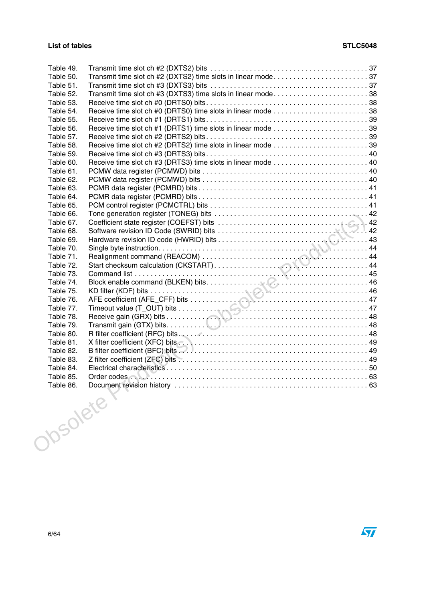| Table 49. |                                                              |    |
|-----------|--------------------------------------------------------------|----|
| Table 50. |                                                              |    |
| Table 51. |                                                              |    |
| Table 52. | Transmit time slot ch #3 (DXTS3) time slots in linear mode38 |    |
| Table 53. |                                                              |    |
| Table 54. |                                                              |    |
| Table 55. |                                                              |    |
| Table 56. |                                                              |    |
| Table 57. |                                                              |    |
| Table 58. |                                                              |    |
| Table 59. |                                                              |    |
| Table 60. |                                                              |    |
| Table 61. |                                                              |    |
| Table 62. |                                                              |    |
| Table 63. |                                                              |    |
| Table 64. |                                                              |    |
| Table 65. |                                                              |    |
| Table 66. |                                                              |    |
| Table 67. |                                                              |    |
| Table 68. |                                                              |    |
| Table 69. |                                                              |    |
| Table 70. |                                                              |    |
| Table 71. |                                                              |    |
| Table 72. |                                                              |    |
| Table 73. |                                                              |    |
| Table 74. |                                                              |    |
| Table 75. |                                                              |    |
| Table 76. |                                                              |    |
| Table 77. |                                                              |    |
| Table 78. |                                                              |    |
| Table 79. |                                                              |    |
| Table 80. |                                                              |    |
| Table 81. |                                                              |    |
| Table 82. |                                                              |    |
| Table 83. |                                                              |    |
| Table 84. |                                                              |    |
| Table 85. |                                                              |    |
| Table 86. | Document revision history                                    | 63 |
| Josolete  |                                                              |    |
|           |                                                              |    |

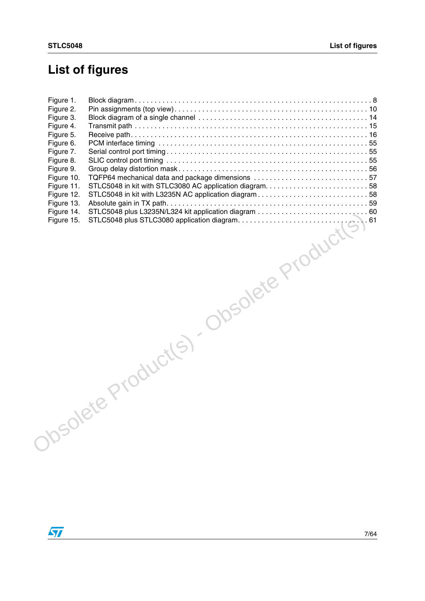# **List of figures**

| REPRIDENCE PRODUCTS |  |  |
|---------------------|--|--|
|                     |  |  |
|                     |  |  |
|                     |  |  |
|                     |  |  |

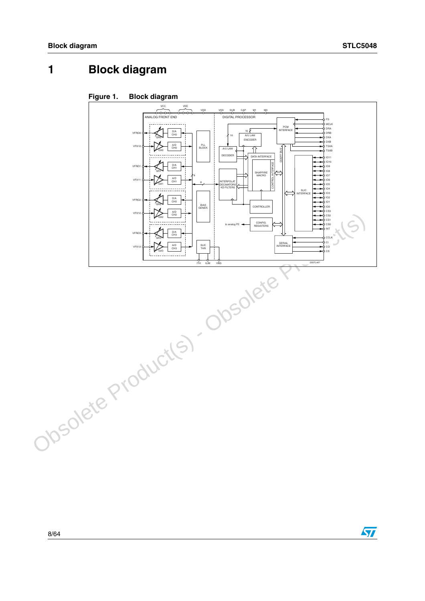# <span id="page-7-0"></span>**1 Block diagram**

<span id="page-7-1"></span>

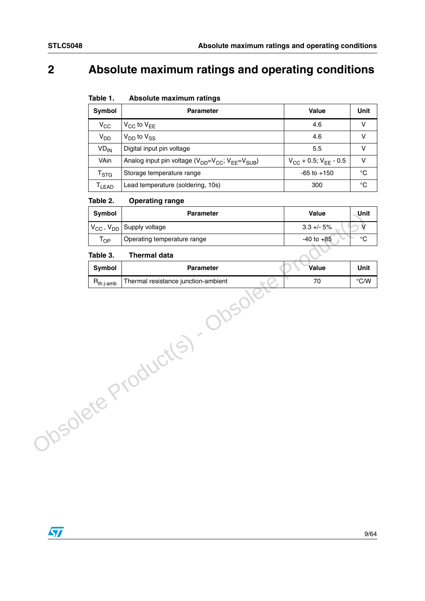# <span id="page-8-0"></span>**2 Absolute maximum ratings and operating conditions**

<span id="page-8-1"></span>

| Table 1. | Absolute maximum ratings |  |
|----------|--------------------------|--|
|----------|--------------------------|--|

| Symbol                      | <b>Parameter</b>                                                                                 | Value                                  | Unit |
|-----------------------------|--------------------------------------------------------------------------------------------------|----------------------------------------|------|
| $V_{CC}$                    | $V_{CC}$ to $V_{EE}$                                                                             | 4.6                                    |      |
| <b>V<sub>DD</sub></b>       | $V_{DD}$ to $V_{SS}$                                                                             | 4.6                                    |      |
| <b>VD<sub>IN</sub></b>      | Digital input pin voltage                                                                        | 5.5                                    | v    |
| VAin                        | Analog input pin voltage (V <sub>DD</sub> =V <sub>CC</sub> ; V <sub>EE</sub> =V <sub>SUB</sub> ) | $V_{\rm CC}$ + 0.5; $V_{\rm FF}$ - 0.5 | v    |
| $\mathsf{T}_{\textsf{STG}}$ | Storage temperature range                                                                        | $-65$ to $+150$                        | °C   |
| T <sub>LEAD</sub>           | Lead temperature (soldering, 10s)                                                                | 300                                    | ℃    |

#### <span id="page-8-2"></span>Table 2. **Operating range**

| Symbol                 | <b>Parameter</b>                    | Value          | Unit               |
|------------------------|-------------------------------------|----------------|--------------------|
| $V_{CC}$ , $V_{DD}$    | Supply voltage                      | $3.3 + - 5%$   | V                  |
| $T_{OP}$               | Operating temperature range         | $-40$ to $+85$ | $^{\circ}{\rm C}$  |
| Table 3.               | <b>Thermal data</b>                 |                |                    |
| Symbol                 | Parameter                           | Value          | Unit               |
| $R_{th\ j\text{-amb}}$ | Thermal resistance junction-ambient | 70             | $\rm ^{\circ} C/W$ |
|                        | <b>1991</b><br>10Solete Product(S)  |                |                    |

#### <span id="page-8-3"></span>Table 3. **Thermal data**

| <b>Symbol</b>           | <b>Parameter</b>                    | Value | Unit |
|-------------------------|-------------------------------------|-------|------|
| $R_{th\, i\text{-amb}}$ | Thermal resistance junction-ambient |       | °C/W |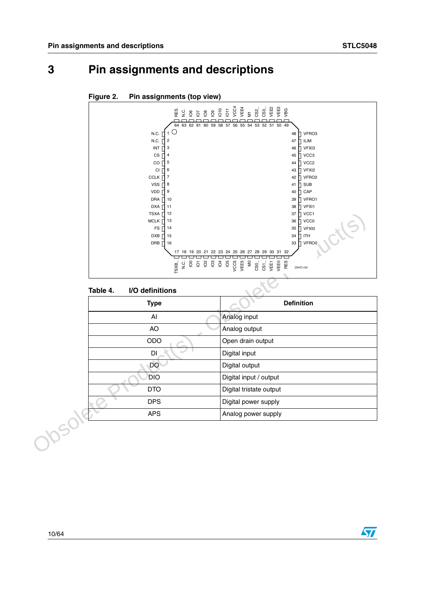# <span id="page-9-0"></span>**3 Pin assignments and descriptions**



## <span id="page-9-2"></span>**Figure 2. Pin assignments (top view)**

#### <span id="page-9-1"></span>Table 4. **I/O definitions**

| TSXA $\prod$ 12<br><b>MCLK</b><br>13<br><b>FS</b><br>14<br><b>DXB</b><br>15<br>DRB<br>16<br>TSXB | 37 ∏ VCC1<br>VCCO<br>36<br>35<br><b>VFXI0</b><br><b>ITH</b><br>34<br>VFRO0<br>33<br>П.<br>17 18 19 20 21 22 23 24 25 26 27 28 29 30 31 32<br>VCC5<br>VEE5<br>$\overline{\mathsf{S}}$<br>RES<br>VEEO<br>yEE<br>8 5<br>8<br>D94TL150 |
|--------------------------------------------------------------------------------------------------|------------------------------------------------------------------------------------------------------------------------------------------------------------------------------------------------------------------------------------|
| I/O definitions<br>Table 4.                                                                      |                                                                                                                                                                                                                                    |
| <b>Type</b>                                                                                      | <b>Definition</b>                                                                                                                                                                                                                  |
| AI                                                                                               | Analog input                                                                                                                                                                                                                       |
| AO                                                                                               | Analog output                                                                                                                                                                                                                      |
| ODO                                                                                              | Open drain output                                                                                                                                                                                                                  |
| DI                                                                                               | Digital input                                                                                                                                                                                                                      |
| DO                                                                                               | Digital output                                                                                                                                                                                                                     |
| <b>DIO</b>                                                                                       | Digital input / output                                                                                                                                                                                                             |
| <b>DTO</b>                                                                                       | Digital tristate output                                                                                                                                                                                                            |
| <b>DPS</b>                                                                                       | Digital power supply                                                                                                                                                                                                               |
| <b>APS</b>                                                                                       | Analog power supply                                                                                                                                                                                                                |
| <b>150</b>                                                                                       |                                                                                                                                                                                                                                    |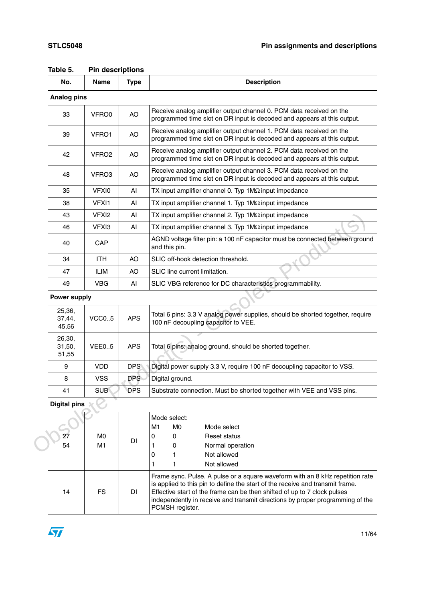| No.                       | <b>Name</b>          | <b>Type</b> | <b>Description</b>                                                                                                                                                                                                                                                                                                                             |  |  |  |  |  |
|---------------------------|----------------------|-------------|------------------------------------------------------------------------------------------------------------------------------------------------------------------------------------------------------------------------------------------------------------------------------------------------------------------------------------------------|--|--|--|--|--|
| <b>Analog pins</b>        |                      |             |                                                                                                                                                                                                                                                                                                                                                |  |  |  |  |  |
| 33                        | VFRO0                | AO          | Receive analog amplifier output channel 0. PCM data received on the<br>programmed time slot on DR input is decoded and appears at this output.                                                                                                                                                                                                 |  |  |  |  |  |
| 39                        | VFRO1                | AO          | Receive analog amplifier output channel 1. PCM data received on the<br>programmed time slot on DR input is decoded and appears at this output.                                                                                                                                                                                                 |  |  |  |  |  |
| 42                        | VFRO <sub>2</sub>    | AO          | Receive analog amplifier output channel 2. PCM data received on the<br>programmed time slot on DR input is decoded and appears at this output.                                                                                                                                                                                                 |  |  |  |  |  |
| 48                        | VFRO3                | AO          | Receive analog amplifier output channel 3. PCM data received on the<br>programmed time slot on DR input is decoded and appears at this output.                                                                                                                                                                                                 |  |  |  |  |  |
| 35                        | VFXI0                | AI          | TX input amplifier channel 0. Typ $1\text{M}\Omega$ input impedance                                                                                                                                                                                                                                                                            |  |  |  |  |  |
| 38                        | VFXI1                | Al          | TX input amplifier channel 1. Typ $1\text{M}\Omega$ input impedance                                                                                                                                                                                                                                                                            |  |  |  |  |  |
| 43                        | VFXI <sub>2</sub>    | AI          | TX input amplifier channel 2. Typ $1\text{M}\Omega$ input impedance                                                                                                                                                                                                                                                                            |  |  |  |  |  |
| 46                        | VFXI3                | AI          | TX input amplifier channel 3. Typ $1\text{M}\Omega$ input impedance                                                                                                                                                                                                                                                                            |  |  |  |  |  |
| 40                        | CAP                  |             | AGND voltage filter pin: a 100 nF capacitor must be connected between ground<br>and this pin.                                                                                                                                                                                                                                                  |  |  |  |  |  |
| 34                        | <b>ITH</b>           | AO          | SLIC off-hook detection threshold.                                                                                                                                                                                                                                                                                                             |  |  |  |  |  |
| 47                        | <b>ILIM</b>          | AO          | SLIC line current limitation.                                                                                                                                                                                                                                                                                                                  |  |  |  |  |  |
| 49                        | <b>VBG</b>           | AI          | SLIC VBG reference for DC characteristics programmability.                                                                                                                                                                                                                                                                                     |  |  |  |  |  |
| Power supply              |                      |             |                                                                                                                                                                                                                                                                                                                                                |  |  |  |  |  |
| 25,36,<br>37,44,<br>45,56 | VCCO.5               | <b>APS</b>  | Total 6 pins: 3.3 V analog power supplies, should be shorted together, require<br>100 nF decoupling capacitor to VEE.                                                                                                                                                                                                                          |  |  |  |  |  |
| 26,30,<br>31,50,<br>51,55 | VEE05                | <b>APS</b>  | Total 6 pins: analog ground, should be shorted together.                                                                                                                                                                                                                                                                                       |  |  |  |  |  |
| 9                         | <b>VDD</b>           | <b>DPS</b>  | Digital power supply 3.3 V, require 100 nF decoupling capacitor to VSS.                                                                                                                                                                                                                                                                        |  |  |  |  |  |
| 8                         | <b>VSS</b>           | <b>DPS</b>  | Digital ground.                                                                                                                                                                                                                                                                                                                                |  |  |  |  |  |
| 41                        | <b>SUB</b>           | <b>DPS</b>  | Substrate connection. Must be shorted together with VEE and VSS pins.                                                                                                                                                                                                                                                                          |  |  |  |  |  |
| <b>Digital pins</b>       |                      |             |                                                                                                                                                                                                                                                                                                                                                |  |  |  |  |  |
| 27<br>54                  | M <sub>0</sub><br>M1 | <b>DI</b>   | Mode select:<br>M1<br>M <sub>0</sub><br>Mode select<br>0<br>$\mathbf 0$<br><b>Reset status</b><br>0<br>Normal operation<br>1<br>1<br>Not allowed<br>0<br>Not allowed<br>1<br>1                                                                                                                                                                 |  |  |  |  |  |
| 14                        | FS.                  | DI          | Frame sync. Pulse. A pulse or a square waveform with an 8 kHz repetition rate<br>is applied to this pin to define the start of the receive and transmit frame.<br>Effective start of the frame can be then shifted of up to 7 clock pulses<br>independently in receive and transmit directions by proper programming of the<br>PCMSH register. |  |  |  |  |  |

### <span id="page-10-0"></span>**Table 5. Pin descriptions**

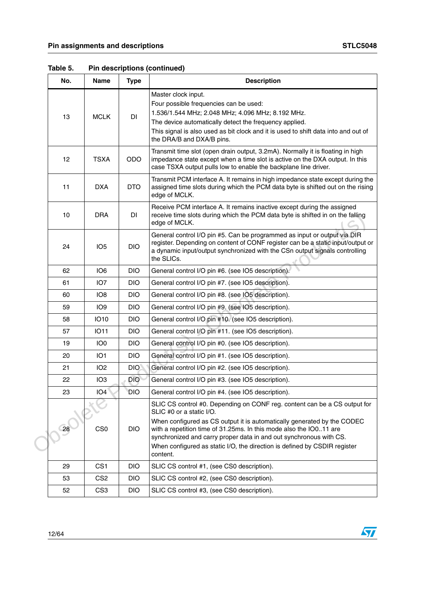| No. | <b>Name</b>     | <b>Type</b> | <b>Description</b>                                                                                                                                                                                                                                                                                                                                                                                                    |
|-----|-----------------|-------------|-----------------------------------------------------------------------------------------------------------------------------------------------------------------------------------------------------------------------------------------------------------------------------------------------------------------------------------------------------------------------------------------------------------------------|
| 13  | <b>MCLK</b>     | DI          | Master clock input.<br>Four possible frequencies can be used:<br>1.536/1.544 MHz; 2.048 MHz; 4.096 MHz; 8.192 MHz.<br>The device automatically detect the frequency applied.<br>This signal is also used as bit clock and it is used to shift data into and out of<br>the DRA/B and DXA/B pins.                                                                                                                       |
| 12  | <b>TSXA</b>     | <b>ODO</b>  | Transmit time slot (open drain output, 3.2mA). Normally it is floating in high<br>impedance state except when a time slot is active on the DXA output. In this<br>case TSXA output pulls low to enable the backplane line driver.                                                                                                                                                                                     |
| 11  | <b>DXA</b>      | <b>DTO</b>  | Transmit PCM interface A. It remains in high impedance state except during the<br>assigned time slots during which the PCM data byte is shifted out on the rising<br>edge of MCLK.                                                                                                                                                                                                                                    |
| 10  | <b>DRA</b>      | DI          | Receive PCM interface A. It remains inactive except during the assigned<br>receive time slots during which the PCM data byte is shifted in on the falling<br>edge of MCLK.                                                                                                                                                                                                                                            |
| 24  | IO <sub>5</sub> | <b>DIO</b>  | General control I/O pin #5. Can be programmed as input or output via DIR<br>register. Depending on content of CONF register can be a static input/output or<br>a dynamic input/output synchronized with the CSn output signals controlling<br>the SLICs.                                                                                                                                                              |
| 62  | IO <sub>6</sub> | DIO.        | General control I/O pin #6. (see IO5 description).                                                                                                                                                                                                                                                                                                                                                                    |
| 61  | IO <sub>7</sub> | <b>DIO</b>  | General control I/O pin #7. (see IO5 description).                                                                                                                                                                                                                                                                                                                                                                    |
| 60  | IO <sub>8</sub> | <b>DIO</b>  | General control I/O pin #8. (see IO5 description).                                                                                                                                                                                                                                                                                                                                                                    |
| 59  | IO9             | <b>DIO</b>  | General control I/O pin #9. (see IO5 description).                                                                                                                                                                                                                                                                                                                                                                    |
| 58  | <b>IO10</b>     | <b>DIO</b>  | General control I/O pin #10. (see IO5 description).                                                                                                                                                                                                                                                                                                                                                                   |
| 57  | <b>IO11</b>     | <b>DIO</b>  | General control I/O pin #11. (see IO5 description).                                                                                                                                                                                                                                                                                                                                                                   |
| 19  | IO <sub>0</sub> | <b>DIO</b>  | General control I/O pin #0. (see IO5 description).                                                                                                                                                                                                                                                                                                                                                                    |
| 20  | IO <sub>1</sub> | <b>DIO</b>  | General control I/O pin #1. (see IO5 description).                                                                                                                                                                                                                                                                                                                                                                    |
| 21  | IO <sub>2</sub> | <b>DIO</b>  | General control I/O pin #2. (see IO5 description).                                                                                                                                                                                                                                                                                                                                                                    |
| 22  | IO <sub>3</sub> | <b>DIO</b>  | General control I/O pin #3. (see IO5 description).                                                                                                                                                                                                                                                                                                                                                                    |
| 23  | IO <sub>4</sub> | <b>DIO</b>  | General control I/O pin #4. (see IO5 description).                                                                                                                                                                                                                                                                                                                                                                    |
| 28  | CS <sub>0</sub> | <b>DIO</b>  | SLIC CS control #0. Depending on CONF reg. content can be a CS output for<br>SLIC #0 or a static I/O.<br>When configured as CS output it is automatically generated by the CODEC<br>with a repetition time of 31.25ms. In this mode also the IO011 are<br>synchronized and carry proper data in and out synchronous with CS.<br>When configured as static I/O, the direction is defined by CSDIR register<br>content. |
| 29  | CS <sub>1</sub> | <b>DIO</b>  | SLIC CS control #1, (see CS0 description).                                                                                                                                                                                                                                                                                                                                                                            |
| 53  | CS <sub>2</sub> | <b>DIO</b>  | SLIC CS control #2, (see CS0 description).                                                                                                                                                                                                                                                                                                                                                                            |
| 52  | CS <sub>3</sub> | <b>DIO</b>  | SLIC CS control #3, (see CS0 description).                                                                                                                                                                                                                                                                                                                                                                            |

**Table 5. Pin descriptions (continued)**

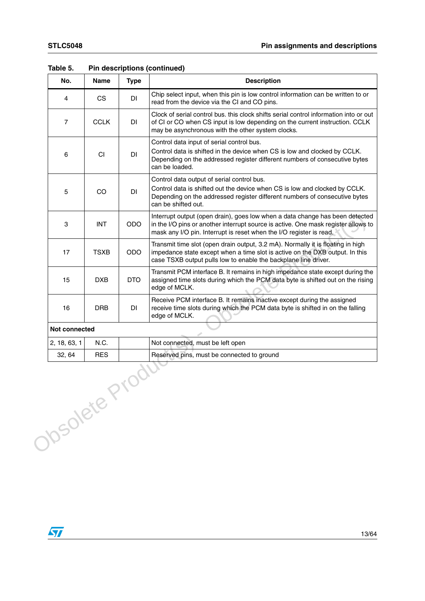| No.                  | <b>Name</b> | <b>Type</b> | <b>Description</b>                                                                                                                                                                                                                        |
|----------------------|-------------|-------------|-------------------------------------------------------------------------------------------------------------------------------------------------------------------------------------------------------------------------------------------|
| 4                    | CS          | DI          | Chip select input, when this pin is low control information can be written to or<br>read from the device via the CI and CO pins.                                                                                                          |
| $\overline{7}$       | <b>CCLK</b> | DI          | Clock of serial control bus. this clock shifts serial control information into or out<br>of CI or CO when CS input is low depending on the current instruction. CCLK<br>may be asynchronous with the other system clocks.                 |
| 6                    | <b>CI</b>   | DI          | Control data input of serial control bus.<br>Control data is shifted in the device when CS is low and clocked by CCLK.<br>Depending on the addressed register different numbers of consecutive bytes<br>can be loaded.                    |
| 5                    | <b>CO</b>   | DI          | Control data output of serial control bus.<br>Control data is shifted out the device when CS is low and clocked by CCLK.<br>Depending on the addressed register different numbers of consecutive bytes<br>can be shifted out.             |
| 3                    | <b>INT</b>  | <b>ODO</b>  | Interrupt output (open drain), goes low when a data change has been detected<br>in the I/O pins or another interrupt source is active. One mask register allows to<br>mask any I/O pin. Interrupt is reset when the I/O register is read. |
| 17                   | <b>TSXB</b> | <b>ODO</b>  | Transmit time slot (open drain output, 3.2 mA). Normally it is floating in high<br>impedance state except when a time slot is active on the DXB output. In this<br>case TSXB output pulls low to enable the backplane line driver.        |
| 15                   | <b>DXB</b>  | <b>DTO</b>  | Transmit PCM interface B. It remains in high impedance state except during the<br>assigned time slots during which the PCM data byte is shifted out on the rising<br>edge of MCLK.                                                        |
| 16                   | <b>DRB</b>  | DI          | Receive PCM interface B. It remains inactive except during the assigned<br>receive time slots during which the PCM data byte is shifted in on the falling<br>edge of MCLK.                                                                |
| <b>Not connected</b> |             |             |                                                                                                                                                                                                                                           |
| 2, 18, 63, 1         | N.C.        |             | Not connected, must be left open                                                                                                                                                                                                          |
| 32, 64               | <b>RES</b>  |             | Reserved pins, must be connected to ground                                                                                                                                                                                                |
| Olosolete P          |             | <b>TOO!</b> |                                                                                                                                                                                                                                           |

**Table 5. Pin descriptions (continued)**

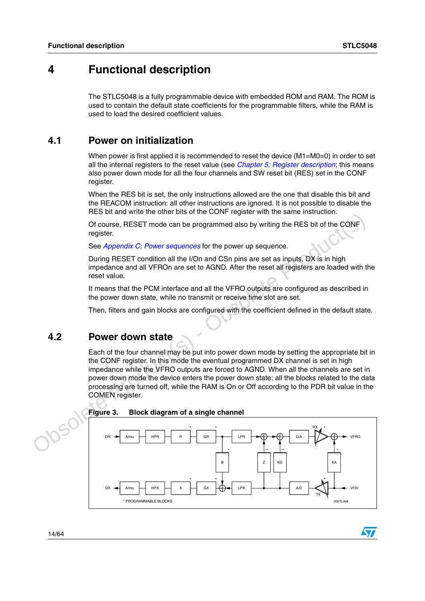$\sqrt{}$ 

## <span id="page-13-0"></span>**4 Functional description**

The STLC5048 is a fully programmable device with embedded ROM and RAM. The ROM is used to contain the default state coefficients for the programmable filters, while the RAM is used to load the desired coefficient values.

## <span id="page-13-1"></span>**4.1 Power on initialization**

When power is first applied it is recommended to reset the device (M1=M0=0) in order to set all the internal registers to the reset value (see *Chapter [5: Register description](#page-22-0)*; this means also power down mode for all the four channels and SW reset bit (RES) set in the CONF register.

When the RES bit is set, the only instructions allowed are the one that disable this bit and the REACOM instruction: all other instructions are ignored. It is not possible to disable the RES bit and write the other bits of the CONF register with the same instruction.

Of course, RESET mode can be programmed also by writing the RES bit of the CONF register.

See Appendix C: Power sequences for the power up sequence.

During RESET condition all the I/On and CSn pins are set as inputs, DX is in high impedance and all VFROn are set to AGND. After the reset all registers are loaded with the reset value.

It means that the PCM interface and all the VFRO outputs are configured as described in the power down state, while no transmit or receive time slot are set.

Then, filters and gain blocks are configured with the coefficient defined in the default state.

## <span id="page-13-2"></span>**4.2 Power down state**

<span id="page-13-3"></span>Each of the four channel may be put into power down mode by setting the appropriate bit in the CONF register. In this mode the eventual programmed DX channel is set in high impedance while the VFRO outputs are forced to AGND. When all the channels are set in power down mode the device enters the power down state: all the blocks related to the data processing are turned off, while the RAM is On or Off according to the PDR bit value in the COMEN register.

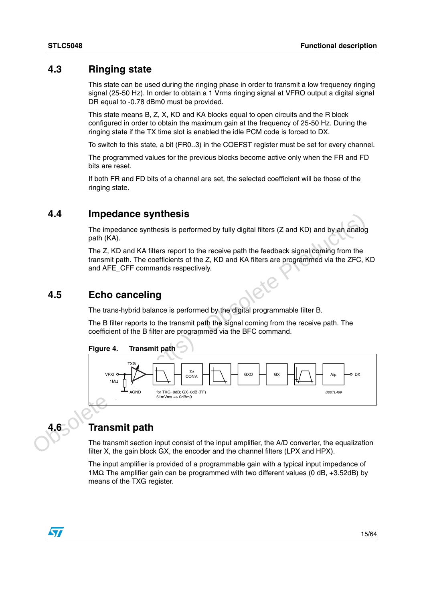## <span id="page-14-0"></span>**4.3 Ringing state**

This state can be used during the ringing phase in order to transmit a low frequency ringing signal (25-50 Hz). In order to obtain a 1 Vrms ringing signal at VFRO output a digital signal DR equal to -0.78 dBm0 must be provided.

This state means B, Z, X, KD and KA blocks equal to open circuits and the R block configured in order to obtain the maximum gain at the frequency of 25-50 Hz. During the ringing state if the TX time slot is enabled the idle PCM code is forced to DX.

To switch to this state, a bit (FR0..3) in the COEFST register must be set for every channel.

The programmed values for the previous blocks become active only when the FR and FD bits are reset.

If both FR and FD bits of a channel are set, the selected coefficient will be those of the ringing state.

## <span id="page-14-1"></span>**4.4 Impedance synthesis**

The impedance synthesis is performed by fully digital filters (Z and KD) and by an analog path (KA).

The Z, KD and KA filters report to the receive path the feedback signal coming from the transmit path. The coefficients of the Z, KD and KA filters are programmed via the ZFC, KD and AFE\_CFF commands respectively.

## <span id="page-14-2"></span>**4.5 Echo canceling**

The trans-hybrid balance is performed by the digital programmable filter B.

The B filter reports to the transmit path the signal coming from the receive path. The coefficient of the B filter are programmed via the BFC command.

<span id="page-14-4"></span>



<span id="page-14-3"></span>

## **4.6 Transmit path**

The transmit section input consist of the input amplifier, the A/D converter, the equalization filter X, the gain block GX, the encoder and the channel filters (LPX and HPX).

The input amplifier is provided of a programmable gain with a typical input impedance of 1MΩ. The amplifier gain can be programmed with two different values (0 dB, +3.52dB) by means of the TXG register.

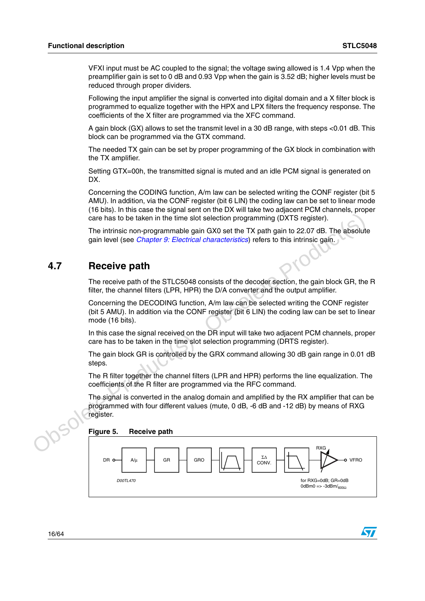$\bm \Omega$ 

VFXI input must be AC coupled to the signal; the voltage swing allowed is 1.4 Vpp when the preamplifier gain is set to 0 dB and 0.93 Vpp when the gain is 3.52 dB; higher levels must be reduced through proper dividers.

Following the input amplifier the signal is converted into digital domain and a X filter block is programmed to equalize together with the HPX and LPX filters the frequency response. The coefficients of the X filter are programmed via the XFC command.

A gain block (GX) allows to set the transmit level in a 30 dB range, with steps <0.01 dB. This block can be programmed via the GTX command.

The needed TX gain can be set by proper programming of the GX block in combination with the TX amplifier.

Setting GTX=00h, the transmitted signal is muted and an idle PCM signal is generated on DX.

Concerning the CODING function, A/m law can be selected writing the CONF register (bit 5 AMU). In addition, via the CONF register (bit 6 LIN) the coding law can be set to linear mode (16 bits). In this case the signal sent on the DX will take two adjacent PCM channels, proper care has to be taken in the time slot selection programming (DXTS register).

The intrinsic non-programmable gain GX0 set the TX path gain to 22.07 dB. The absolute gain level (see *Chapter 9: Electrical characteristics*) refers to this intrinsic gain.

## <span id="page-15-0"></span>**4.7 Receive path**

The receive path of the STLC5048 consists of the decoder section, the gain block GR, the R filter, the channel filters (LPR, HPR) the D/A converter and the output amplifier.

Concerning the DECODING function, A/m law can be selected writing the CONF register (bit 5 AMU). In addition via the CONF register (bit 6 LIN) the coding law can be set to linear mode (16 bits).

In this case the signal received on the DR input will take two adjacent PCM channels, proper care has to be taken in the time slot selection programming (DRTS register).

The gain block GR is controlled by the GRX command allowing 30 dB gain range in 0.01 dB steps.

The R filter together the channel filters (LPR and HPR) performs the line equalization. The coefficients of the R filter are programmed via the RFC command.

Contribute the immediate School of the TX painting (DXTS register).<br>
The intrinsic non-programmable gain GX0 set the TX path gain to 22.07 dB. The absolute<br>
gain level (see *Chapter 9: Electrical characteristics*) refers t The signal is converted in the analog domain and amplified by the RX amplifier that can be programmed with four different values (mute, 0 dB, -6 dB and -12 dB) by means of RXG register.

<span id="page-15-1"></span>

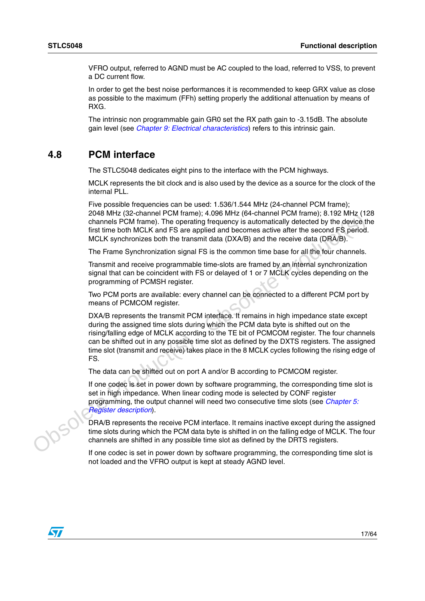VFRO output, referred to AGND must be AC coupled to the load, referred to VSS, to prevent a DC current flow.

In order to get the best noise performances it is recommended to keep GRX value as close as possible to the maximum (FFh) setting properly the additional attenuation by means of RXG.

The intrinsic non programmable gain GR0 set the RX path gain to -3.15dB. The absolute gain level (see *Chapter [9: Electrical characteristics](#page-49-0)*) refers to this intrinsic gain.

## <span id="page-16-0"></span>**4.8 PCM interface**

The STLC5048 dedicates eight pins to the interface with the PCM highways.

MCLK represents the bit clock and is also used by the device as a source for the clock of the internal PLL.

Five possible frequencies can be used: 1.536/1.544 MHz (24-channel PCM frame); 2048 MHz (32-channel PCM frame); 4.096 MHz (64-channel PCM frame); 8.192 MHz (128 channels PCM frame). The operating frequency is automatically detected by the device the first time both MCLK and FS are applied and becomes active after the second FS period. MCLK synchronizes both the transmit data (DXA/B) and the receive data (DRA/B).

The Frame Synchronization signal FS is the common time base for all the four channels.

Transmit and receive programmable time-slots are framed by an internal synchronization signal that can be coincident with FS or delayed of 1 or 7 MCLK cycles depending on the programming of PCMSH register.

Two PCM ports are available: every channel can be connected to a different PCM port by means of PCMCOM register.

2048 MHZ (32-conation FeroM Trame); 4.096 MHZ (49-conation EPCM frame); 3.192 MHZ (124-conation) d[ete](#page-22-0)cted by the device, the metals PCM frame). The operating frequency is automatically detected by the device, the first tim DXA/B represents the transmit PCM interface. It remains in high impedance state except during the assigned time slots during which the PCM data byte is shifted out on the rising/falling edge of MCLK according to the TE bit of PCMCOM register. The four channels can be shifted out in any possible time slot as defined by the DXTS registers. The assigned time slot (transmit and receive) takes place in the 8 MCLK cycles following the rising edge of FS.

The data can be shifted out on port A and/or B according to PCMCOM register.

If one codec is set in power down by software programming, the corresponding time slot is set in high impedance. When linear coding mode is selected by CONF register programming, the output channel will need two consecutive time slots (see Chapter 5: Register description).

DRA/B represents the receive PCM interface. It remains inactive except during the assigned time slots during which the PCM data byte is shifted in on the falling edge of MCLK. The four channels are shifted in any possible time slot as defined by the DRTS registers.

If one codec is set in power down by software programming, the corresponding time slot is not loaded and the VFRO output is kept at steady AGND level.

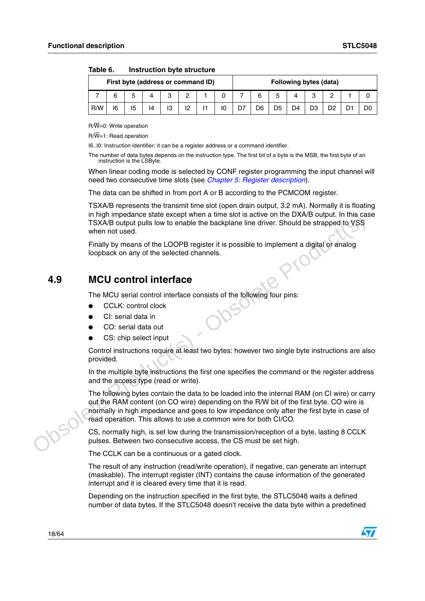| First byte (address or command ID) |    |    |    |    |    | <b>Following bytes (data)</b> |  |  |    |    |    |        |  |  |
|------------------------------------|----|----|----|----|----|-------------------------------|--|--|----|----|----|--------|--|--|
|                                    |    | 5  | 4  | 0  |    |                               |  |  | 6  | ь  |    | ົ<br>ບ |  |  |
| R/W                                | 16 | 15 | 14 | 13 | 12 | H                             |  |  | D6 | D5 | D4 | D3     |  |  |

<span id="page-17-1"></span>

| Table 6. | Instruction byte structure |  |  |
|----------|----------------------------|--|--|
|----------|----------------------------|--|--|

R/W=0: Write operation

R/W=1: Read operation

I6..I0: Instruction identifier: it can be a register address or a command identifier.

The number of data bytes depends on the instruction type. The first bit of a byte is the MSB, the first byte of an instruction is the LSByte.

When linear coding mode is selected by CONF register programming the input channel will need two consecutive time slots (see *Chapter [5: Register description](#page-22-0)*).

The data can be shifted in from port A or B according to the PCMCOM register.

TSXA/B represents the transmit time slot (open drain output, 3.2 mA). Normally it is floating in high impedance state except when a time slot is active on the DXA/B output. In this case TSXA/B output pulls low to enable the backplane line driver. Should be strapped to VSS when not used.

Finally by means of the LOOPB register it is possible to implement a digital or analog loopback on any of the selected channels.

## <span id="page-17-0"></span>**4.9 MCU control interface**

The MCU serial control interface consists of the following four pins:

- CCLK: control clock
- CI: serial data in
- CO: serial data out
- CS: chip select input

Control instructions require at least two bytes: however two single byte instructions are also provided.

In the multiple byte instructions the first one specifies the command or the register address and the access type (read or write).

This mind impediation state except when a time slot is active on the DXAB output. In this case<br>
TSXAB output pulls low to enable the backplane line driver. Should be strapped to VSS<br>
when not used.<br>
Finally by means of the The following bytes contain the data to be loaded into the internal RAM (on CI wire) or carry out the RAM content (on CO wire) depending on the R/W bit of the first byte. CO wire is normally in high impedance and goes to low impedance only after the first byte in case of read operation. This allows to use a common wire for both CI/CO.

CS, normally high, is set low during the transmission/reception of a byte, lasting 8 CCLK pulses. Between two consecutive access, the CS must be set high.

The CCLK can be a continuous or a gated clock.

The result of any instruction (read/write operation), if negative, can generate an interrupt (maskable). The interrupt register (INT) contains the cause information of the generated interrupt and it is cleared every time that it is read.

Depending on the instruction specified in the first byte, the STLC5048 waits a defined number of data bytes. If the STLC5048 doesn't receive the data byte within a predefined

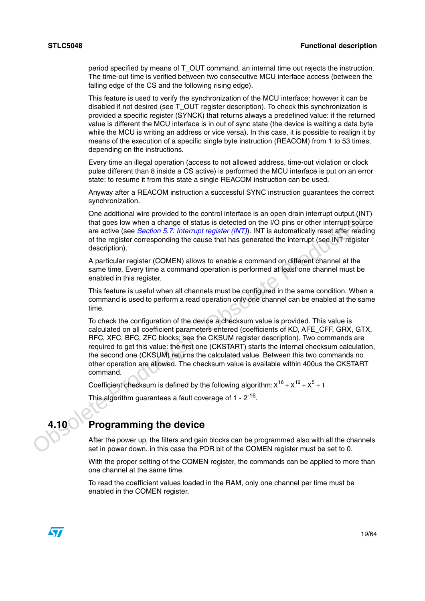period specified by means of T\_OUT command, an internal time out rejects the instruction. The time-out time is verified between two consecutive MCU interface access (between the falling edge of the CS and the following rising edge).

This feature is used to verify the synchronization of the MCU interface: however it can be disabled if not desired (see T\_OUT register description). To check this synchronization is provided a specific register (SYNCK) that returns always a predefined value: if the returned value is different the MCU interface is in out of sync state (the device is waiting a data byte while the MCU is writing an address or vice versa). In this case, it is possible to realign it by means of the execution of a specific single byte instruction (REACOM) from 1 to 53 times, depending on the instructions.

Every time an illegal operation (access to not allowed address, time-out violation or clock pulse different than 8 inside a CS active) is performed the MCU interface is put on an error state: to resume it from this state a single REACOM instruction can be used.

Anyway after a REACOM instruction a successful SYNC instruction guarantees the correct synchronization.

One additional wire provided to the control interface is an open drain interrupt output (INT) that goes low when a change of status is detected on the I/O pins or other interrupt source are active (see Section 5.7: Interrupt register (INT)). INT is automatically reset after reading of the register corresponding the cause that has generated the interrupt (see INT register description).

A particular register (COMEN) allows to enable a command on different channel at the same time. Every time a command operation is performed at least one channel must be enabled in this register.

This feature is useful when all channels must be configured in the same condition. When a command is used to perform a read operation only one channel can be enabled at the same time.

One additional wire provided to the control interface is an open drain internation unitary of the top of the register (NVT). INT is automatically reset affer reading the ratios of the register corresponding the cause that To check the configuration of the device a checksum value is provided. This value is calculated on all coefficient parameters entered (coefficients of KD, AFE\_CFF, GRX, GTX, RFC, XFC, BFC, ZFC blocks; see the CKSUM register description). Two commands are required to get this value: the first one (CKSTART) starts the internal checksum calculation, the second one (CKSUM) returns the calculated value. Between this two commands no other operation are allowed. The checksum value is available within 400us the CKSTART command.

Coefficient checksum is defined by the following algorithm:  $X^{16}$  +  $X^{12}$  +  $X^5$  + 1

This algorithm guarantees a fault coverage of 1 - 2<sup>-16</sup>.

## <span id="page-18-0"></span>**4.10 Programming the device**

After the power up, the filters and gain blocks can be programmed also with all the channels set in power down. in this case the PDR bit of the COMEN register must be set to 0.

With the proper setting of the COMEN register, the commands can be applied to more than one channel at the same time.

To read the coefficient values loaded in the RAM, only one channel per time must be enabled in the COMEN register.

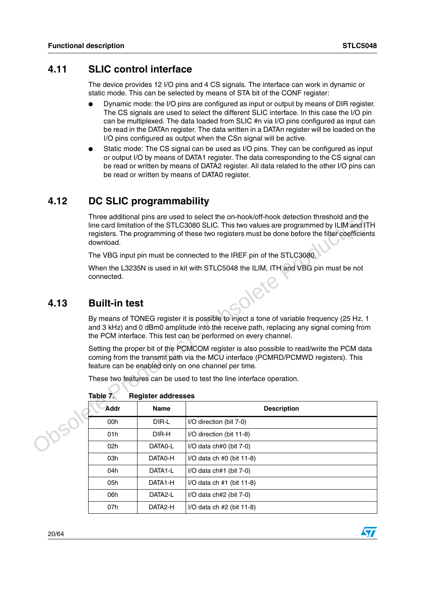## <span id="page-19-0"></span>**4.11 SLIC control interface**

The device provides 12 I/O pins and 4 CS signals. The interface can work in dynamic or static mode. This can be selected by means of STA bit of the CONF register:

- Dynamic mode: the I/O pins are configured as input or output by means of DIR register. The CS signals are used to select the different SLIC interface. In this case the I/O pin can be multiplexed. The data loaded from SLIC #n via I/O pins configured as input can be read in the DATAn register. The data written in a DATAn register will be loaded on the I/O pins configured as output when the CSn signal will be active.
- Static mode: The CS signal can be used as I/O pins. They can be configured as input or output I/O by means of DATA1 register. The data corresponding to the CS signal can be read or written by means of DATA2 register. All data related to the other I/O pins can be read or written by means of DATA0 register.

## <span id="page-19-1"></span>**4.12 DC SLIC programmability**

## <span id="page-19-2"></span>**4.13 Built-in test**

|                                                                                                                                                                                                                                                          | Three additional pins are used to select the on-hook/off-hook detection threshold and the<br>line card limitation of the STLC3080 SLIC. This two values are programmed by ILIM and ITH<br>registers. The programming of these two registers must be done before the filter coefficients<br>download. |             |                                                                      |  |  |  |  |  |  |  |
|----------------------------------------------------------------------------------------------------------------------------------------------------------------------------------------------------------------------------------------------------------|------------------------------------------------------------------------------------------------------------------------------------------------------------------------------------------------------------------------------------------------------------------------------------------------------|-------------|----------------------------------------------------------------------|--|--|--|--|--|--|--|
|                                                                                                                                                                                                                                                          | The VBG input pin must be connected to the IREF pin of the STLC3080.                                                                                                                                                                                                                                 |             |                                                                      |  |  |  |  |  |  |  |
|                                                                                                                                                                                                                                                          | When the L3235N is used in kit with STLC5048 the ILIM, ITH and VBG pin must be not<br>connected.                                                                                                                                                                                                     |             |                                                                      |  |  |  |  |  |  |  |
| 4.13                                                                                                                                                                                                                                                     | <b>Built-in test</b>                                                                                                                                                                                                                                                                                 |             |                                                                      |  |  |  |  |  |  |  |
| By means of TONEG register it is possible to inject a tone of variable frequency (25 Hz, 1<br>and 3 kHz) and 0 dBm0 amplitude into the receive path, replacing any signal coming from<br>the PCM interface. This test can be performed on every channel. |                                                                                                                                                                                                                                                                                                      |             |                                                                      |  |  |  |  |  |  |  |
|                                                                                                                                                                                                                                                          | Setting the proper bit of the PCMCOM register is also possible to read/write the PCM data<br>coming from the transmit path via the MCU interface (PCMRD/PCMWD registers). This<br>feature can be enabled only on one channel per time.                                                               |             |                                                                      |  |  |  |  |  |  |  |
|                                                                                                                                                                                                                                                          |                                                                                                                                                                                                                                                                                                      |             | These two features can be used to test the line interface operation. |  |  |  |  |  |  |  |
|                                                                                                                                                                                                                                                          | Table 7.<br><b>Register addresses</b>                                                                                                                                                                                                                                                                |             |                                                                      |  |  |  |  |  |  |  |
|                                                                                                                                                                                                                                                          | <b>Addr</b>                                                                                                                                                                                                                                                                                          | <b>Name</b> | <b>Description</b>                                                   |  |  |  |  |  |  |  |
|                                                                                                                                                                                                                                                          | 00h                                                                                                                                                                                                                                                                                                  | DIR-L       | I/O direction (bit 7-0)                                              |  |  |  |  |  |  |  |
|                                                                                                                                                                                                                                                          | 01h                                                                                                                                                                                                                                                                                                  | DIR-H       | I/O direction (bit 11-8)                                             |  |  |  |  |  |  |  |
|                                                                                                                                                                                                                                                          | 02h                                                                                                                                                                                                                                                                                                  | DATA0-L     | I/O data ch#0 (bit 7-0)                                              |  |  |  |  |  |  |  |
|                                                                                                                                                                                                                                                          | 03h                                                                                                                                                                                                                                                                                                  | DATA0-H     | $I/O$ data ch #0 (bit 11-8)                                          |  |  |  |  |  |  |  |
|                                                                                                                                                                                                                                                          | 04h                                                                                                                                                                                                                                                                                                  | DATA1-L     | $I/O$ data ch#1 (bit 7-0)                                            |  |  |  |  |  |  |  |
|                                                                                                                                                                                                                                                          | 05h                                                                                                                                                                                                                                                                                                  | DATA1-H     | $I/O$ data ch $#1$ (bit 11-8)                                        |  |  |  |  |  |  |  |
|                                                                                                                                                                                                                                                          | 06h                                                                                                                                                                                                                                                                                                  | DATA2-L     | $I/O$ data ch#2 (bit $7-0$ )                                         |  |  |  |  |  |  |  |
|                                                                                                                                                                                                                                                          | 07h                                                                                                                                                                                                                                                                                                  | DATA2-H     | $I/O$ data ch $#2$ (bit 11-8)                                        |  |  |  |  |  |  |  |

<span id="page-19-3"></span>

| <b>Register addresses</b> |
|---------------------------|
|                           |

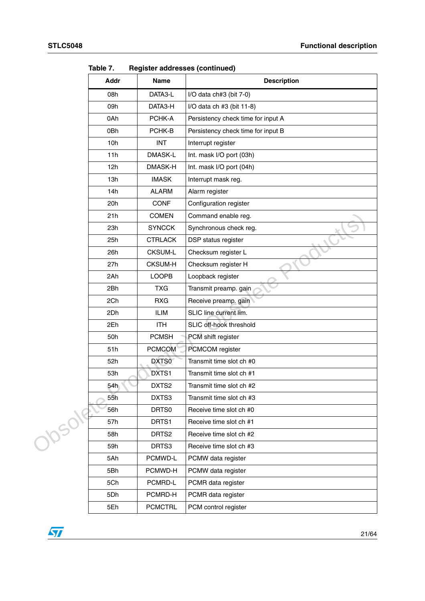|       | . <i>ו</i> טוש<br>Addr | Name           | $n$ cyləldi addicəsdə (collulludu)<br><b>Description</b> |
|-------|------------------------|----------------|----------------------------------------------------------|
|       | 08h                    | DATA3-L        |                                                          |
|       |                        |                | I/O data ch#3 (bit 7-0)                                  |
|       | 09h                    | DATA3-H        | I/O data ch $#3$ (bit 11-8)                              |
|       | 0Ah                    | PCHK-A         | Persistency check time for input A                       |
|       | 0Bh                    | PCHK-B         | Persistency check time for input B                       |
|       | 10h                    | <b>INT</b>     | Interrupt register                                       |
|       | 11h                    | DMASK-L        | Int. mask I/O port (03h)                                 |
|       | 12h                    | DMASK-H        | Int. mask I/O port (04h)                                 |
|       | 13h                    | <b>IMASK</b>   | Interrupt mask reg.                                      |
|       | 14h                    | <b>ALARM</b>   | Alarm register                                           |
|       | 20h                    | <b>CONF</b>    | Configuration register                                   |
|       | 21h                    | <b>COMEN</b>   | Command enable reg.                                      |
|       | 23h                    | <b>SYNCCK</b>  | Synchronous check reg.                                   |
|       | 25h                    | <b>CTRLACK</b> | DSP status register                                      |
|       | 26h                    | <b>CKSUM-L</b> | Checksum register L                                      |
|       | 27h                    | <b>CKSUM-H</b> | Checksum register H                                      |
|       | 2Ah                    | <b>LOOPB</b>   | Loopback register                                        |
|       | 2Bh                    | <b>TXG</b>     | Transmit preamp. gain                                    |
|       | 2Ch                    | <b>RXG</b>     | Receive preamp. gain                                     |
|       | 2Dh                    | <b>ILIM</b>    | SLIC line current lim.                                   |
|       | 2Eh                    | <b>ITH</b>     | SLIC off-hook threshold                                  |
|       | 50h                    | <b>PCMSH</b>   | PCM shift register                                       |
|       | 51h                    | <b>PCMCOM</b>  | PCMCOM register                                          |
|       | 52h                    | DXTS0          | Transmit time slot ch #0                                 |
|       | 53h                    | DXTS1          | Transmit time slot ch #1                                 |
|       | 54h                    | DXTS2          | Transmit time slot ch #2                                 |
|       | 55h                    | DXTS3          | Transmit time slot ch #3                                 |
|       | 56h                    | DRTS0          | Receive time slot ch #0                                  |
| Josok | 57h                    | DRTS1          | Receive time slot ch #1                                  |
|       | 58h                    | DRTS2          | Receive time slot ch #2                                  |
|       | 59h                    | DRTS3          | Receive time slot ch #3                                  |
|       | 5Ah                    | PCMWD-L        | PCMW data register                                       |
|       | 5Bh                    | PCMWD-H        | PCMW data register                                       |
|       | 5Ch                    | PCMRD-L        | PCMR data register                                       |
|       | 5Dh                    | PCMRD-H        | PCMR data register                                       |
|       | 5Eh                    | <b>PCMCTRL</b> | PCM control register                                     |

**Table 7. Register addresses (continued)**

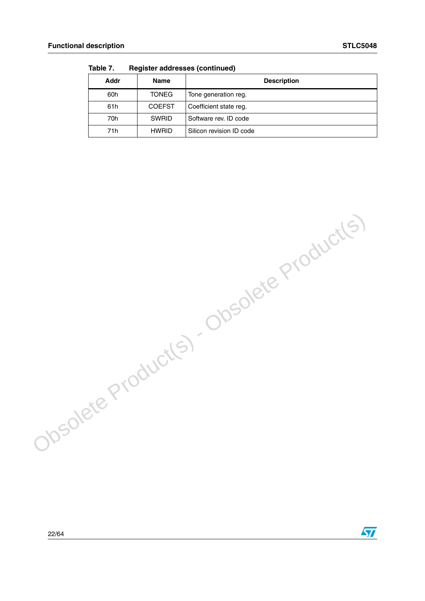$\sqrt{2}$ 

| Addr | <b>Name</b>   | <b>Description</b>       |
|------|---------------|--------------------------|
| 60h  | <b>TONEG</b>  | Tone generation reg.     |
| 61h  | <b>COEFST</b> | Coefficient state reg.   |
| 70h  | <b>SWRID</b>  | Software rev. ID code    |
| 71h  | <b>HWRID</b>  | Silicon revision ID code |

**Table 7. Register addresses (continued)**

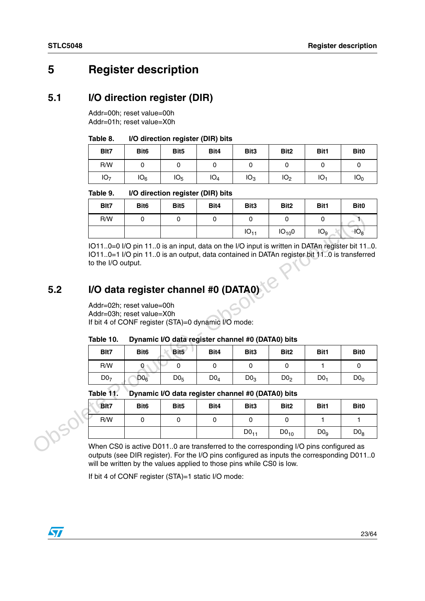# <span id="page-22-0"></span>**5 Register description**

## <span id="page-22-1"></span>**5.1 I/O direction register (DIR)**

Addr=00h; reset value=00h Addr=01h; reset value=X0h

#### <span id="page-22-3"></span>Table 8. **I/O direction register (DIR) bits**

| Blt7            | Bit <sub>6</sub> | Bit <sub>5</sub> | Bit4            | Bit <sub>3</sub> | Bit <sub>2</sub> | Bit1            | Bit <sub>0</sub> |
|-----------------|------------------|------------------|-----------------|------------------|------------------|-----------------|------------------|
| R/W             |                  |                  |                 |                  |                  |                 |                  |
| IO <sub>7</sub> | IO <sub>6</sub>  | IO <sub>5</sub>  | IO <sub>4</sub> | IO <sub>3</sub>  | IO <sub>2</sub>  | IO <sub>1</sub> | IO <sub>0</sub>  |

#### <span id="page-22-4"></span>Table 9. **I/O direction register (DIR) bits**

| Blt7 | Bit <sub>6</sub> | Bit <sub>5</sub> | Bit4 | Bit <sub>3</sub> | Bit <sub>2</sub> | Bit1            | Bit <sub>0</sub> |
|------|------------------|------------------|------|------------------|------------------|-----------------|------------------|
| R/W  |                  |                  |      |                  |                  |                 |                  |
|      |                  |                  |      | $IO_{11}$        | $IO_{10}0$       | IO <sub>9</sub> | $\mathsf{IO}_8$  |

# <span id="page-22-2"></span>**5.2 I/O data register channel #0 (DATA0)**

#### <span id="page-22-5"></span>Table 10. Dynamic I/O data register channel #0 (DATA0) bits

|     | R/W                                                                                                                                                                                                                                                                                                                                                                      | $\Omega$         | 0                | $\Omega$                                          | $\Omega$         | $\Omega$         | $\Omega$        |                   |
|-----|--------------------------------------------------------------------------------------------------------------------------------------------------------------------------------------------------------------------------------------------------------------------------------------------------------------------------------------------------------------------------|------------------|------------------|---------------------------------------------------|------------------|------------------|-----------------|-------------------|
|     |                                                                                                                                                                                                                                                                                                                                                                          |                  |                  |                                                   | $IO_{11}$        | $IO_{10}0$       | IO <sub>9</sub> | $\overline{40}_8$ |
| 5.2 | IO110=0 I/O pin 110 is an input, data on the I/O input is written in DATAn register bit 110.<br>IO110=1 I/O pin 110 is an output, data contained in DATAn register bit 110 is transferred<br>to the I/O output.<br>I/O data register channel #0 (DATA0)<br>Addr=02h; reset value=00h<br>Addr=03h; reset value=X0h<br>If bit 4 of CONF register (STA)=0 dynamic I/O mode: |                  |                  |                                                   |                  |                  |                 |                   |
|     |                                                                                                                                                                                                                                                                                                                                                                          |                  |                  |                                                   |                  |                  |                 |                   |
|     | Table 10.                                                                                                                                                                                                                                                                                                                                                                |                  |                  | Dynamic I/O data register channel #0 (DATA0) bits |                  |                  |                 |                   |
|     | Blt7                                                                                                                                                                                                                                                                                                                                                                     | Bit <sub>6</sub> | Bit5             | Bit4                                              | Bit <sub>3</sub> | Bit <sub>2</sub> | Bit1            | <b>Bit0</b>       |
|     | R/W                                                                                                                                                                                                                                                                                                                                                                      | $\mathbf{0}$     | 0                | $\Omega$                                          | $\Omega$         | 0                | 1.              | $\Omega$          |
|     | D0 <sub>7</sub>                                                                                                                                                                                                                                                                                                                                                          | D0 <sub>6</sub>  | D0 <sub>5</sub>  | $D0_4$                                            | D0 <sub>3</sub>  | D0 <sub>2</sub>  | D0 <sub>1</sub> | $D0_0$            |
|     | Table 11.                                                                                                                                                                                                                                                                                                                                                                |                  |                  | Dynamic I/O data register channel #0 (DATA0) bits |                  |                  |                 |                   |
|     | Blt7                                                                                                                                                                                                                                                                                                                                                                     | Bit <sub>6</sub> | Bit <sub>5</sub> | Bit4                                              | Bit <sub>3</sub> | Bit <sub>2</sub> | Bit1            | Bit <sub>0</sub>  |
|     | R/W                                                                                                                                                                                                                                                                                                                                                                      | $\Omega$         | 0                | 0                                                 | 0                | 0                | 1.              | 1                 |
|     |                                                                                                                                                                                                                                                                                                                                                                          |                  |                  |                                                   | $D0_{11}$        | DO <sub>10</sub> | D0 <sub>9</sub> | D0 <sub>8</sub>   |
|     | When CS0 is active D0110 are transferred to the corresponding I/O pins configured as                                                                                                                                                                                                                                                                                     |                  |                  |                                                   |                  |                  |                 |                   |

## <span id="page-22-6"></span>**Table 11. Dynamic I/O data register channel #0 (DATA0) bits**

| <b>Blt7</b>                                                                          | Bit <sub>6</sub> | Bit <sub>5</sub> | Bit4 | Bit <sub>3</sub> | Bit <sub>2</sub> | Bit1            | <b>Bit0</b> |
|--------------------------------------------------------------------------------------|------------------|------------------|------|------------------|------------------|-----------------|-------------|
| R/W                                                                                  |                  |                  |      |                  |                  |                 |             |
|                                                                                      |                  |                  |      | DO <sub>11</sub> | DO <sub>10</sub> | Do <sub>o</sub> | $D0_8$      |
| When CS0 is active D0110 are transferred to the corresponding I/O pins configured as |                  |                  |      |                  |                  |                 |             |

outputs (see DIR register). For the I/O pins configured as inputs the corresponding D011..0 will be written by the values applied to those pins while CS0 is low.

If bit 4 of CONF register (STA)=1 static I/O mode:

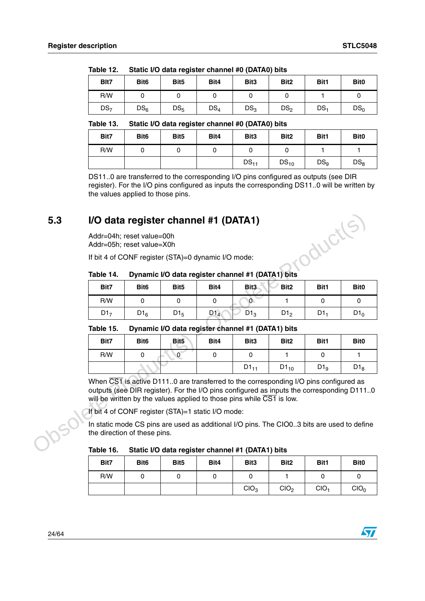| Blt7            | Bit <sub>6</sub> | Bit <sub>5</sub> | Bit4   | Bit <sub>3</sub> | Bit <sub>2</sub> | Bit1            | Bit <sub>0</sub> |
|-----------------|------------------|------------------|--------|------------------|------------------|-----------------|------------------|
| R/W             |                  |                  |        |                  |                  |                 |                  |
| DS <sub>7</sub> | DS <sub>6</sub>  | $DS_5$           | $DS_4$ | DS <sub>3</sub>  | DS <sub>2</sub>  | DS <sub>1</sub> | DS <sub>0</sub>  |

<span id="page-23-1"></span>Table 12. Static I/O data register channel #0 (DATA0) bits

#### <span id="page-23-2"></span>Table 13. Static I/O data register channel #0 (DATA0) bits

| Bit7 | Bit <sub>6</sub> | Bit <sub>5</sub> | Bit4 | Bit <sub>3</sub> | Bit <sub>2</sub> | Bit1            | Bit <sub>0</sub> |
|------|------------------|------------------|------|------------------|------------------|-----------------|------------------|
| R/W  |                  |                  |      |                  |                  |                 |                  |
|      |                  |                  |      | $DS_{11}$        | $DS_{10}$        | DS <sub>9</sub> | DS <sub>8</sub>  |

DS11..0 are transferred to the corresponding I/O pins configured as outputs (see DIR register). For the I/O pins configured as inputs the corresponding DS11..0 will be written by the values applied to those pins.

# <span id="page-23-0"></span>**5.3 I/O data register channel #1 (DATA1)** Table 14. Dynamic I/O data register channel #1 (DATA1) bits<br> **Table 14. Dynamic I/O data register channel #1 (DATA1) bits**

### <span id="page-23-3"></span>Table 14.

| Bit7            | Bit <sub>6</sub> | Bit <sub>5</sub> | Bit4            | Bit <sub>3</sub> | Bit <sub>2</sub> | Bit1 | Bit <sub>0</sub> |
|-----------------|------------------|------------------|-----------------|------------------|------------------|------|------------------|
| R/W             |                  |                  |                 |                  |                  |      |                  |
| D1 <sub>7</sub> | $D1_6$           | $D1_5$           | D1 <sub>4</sub> | $D1_3$           | D1 <sub>2</sub>  | D1.  | $D1_0$           |

#### <span id="page-23-4"></span>Table 15. Dynamic I/O data register channel #1 (DATA1) bits

| 5.3 |                                                        |                                                                                                                                                                                                                                                            | I/O data register channel #1 (DATA1)                                                      |                 |                  |                  |                 |                  |  |  |  |
|-----|--------------------------------------------------------|------------------------------------------------------------------------------------------------------------------------------------------------------------------------------------------------------------------------------------------------------------|-------------------------------------------------------------------------------------------|-----------------|------------------|------------------|-----------------|------------------|--|--|--|
|     | Addr=04h; reset value=00h<br>Addr=05h; reset value=X0h |                                                                                                                                                                                                                                                            |                                                                                           |                 |                  |                  | oduction        |                  |  |  |  |
|     |                                                        |                                                                                                                                                                                                                                                            | If bit 4 of CONF register (STA)=0 dynamic I/O mode:                                       |                 |                  |                  |                 |                  |  |  |  |
|     | Table 14.                                              |                                                                                                                                                                                                                                                            | Dynamic I/O data register channel #1 (DATA1) bits                                         |                 |                  |                  |                 |                  |  |  |  |
|     | Bit7                                                   | Bit <sub>6</sub>                                                                                                                                                                                                                                           | Bit <sub>5</sub>                                                                          | Bit4            | Bit <sub>3</sub> | Bit <sub>2</sub> | Bit1            | Bit <sub>0</sub> |  |  |  |
|     | R/W                                                    | 0                                                                                                                                                                                                                                                          | 0                                                                                         | 0               | $\overline{0}$   | 1.               | 0               | 0                |  |  |  |
|     | D1 <sub>7</sub>                                        | $D1_6$                                                                                                                                                                                                                                                     | $D1_5$                                                                                    | D1 <sub>4</sub> | $D1_3$           | D1 <sub>2</sub>  | D1 <sub>1</sub> | D1 <sub>0</sub>  |  |  |  |
|     | Table 15.                                              |                                                                                                                                                                                                                                                            | Dynamic I/O data register channel #1 (DATA1) bits                                         |                 |                  |                  |                 |                  |  |  |  |
|     | Bit7                                                   | Bit <sub>6</sub>                                                                                                                                                                                                                                           | Bit <sub>5</sub>                                                                          | Bit4            | Bit <sub>3</sub> | Bit <sub>2</sub> | Bit1            | Bit <sub>0</sub> |  |  |  |
|     | R/W                                                    | $\mathbf 0$                                                                                                                                                                                                                                                | $\overline{0}$                                                                            | 0               | 0                | 1                | $\mathbf 0$     | $\mathbf{1}$     |  |  |  |
|     |                                                        |                                                                                                                                                                                                                                                            |                                                                                           |                 | $D1_{11}$        | $D1_{10}$        | D1 <sub>9</sub> | D1 <sub>8</sub>  |  |  |  |
|     |                                                        | When CS1 is active D1110 are transferred to the corresponding I/O pins configured as<br>outputs (see DIR register). For the I/O pins configured as inputs the corresponding D1110<br>will be written by the values applied to those pins while CS1 is low. |                                                                                           |                 |                  |                  |                 |                  |  |  |  |
|     |                                                        |                                                                                                                                                                                                                                                            | If bit 4 of CONF register (STA)=1 static I/O mode:                                        |                 |                  |                  |                 |                  |  |  |  |
|     | the direction of these pins.                           |                                                                                                                                                                                                                                                            | In static mode CS pins are used as additional I/O pins. The CIO03 bits are used to define |                 |                  |                  |                 |                  |  |  |  |
|     | Table 16.                                              |                                                                                                                                                                                                                                                            | Static I/O data register channel #1 (DATA1) bits                                          |                 |                  |                  |                 |                  |  |  |  |

#### <span id="page-23-5"></span>Table 16. Static I/O data register channel #1 (DATA1) bits

| Bit7 | Bit <sub>6</sub> | Bit <sub>5</sub> | Bit4 | Bit <sub>3</sub> | Bit <sub>2</sub> | Bit1             | Bit <sub>0</sub> |
|------|------------------|------------------|------|------------------|------------------|------------------|------------------|
| R/W  |                  |                  |      | ັ                |                  |                  |                  |
|      |                  |                  |      | CIO <sub>3</sub> | CIO <sub>2</sub> | CIO <sub>1</sub> | CIO <sub>0</sub> |

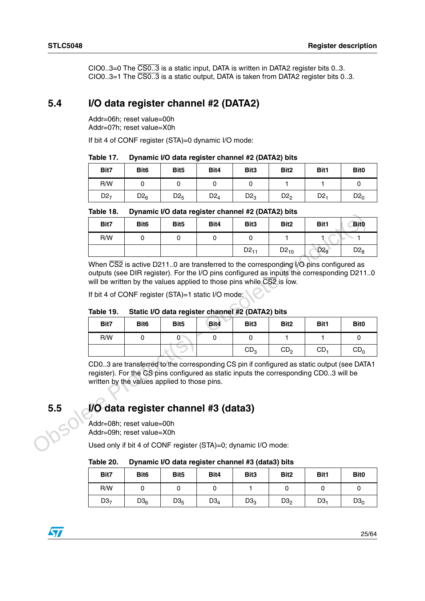CIO0..3=0 The CS0..3 is a static input, DATA is written in DATA2 register bits 0..3. CIO0..3=1 The CS0..3 is a static output, DATA is taken from DATA2 register bits 0..3.

## <span id="page-24-0"></span>**5.4 I/O data register channel #2 (DATA2)**

Addr=06h; reset value=00h Addr=07h; reset value=X0h

If bit 4 of CONF register (STA)=0 dynamic I/O mode:

<span id="page-24-2"></span>Table 17. **Dynamic I/O data register channel #2 (DATA2) bits** 

| Bit7            | Bit <sub>6</sub> | Bit <sub>5</sub> | Bit4   | Bit <sub>3</sub> | Bit <sub>2</sub> | Bit1            | Bit <sub>0</sub> |
|-----------------|------------------|------------------|--------|------------------|------------------|-----------------|------------------|
| R/W             |                  |                  |        |                  |                  |                 |                  |
| D2 <sub>7</sub> | $D2_6$           | D2 <sub>5</sub>  | $D2_4$ | $D2_3$           | D2 <sub>2</sub>  | D2 <sub>1</sub> | $D2_0$           |

<span id="page-24-3"></span>

|  | Table 18. | Dynamic I/O data register channel #2 (DATA2) bits |  |  |  |  |
|--|-----------|---------------------------------------------------|--|--|--|--|
|--|-----------|---------------------------------------------------|--|--|--|--|

|                                                                                                                                                                                                                                                                                                                                                                                                         |                  |          | $D$ ynanno i/O data register channel #2 (DATAZ) bits |                                                    |                                                                                                                           |                                                                                                                                                                                                 |  |  |
|---------------------------------------------------------------------------------------------------------------------------------------------------------------------------------------------------------------------------------------------------------------------------------------------------------------------------------------------------------------------------------------------------------|------------------|----------|------------------------------------------------------|----------------------------------------------------|---------------------------------------------------------------------------------------------------------------------------|-------------------------------------------------------------------------------------------------------------------------------------------------------------------------------------------------|--|--|
| Bit <sub>6</sub>                                                                                                                                                                                                                                                                                                                                                                                        | Bit <sub>5</sub> | Bit4     | Bit <sub>3</sub>                                     | Bit <sub>2</sub>                                   | Bit1                                                                                                                      | <b>Bit0</b>                                                                                                                                                                                     |  |  |
| $\mathbf 0$                                                                                                                                                                                                                                                                                                                                                                                             | $\mathbf 0$      | 0        | $\Omega$                                             | 1.                                                 |                                                                                                                           | 1                                                                                                                                                                                               |  |  |
|                                                                                                                                                                                                                                                                                                                                                                                                         |                  |          | $D2_{11}$                                            | $D2_{10}$                                          | D2 <sub>9</sub>                                                                                                           | $D2_8$                                                                                                                                                                                          |  |  |
|                                                                                                                                                                                                                                                                                                                                                                                                         |                  |          |                                                      |                                                    |                                                                                                                           |                                                                                                                                                                                                 |  |  |
| Bit <sub>6</sub>                                                                                                                                                                                                                                                                                                                                                                                        | Bit <sub>5</sub> | Bit4     | Bit <sub>3</sub>                                     | Bit <sub>2</sub>                                   | Bit1                                                                                                                      | Bit <sub>0</sub>                                                                                                                                                                                |  |  |
| $\Omega$                                                                                                                                                                                                                                                                                                                                                                                                | $0^{\circ}$      | $\Omega$ | $\Omega$                                             | 1                                                  | 1                                                                                                                         | $\mathbf{0}$                                                                                                                                                                                    |  |  |
|                                                                                                                                                                                                                                                                                                                                                                                                         |                  |          | CD <sub>3</sub>                                      | CD <sub>2</sub>                                    | CD <sub>1</sub>                                                                                                           | CD <sub>0</sub>                                                                                                                                                                                 |  |  |
| CD03 are transferred to the corresponding CS pin if configured as static output (see DATA1<br>register). For the CS pins configured as static inputs the corresponding CD03 will be<br>written by the values applied to those pins.<br>I/O data register channel #3 (data3)<br>Addr=08h; reset value=00h<br>Addr=09h; reset value=X0h<br>Used only if bit 4 of CONF register (STA)=0; dynamic I/O mode: |                  |          |                                                      |                                                    |                                                                                                                           |                                                                                                                                                                                                 |  |  |
|                                                                                                                                                                                                                                                                                                                                                                                                         |                  |          |                                                      | If bit 4 of CONF register (STA)=1 static I/O mode: | will be written by the values applied to those pins while CS2 is low.<br>Static I/O data register channel #2 (DATA2) bits | When $\overline{CS2}$ is active D211.0 are transferred to the corresponding I/O pins configured as<br>outputs (see DIR register). For the I/O pins configured as inputs the corresponding D2110 |  |  |

<span id="page-24-4"></span>

|  | Table 19. | Static I/O data register channel #2 (DATA2) bits |  |  |
|--|-----------|--------------------------------------------------|--|--|
|--|-----------|--------------------------------------------------|--|--|

| Bit7 | Bit <sub>6</sub> | Bit <sub>5</sub> | Bit4 | Bit3            | Bit <sub>2</sub> | Bit1            | Bit <sub>0</sub> |
|------|------------------|------------------|------|-----------------|------------------|-----------------|------------------|
| R/W  |                  |                  |      |                 |                  |                 |                  |
|      |                  |                  |      | CD <sub>3</sub> | CD <sub>2</sub>  | CD <sub>1</sub> | CD <sub>0</sub>  |

## <span id="page-24-1"></span>**5.5 I/O data register channel #3 (data3)**

<span id="page-24-5"></span>Table 20. **Dynamic I/O data register channel #3 (data3) bits** 

| Bit7            | Bit <sub>6</sub> | Bit <sub>5</sub> | Bit4            | Bit <sub>3</sub> | Bit <sub>2</sub> | Bit1            | Bit <sub>0</sub> |
|-----------------|------------------|------------------|-----------------|------------------|------------------|-----------------|------------------|
| R/W             |                  |                  |                 |                  |                  |                 |                  |
| D3 <sub>7</sub> | D3 <sub>6</sub>  | D3 <sub>5</sub>  | D3 <sub>4</sub> | D3 <sub>3</sub>  | D3 <sub>2</sub>  | D3 <sub>1</sub> | $D3_0$           |

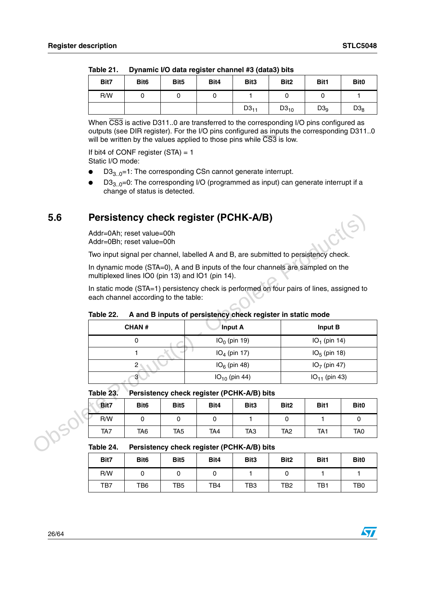|      | - - - - - - - - - - - |                  |      |                  | .                |                 |                  |
|------|-----------------------|------------------|------|------------------|------------------|-----------------|------------------|
| Bit7 | Bit <sub>6</sub>      | Bit <sub>5</sub> | Bit4 | Bit <sub>3</sub> | Bit <sub>2</sub> | Bit1            | Bit <sub>0</sub> |
| R/W  |                       |                  |      |                  |                  |                 |                  |
|      |                       |                  |      | $D3_{11}$        | $D3_{10}$        | D3 <sub>9</sub> | $D3_8$           |

<span id="page-25-1"></span>Table 21. **Dynamic I/O data register channel #3 (data3) bits** 

When  $\overline{CS3}$  is active D311..0 are transferred to the corresponding I/O pins configured as outputs (see DIR register). For the I/O pins configured as inputs the corresponding D311..0 will be written by the values applied to those pins while  $\overline{CS3}$  is low.

If bit4 of CONF register  $(STA) = 1$ Static I/O mode:

- $D3_{3.0}$ =1: The corresponding CSn cannot generate interrupt.
- $D3_{3.0}$ =0: The corresponding I/O (programmed as input) can generate interrupt if a change of status is detected.

## <span id="page-25-0"></span>**5.6 Persistency check register (PCHK-A/B)**

<span id="page-25-2"></span>

| Table 22. |  | A and B inputs of persistency check register in static mode |
|-----------|--|-------------------------------------------------------------|
|-----------|--|-------------------------------------------------------------|

| 5.6 | Persistency check register (PCHK-A/B)                   |                                                        |                  |                |                                                             |                  |                  |                                                                                           |                  |  |  |
|-----|---------------------------------------------------------|--------------------------------------------------------|------------------|----------------|-------------------------------------------------------------|------------------|------------------|-------------------------------------------------------------------------------------------|------------------|--|--|
|     |                                                         | Addr=0Ah; reset value=00h<br>Addr=0Bh; reset value=00h |                  |                |                                                             |                  |                  |                                                                                           |                  |  |  |
|     |                                                         |                                                        |                  |                |                                                             |                  |                  | Two input signal per channel, labelled A and B, are submitted to persistency check.       |                  |  |  |
|     |                                                         | multiplexed lines IO0 (pin 13) and IO1 (pin 14).       |                  |                |                                                             |                  |                  | In dynamic mode (STA=0), A and B inputs of the four channels are sampled on the           |                  |  |  |
|     |                                                         | each channel according to the table:                   |                  |                |                                                             |                  |                  | In static mode (STA=1) persistency check is performed on four pairs of lines, assigned to |                  |  |  |
|     | Table 22.                                               |                                                        |                  |                | A and B inputs of persistency check register in static mode |                  |                  |                                                                                           |                  |  |  |
|     |                                                         | <b>CHAN#</b>                                           |                  |                | <b>Input A</b>                                              |                  |                  | Input B                                                                                   |                  |  |  |
|     |                                                         | 0                                                      |                  | $IO0$ (pin 19) |                                                             |                  |                  | $IO1$ (pin 14)                                                                            |                  |  |  |
|     |                                                         | 1                                                      |                  | $IO4$ (pin 17) |                                                             |                  |                  | $IO5$ (pin 18)                                                                            |                  |  |  |
|     |                                                         | $\overline{\mathbf{c}}$                                |                  |                | $IO6$ (pin 48)                                              |                  |                  | $IO7$ (pin 47)                                                                            |                  |  |  |
|     |                                                         | 3                                                      |                  |                | $IO10$ (pin 44)                                             |                  |                  | $IO_{11}$ (pin 43)                                                                        |                  |  |  |
|     | Table 23.                                               |                                                        |                  |                | Persistency check register (PCHK-A/B) bits                  |                  |                  |                                                                                           |                  |  |  |
|     | Bit7                                                    | Bit <sub>6</sub>                                       | Bit <sub>5</sub> |                | Bit4                                                        | Bit <sub>3</sub> | Bit <sub>2</sub> | Bit1                                                                                      | Bit <sub>0</sub> |  |  |
|     | R/W                                                     | $\mathbf 0$                                            | $\Omega$         |                | $\Omega$                                                    | 1                | $\mathbf{0}$     | 1                                                                                         | $\mathbf 0$      |  |  |
|     | TA7                                                     | TA <sub>6</sub>                                        | TA <sub>5</sub>  |                | TA <sub>4</sub>                                             | TA <sub>3</sub>  | TA <sub>2</sub>  | TA <sub>1</sub>                                                                           | TA <sub>0</sub>  |  |  |
|     | Table 24.<br>Persistency check register (PCHK-A/B) bits |                                                        |                  |                |                                                             |                  |                  |                                                                                           |                  |  |  |

#### <span id="page-25-3"></span>Table 23. Persistency check register (PCHK-A/B) bits

| Bit7 | Bit <sub>6</sub> | Bit <sub>5</sub> | Bit4            | Bit <sub>3</sub> | Bit <sub>2</sub> | Bit1            | Bit <sub>0</sub> |
|------|------------------|------------------|-----------------|------------------|------------------|-----------------|------------------|
| R/W  |                  |                  |                 |                  |                  |                 |                  |
| TA7  | TA6              | TA5              | TA <sub>4</sub> | TA <sub>3</sub>  | TA <sub>2</sub>  | TA <sub>1</sub> | TA <sub>0</sub>  |

<span id="page-25-4"></span>Table 24. Persistency check register (PCHK-A/B) bits

| Bit7 | Bit <sub>6</sub> | Bit <sub>5</sub> | Bit4 | Bit <sub>3</sub> | Bit <sub>2</sub> | Bit1 | Bit <sub>0</sub> |
|------|------------------|------------------|------|------------------|------------------|------|------------------|
| R/W  |                  |                  |      |                  |                  |      |                  |
| TB7  | TB6              | TB5              | TB4  | TB3              | TB2              | TB1  | TB <sub>0</sub>  |

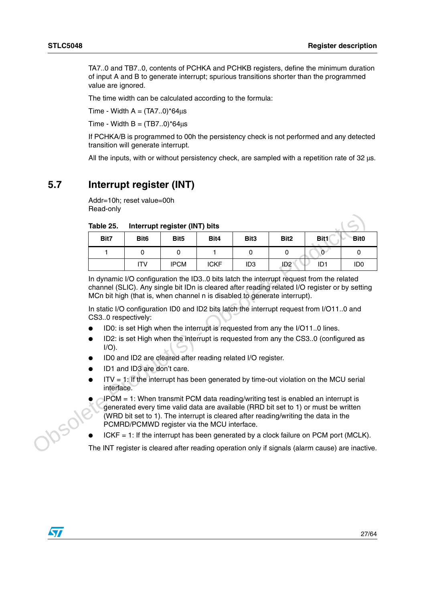TA7..0 and TB7..0, contents of PCHKA and PCHKB registers, define the minimum duration of input A and B to generate interrupt; spurious transitions shorter than the programmed value are ignored.

The time width can be calculated according to the formula:

Time - Width  $A = (TA7..0)^*64\mu s$ 

Time - Width  $B = (TB7..0)^*64\mu s$ 

If PCHKA/B is programmed to 00h the persistency check is not performed and any detected transition will generate interrupt.

All the inputs, with or without persistency check, are sampled with a repetition rate of 32 μs.

## <span id="page-26-0"></span>**5.7 Interrupt register (INT)**

Addr=10h; reset value=00h Read-only

| Table 25.                                                                                                                                                                                                                   |                  | Interrupt register (INT) bits |                                             |                  |                                                                                                                                                                                                                                                                                                                                                                                                                                                                                                                                        |                  |                 |  |  |
|-----------------------------------------------------------------------------------------------------------------------------------------------------------------------------------------------------------------------------|------------------|-------------------------------|---------------------------------------------|------------------|----------------------------------------------------------------------------------------------------------------------------------------------------------------------------------------------------------------------------------------------------------------------------------------------------------------------------------------------------------------------------------------------------------------------------------------------------------------------------------------------------------------------------------------|------------------|-----------------|--|--|
| Bit7                                                                                                                                                                                                                        | Bit <sub>6</sub> | Bit <sub>5</sub>              | Bit4                                        | Bit <sub>3</sub> | Bit <sub>2</sub>                                                                                                                                                                                                                                                                                                                                                                                                                                                                                                                       | Bit <sub>1</sub> | <b>Bit0</b>     |  |  |
| 1                                                                                                                                                                                                                           | 0                | 0                             | 1                                           | 0                | $\mathbf{0}$                                                                                                                                                                                                                                                                                                                                                                                                                                                                                                                           | $\overline{0}$   | 0               |  |  |
|                                                                                                                                                                                                                             | <b>ITV</b>       | <b>IPCM</b>                   | <b>ICKF</b>                                 | ID <sub>3</sub>  | ID <sub>2</sub>                                                                                                                                                                                                                                                                                                                                                                                                                                                                                                                        | ID <sub>1</sub>  | ID <sub>0</sub> |  |  |
| CS30 respectively:                                                                                                                                                                                                          |                  |                               |                                             |                  | In dynamic I/O configuration the ID30 bits latch the interrupt request from the related<br>channel (SLIC). Any single bit IDn is cleared after reading related I/O register or by setting<br>MCn bit high (that is, when channel n is disabled to generate interrupt).<br>In static I/O configuration ID0 and ID2 bits latch the interrupt request from I/O110 and<br>ID0: is set High when the interrupt is requested from any the I/O110 lines.<br>ID2: is set High when the interrupt is requested from any the CS30 (configured as |                  |                 |  |  |
| $I/O$ ).<br>ID0 and ID2 are cleared after reading related I/O register.<br>ID1 and ID3 are don't care.<br>$IV = 1$ : If the interrupt has been generated by time-out violation on the MCU serial<br>$\bullet$<br>interface. |                  |                               |                                             |                  |                                                                                                                                                                                                                                                                                                                                                                                                                                                                                                                                        |                  |                 |  |  |
|                                                                                                                                                                                                                             |                  |                               | PCMRD/PCMWD register via the MCU interface. |                  | IPCM = 1: When transmit PCM data reading/writing test is enabled an interrupt is<br>generated every time valid data are available (RRD bit set to 1) or must be written<br>(WRD bit set to 1). The interrupt is cleared after reading/writing the data in the                                                                                                                                                                                                                                                                          |                  |                 |  |  |
|                                                                                                                                                                                                                             |                  |                               |                                             |                  | $ICKF = 1$ : If the interrupt has been generated by a clock failure on PCM port (MCLK).                                                                                                                                                                                                                                                                                                                                                                                                                                                |                  |                 |  |  |
|                                                                                                                                                                                                                             |                  |                               |                                             |                  | The INT register is cleared after reading operation only if signals (alarm cause) are inactive.                                                                                                                                                                                                                                                                                                                                                                                                                                        |                  |                 |  |  |

#### <span id="page-26-1"></span>ı **Table 25. Interrupt register (INT) bits**

- ID0: is set High when the interrupt is requested from any the I/O11..0 lines.
- ID2: is set High when the interrupt is requested from any the CS3..0 (configured as  $I/O$ ).
- ID0 and ID2 are cleared after reading related I/O register.
- ID1 and ID3 are don't care.
- $IV = 1$ : If the interrupt has been generated by time-out violation on the MCU serial interface.
	- $IPCM = 1$ : When transmit PCM data reading/writing test is enabled an interrupt is generated every time valid data are available (RRD bit set to 1) or must be written (WRD bit set to 1). The interrupt is cleared after reading/writing the data in the PCMRD/PCMWD register via the MCU interface.
- $ICKF = 1$ : If the interrupt has been generated by a clock failure on PCM port (MCLK).

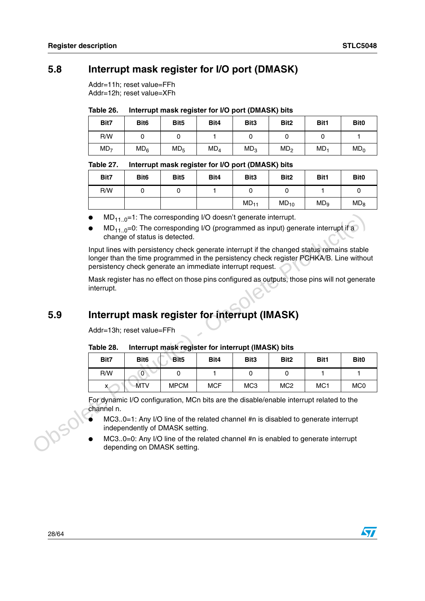## <span id="page-27-0"></span>**5.8 Interrupt mask register for I/O port (DMASK)**

Addr=11h; reset value=FFh Addr=12h; reset value=XFh

<span id="page-27-2"></span>

| Table 26. | Interrupt mask register for I/O port (DMASK) bits |
|-----------|---------------------------------------------------|
|-----------|---------------------------------------------------|

| Bit7            | Bit <sub>6</sub> | Bit <sub>5</sub> | Bit4            | Bit <sub>3</sub> | Bit <sub>2</sub> | Bit1            | Bit <sub>0</sub> |
|-----------------|------------------|------------------|-----------------|------------------|------------------|-----------------|------------------|
| R/W             |                  |                  |                 |                  |                  |                 |                  |
| MD <sub>7</sub> | MD <sub>6</sub>  | MD <sub>5</sub>  | MD <sub>4</sub> | MD <sub>3</sub>  | MD <sub>2</sub>  | MD <sub>1</sub> | MD <sub>0</sub>  |

#### <span id="page-27-3"></span>Table 27. Interrupt mask register for I/O port (DMASK) bits

| Bit7 | Bit <sub>6</sub> | Bit <sub>5</sub> | Bit4 | Bit3      | Bit <sub>2</sub> | Bit1            | Bit <sub>0</sub> |
|------|------------------|------------------|------|-----------|------------------|-----------------|------------------|
| R/W  |                  |                  |      |           |                  |                 | U                |
|      |                  |                  |      | $MD_{11}$ | $MD_{10}$        | MD <sub>9</sub> | MD <sub>8</sub>  |

- $MD_{11}$   $_{0}$ =1: The corresponding I/O doesn't generate interrupt.
- $MD_{11..0} = 0$ : The corresponding I/O (programmed as input) generate interrupt if a change of status is detected.

## <span id="page-27-1"></span>**5.9 Interrupt mask register for interrupt (IMASK)**

#### <span id="page-27-4"></span>Table 28. **Interrupt mask register for interrupt (IMASK) bits**

|     |                                                                                                             |                                                                                                                                                   | $MD_{110} = 1$ : The corresponding I/O doesn't generate interrupt.                                                                                                                                                                                  |            |                  |                  |      |                  |  |  |  |
|-----|-------------------------------------------------------------------------------------------------------------|---------------------------------------------------------------------------------------------------------------------------------------------------|-----------------------------------------------------------------------------------------------------------------------------------------------------------------------------------------------------------------------------------------------------|------------|------------------|------------------|------|------------------|--|--|--|
|     |                                                                                                             | change of status is detected.                                                                                                                     | $MD_{110}=0$ : The corresponding I/O (programmed as input) generate interrupt if a                                                                                                                                                                  |            |                  |                  |      |                  |  |  |  |
|     |                                                                                                             |                                                                                                                                                   | Input lines with persistency check generate interrupt if the changed status remains stable<br>longer than the time programmed in the persistency check register PCHKA/B. Line without<br>persistency check generate an immediate interrupt request. |            |                  |                  |      |                  |  |  |  |
|     | Mask register has no effect on those pins configured as outputs, those pins will not generate<br>interrupt. |                                                                                                                                                   |                                                                                                                                                                                                                                                     |            |                  |                  |      |                  |  |  |  |
| 5.9 |                                                                                                             | Interrupt mask register for interrupt (IMASK)                                                                                                     |                                                                                                                                                                                                                                                     |            |                  |                  |      |                  |  |  |  |
|     | Addr=13h; reset value=FFh                                                                                   |                                                                                                                                                   |                                                                                                                                                                                                                                                     |            |                  |                  |      |                  |  |  |  |
|     | Table 28.                                                                                                   |                                                                                                                                                   | Interrupt mask register for interrupt (IMASK) bits                                                                                                                                                                                                  |            |                  |                  |      |                  |  |  |  |
|     | Bit7                                                                                                        | Bit <sub>6</sub>                                                                                                                                  | Bit <sub>5</sub>                                                                                                                                                                                                                                    | Bit4       | Bit <sub>3</sub> | Bit <sub>2</sub> | Bit1 | Bit <sub>0</sub> |  |  |  |
|     | R/W                                                                                                         | $\mathbf{0}$                                                                                                                                      | 0                                                                                                                                                                                                                                                   | 1          | 0                | $\mathbf 0$      | 1    | $\mathbf{1}$     |  |  |  |
|     | x                                                                                                           | <b>MTV</b>                                                                                                                                        | <b>MPCM</b>                                                                                                                                                                                                                                         | <b>MCF</b> | MC <sub>3</sub>  | MC <sub>2</sub>  | MC1  | MC <sub>0</sub>  |  |  |  |
|     | channel n.                                                                                                  |                                                                                                                                                   | For dynamic I/O configuration, MCn bits are the disable/enable interrupt related to the                                                                                                                                                             |            |                  |                  |      |                  |  |  |  |
|     |                                                                                                             |                                                                                                                                                   | MC30=1: Any I/O line of the related channel #n is disabled to generate interrupt                                                                                                                                                                    |            |                  |                  |      |                  |  |  |  |
|     |                                                                                                             | independently of DMASK setting.<br>MC30=0: Any I/O line of the related channel #n is enabled to generate interrupt<br>depending on DMASK setting. |                                                                                                                                                                                                                                                     |            |                  |                  |      |                  |  |  |  |

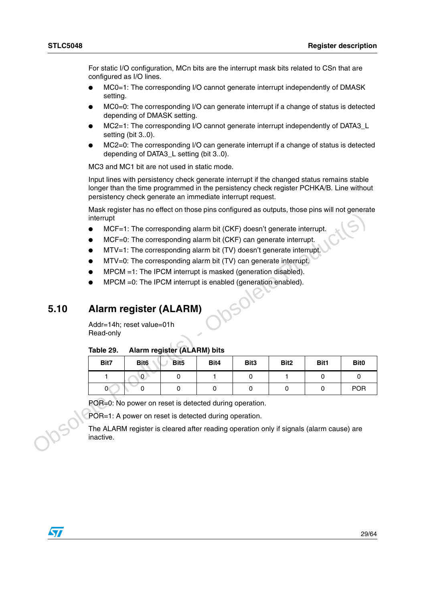For static I/O configuration, MCn bits are the interrupt mask bits related to CSn that are configured as I/O lines.

- MC0=1: The corresponding I/O cannot generate interrupt independently of DMASK setting.
- MC0=0: The corresponding I/O can generate interrupt if a change of status is detected depending of DMASK setting.
- MC2=1: The corresponding I/O cannot generate interrupt independently of DATA3\_L setting (bit 3..0).
- $MC2=0$ : The corresponding I/O can generate interrupt if a change of status is detected depending of DATA3 L setting (bit 3..0).

MC3 and MC1 bit are not used in static mode.

Input lines with persistency check generate interrupt if the changed status remains stable longer than the time programmed in the persistency check register PCHKA/B. Line without persistency check generate an immediate interrupt request.

Mask register has no effect on those pins configured as outputs, those pins will not generate interrupt

- MCF=1: The corresponding alarm bit (CKF) doesn't generate interrupt.
- MCF=0: The corresponding alarm bit (CKF) can generate interrupt.
- $MTV=1$ : The corresponding alarm bit (TV) doesn't generate interrupt.
- MTV=0: The corresponding alarm bit (TV) can generate interrupt.
- $MPCM = 1$ : The IPCM interrupt is masked (generation disabled).
- $MPCM = 0$ : The IPCM interrupt is enabled (generation enabled).

## <span id="page-28-0"></span>**5.10 Alarm register (ALARM)**

#### <span id="page-28-1"></span>Table 29. **Alarm register (ALARM) bits**

|      | interrupt                                                                                            |                  |                             |      |                                                                      |                  |          |                  |  |  |  |  |
|------|------------------------------------------------------------------------------------------------------|------------------|-----------------------------|------|----------------------------------------------------------------------|------------------|----------|------------------|--|--|--|--|
|      |                                                                                                      |                  |                             |      | MCF=1: The corresponding alarm bit (CKF) doesn't generate interrupt. |                  |          |                  |  |  |  |  |
|      |                                                                                                      |                  |                             |      | MCF=0: The corresponding alarm bit (CKF) can generate interrupt.     |                  |          |                  |  |  |  |  |
|      |                                                                                                      |                  |                             |      | MTV=1: The corresponding alarm bit (TV) doesn't generate interrupt.  |                  |          |                  |  |  |  |  |
|      |                                                                                                      |                  |                             |      | MTV=0: The corresponding alarm bit (TV) can generate interrupt.      |                  |          |                  |  |  |  |  |
|      | MPCM =1: The IPCM interrupt is masked (generation disabled).                                         |                  |                             |      |                                                                      |                  |          |                  |  |  |  |  |
|      |                                                                                                      |                  |                             |      | MPCM = 0: The IPCM interrupt is enabled (generation enabled).        |                  |          |                  |  |  |  |  |
|      |                                                                                                      |                  |                             |      |                                                                      |                  |          |                  |  |  |  |  |
|      |                                                                                                      |                  |                             |      |                                                                      |                  |          |                  |  |  |  |  |
| 5.10 | <b>Alarm register (ALARM)</b>                                                                        |                  |                             |      |                                                                      |                  |          |                  |  |  |  |  |
|      | Addr=14h; reset value=01h                                                                            |                  |                             |      |                                                                      |                  |          |                  |  |  |  |  |
|      | Read-only                                                                                            |                  |                             |      |                                                                      |                  |          |                  |  |  |  |  |
|      | Table 29.                                                                                            |                  | Alarm register (ALARM) bits |      |                                                                      |                  |          |                  |  |  |  |  |
|      | Bit7                                                                                                 | Bit <sub>6</sub> | Bit <sub>5</sub>            | Bit4 | Bit <sub>3</sub>                                                     | Bit <sub>2</sub> | Bit1     | Bit <sub>0</sub> |  |  |  |  |
|      | $\mathbf{1}$                                                                                         | $\overline{O}$   | $\Omega$                    | 1    | $\Omega$                                                             | 1.               | $\Omega$ | $\Omega$         |  |  |  |  |
|      | $\mathbf{0}$                                                                                         | $\Omega$         | 0                           | 0    | 0                                                                    | $\Omega$         | 0        | POR              |  |  |  |  |
|      | POR=0: No power on reset is detected during operation.                                               |                  |                             |      |                                                                      |                  |          |                  |  |  |  |  |
|      | POR=1: A power on reset is detected during operation.                                                |                  |                             |      |                                                                      |                  |          |                  |  |  |  |  |
|      | The ALARM register is cleared after reading operation only if signals (alarm cause) are<br>inactive. |                  |                             |      |                                                                      |                  |          |                  |  |  |  |  |
|      |                                                                                                      |                  |                             |      |                                                                      |                  |          |                  |  |  |  |  |

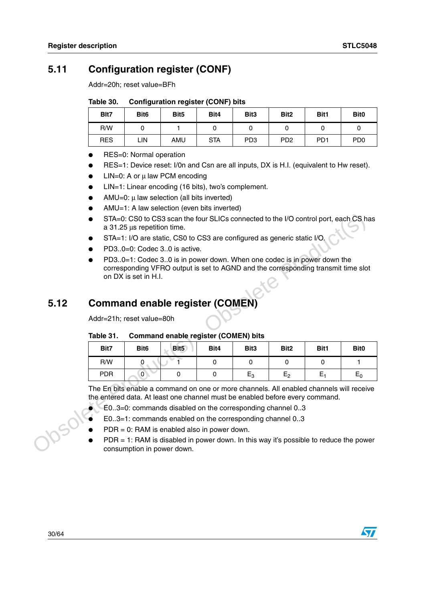## <span id="page-29-0"></span>**5.11 Configuration register (CONF)**

Addr=20h; reset value=BFh

#### <span id="page-29-2"></span>Table 30. **Configuration register (CONF) bits**

| Blt7       | Bit <sub>6</sub> | Bit <sub>5</sub> | Bit4       | Bit <sub>3</sub> | Bit <sub>2</sub>            | Bit1             | Bit <sub>0</sub> |
|------------|------------------|------------------|------------|------------------|-----------------------------|------------------|------------------|
| R/W        |                  |                  |            |                  |                             |                  |                  |
| <b>RES</b> | LIN              | AMU              | <b>STA</b> | PD <sub>3</sub>  | P <sub>D</sub> <sub>2</sub> | P <sub>D</sub> 1 | P <sub>D</sub>   |

- RES=0: Normal operation
- RES=1: Device reset: I/0n and Csn are all inputs, DX is H.I. (equivalent to Hw reset).
- LIN=0: A or  $\mu$  law PCM encoding
- LIN=1: Linear encoding (16 bits), two's complement.
- AMU=0:  $μ$  law selection (all bits inverted)
- AMU=1: A law selection (even bits inverted)
- STA=0: CS0 to CS3 scan the four SLICs connected to the I/O control port, each CS has a 31.25 μs repetition time.
- STA=1: I/O are static, CS0 to CS3 are configured as generic static I/O.
- PD3..0=0: Codec 3..0 is active.
- PD3..0=1: Codec 3..0 is in power down. When one codec is in power down the corresponding VFRO output is set to AGND and the corresponding transmit time slot on DX is set in H.I.

## <span id="page-29-1"></span>**5.12 Command enable register (COMEN)**

#### <span id="page-29-3"></span>Table 31. **Command enable register (COMEN) bits**

|      | STA=0: CS0 to CS3 scan the four SLICs connected to the I/O control port, each CS has<br>a 31.25 µs repetition time.<br>STA=1: I/O are static, CS0 to CS3 are configured as generic static I/O.<br>PD30=0: Codec 30 is active.<br>PD30=1: Codec 30 is in power down. When one codec is in power down the<br>corresponding VFRO output is set to AGND and the corresponding transmit time slot<br>on DX is set in H.I. |                                                                                                                                                                                                                                     |                  |          |                  |                  |       |                  |  |  |
|------|----------------------------------------------------------------------------------------------------------------------------------------------------------------------------------------------------------------------------------------------------------------------------------------------------------------------------------------------------------------------------------------------------------------------|-------------------------------------------------------------------------------------------------------------------------------------------------------------------------------------------------------------------------------------|------------------|----------|------------------|------------------|-------|------------------|--|--|
| 5.12 |                                                                                                                                                                                                                                                                                                                                                                                                                      | <b>Command enable register (COMEN)</b>                                                                                                                                                                                              |                  |          |                  |                  |       |                  |  |  |
|      | Addr=21h; reset value=80h                                                                                                                                                                                                                                                                                                                                                                                            |                                                                                                                                                                                                                                     |                  |          |                  |                  |       |                  |  |  |
|      | <b>Command enable register (COMEN) bits</b><br>Table 31.                                                                                                                                                                                                                                                                                                                                                             |                                                                                                                                                                                                                                     |                  |          |                  |                  |       |                  |  |  |
|      | Bit7                                                                                                                                                                                                                                                                                                                                                                                                                 | Bit <sub>6</sub>                                                                                                                                                                                                                    | Bit <sub>5</sub> | Bit4     | Bit <sub>3</sub> | Bit <sub>2</sub> | Bit1  | Bit <sub>0</sub> |  |  |
|      | R/W                                                                                                                                                                                                                                                                                                                                                                                                                  | 0                                                                                                                                                                                                                                   |                  | 0        | $\Omega$         | $\Omega$         | 0     | 1                |  |  |
|      | <b>PDR</b>                                                                                                                                                                                                                                                                                                                                                                                                           | $\overline{0}$                                                                                                                                                                                                                      | $\Omega$         | $\Omega$ | $E_3$            | E <sub>2</sub>   | $E_1$ | $E_0$            |  |  |
|      |                                                                                                                                                                                                                                                                                                                                                                                                                      | The En bits enable a command on one or more channels. All enabled channels will receive<br>the entered data. At least one channel must be enabled before every command.<br>E03=0: commands disabled on the corresponding channel 03 |                  |          |                  |                  |       |                  |  |  |
|      |                                                                                                                                                                                                                                                                                                                                                                                                                      | E03=1: commands enabled on the corresponding channel 03                                                                                                                                                                             |                  |          |                  |                  |       |                  |  |  |
|      |                                                                                                                                                                                                                                                                                                                                                                                                                      | $PDR = 0$ : RAM is enabled also in power down.                                                                                                                                                                                      |                  |          |                  |                  |       |                  |  |  |
|      |                                                                                                                                                                                                                                                                                                                                                                                                                      | PDR = 1: RAM is disabled in power down. In this way it's possible to reduce the power<br>consumption in power down.                                                                                                                 |                  |          |                  |                  |       |                  |  |  |

- $E0..3=0$ : commands disabled on the corresponding channel  $0..3$
- $E0..3=1$ : commands enabled on the corresponding channel  $0..3$
- $PDR = 0$ : RAM is enabled also in power down.
- $PDR = 1$ : RAM is disabled in power down. In this way it's possible to reduce the power consumption in power down.

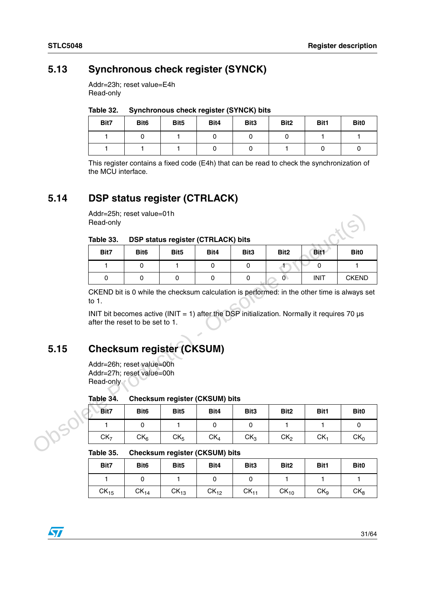## <span id="page-30-0"></span>**5.13 Synchronous check register (SYNCK)**

Addr=23h; reset value=E4h Read-only

<span id="page-30-3"></span>

| Table 32. |  | <b>Synchronous check register (SYNCK) bits</b> |  |
|-----------|--|------------------------------------------------|--|
|-----------|--|------------------------------------------------|--|

| Bit7 | Bit <sub>6</sub> | Bit <sub>5</sub> | Bit4 | Bit <sub>3</sub> | Bit <sub>2</sub> | Bit1 | Bit <sub>0</sub> |
|------|------------------|------------------|------|------------------|------------------|------|------------------|
|      |                  |                  |      |                  |                  |      |                  |
|      |                  |                  |      |                  |                  |      |                  |

This register contains a fixed code (E4h) that can be read to check the synchronization of the MCU interface.

## <span id="page-30-1"></span>**5.14 DSP status register (CTRLACK)**

Addr=25h; reset value=01h Read-only

#### <span id="page-30-4"></span>Table 33. **DSP status register (CTRLACK) bits**

|      | Addr=25h; reset value=01h<br>Read-only                              |                  |                                                                                                  |                 |                  |                  |                 |                                                                                             |
|------|---------------------------------------------------------------------|------------------|--------------------------------------------------------------------------------------------------|-----------------|------------------|------------------|-----------------|---------------------------------------------------------------------------------------------|
|      | Table 33.                                                           |                  | DSP status register (CTRLACK) bits                                                               |                 |                  |                  |                 |                                                                                             |
|      | Bit7                                                                | Bit <sub>6</sub> | Bit <sub>5</sub>                                                                                 | Bit4            | Bit <sub>3</sub> | Bit <sub>2</sub> | Bit1            | Bit <sub>0</sub>                                                                            |
|      | 1                                                                   | $\Omega$         | 1                                                                                                | $\Omega$        | $\mathbf{0}$     | Æ                | 0               | 1.                                                                                          |
|      | 0                                                                   | $\Omega$         | $\Omega$                                                                                         | $\Omega$        | 0                | $\overline{0}$   | <b>INIT</b>     | <b>CKEND</b>                                                                                |
|      | to $1.$                                                             |                  |                                                                                                  |                 |                  |                  |                 | CKEND bit is 0 while the checksum calculation is performed: in the other time is always set |
|      | after the reset to be set to 1.                                     |                  | INIT bit becomes active (INIT = 1) after the DSP initialization. Normally it requires 70 $\mu$ s |                 |                  |                  |                 |                                                                                             |
| 5.15 |                                                                     |                  | <b>Checksum register (CKSUM)</b>                                                                 |                 |                  |                  |                 |                                                                                             |
|      | Addr=26h; reset value=00h<br>Addr=27h; reset value=00h<br>Read-only |                  |                                                                                                  |                 |                  |                  |                 |                                                                                             |
|      | Table 34.                                                           |                  | <b>Checksum register (CKSUM) bits</b>                                                            |                 |                  |                  |                 |                                                                                             |
|      | Bit7                                                                | Bit <sub>6</sub> | Bit <sub>5</sub>                                                                                 | Bit4            | Bit <sub>3</sub> | Bit <sub>2</sub> | Bit1            | Bit <sub>0</sub>                                                                            |
|      | 1                                                                   | $\Omega$         | $\mathbf{1}$                                                                                     | $\mathbf{0}$    | $\Omega$         | 1.               | 1               | 0                                                                                           |
|      | CK <sub>7</sub>                                                     | CK <sub>6</sub>  | CK <sub>5</sub>                                                                                  | CK <sub>4</sub> | CK <sub>3</sub>  | CK <sub>2</sub>  | CK <sub>1</sub> | CK <sub>0</sub>                                                                             |
|      | 7ahle 35                                                            |                  | Chackerim ragister (CKSHM) hits                                                                  |                 |                  |                  |                 |                                                                                             |

## <span id="page-30-2"></span>**5.15 Checksum register (CKSUM)**

#### <span id="page-30-5"></span>Table 34. **Checksum register (CKSUM) bits**

| Bit7            | Bit <sub>6</sub> | Bit <sub>5</sub> | Bit4            | Bit <sub>3</sub> | Bit <sub>2</sub> | Bit1 | Bit <sub>0</sub> |
|-----------------|------------------|------------------|-----------------|------------------|------------------|------|------------------|
|                 |                  |                  |                 |                  |                  |      |                  |
| CK <sub>7</sub> | $CK_{6}$         | CK <sub>5</sub>  | CK <sub>4</sub> | CK <sub>3</sub>  | CK <sub>2</sub>  | CK.  | CK <sub>0</sub>  |

#### <span id="page-30-6"></span>Table 35. **Checksum register (CKSUM) bits**

| Bit7      | Bit <sub>6</sub> | Bit <sub>5</sub> | Bit4      | Bit <sub>3</sub> | Bit <sub>2</sub> | Bit1            | Bit <sub>0</sub> |
|-----------|------------------|------------------|-----------|------------------|------------------|-----------------|------------------|
|           |                  |                  |           |                  |                  |                 |                  |
| $CK_{15}$ | $CK_{14}$        | $CK_{13}$        | $CK_{12}$ | $CK_{11}$        | $CK_{10}$        | CK <sub>9</sub> | CK <sub>8</sub>  |

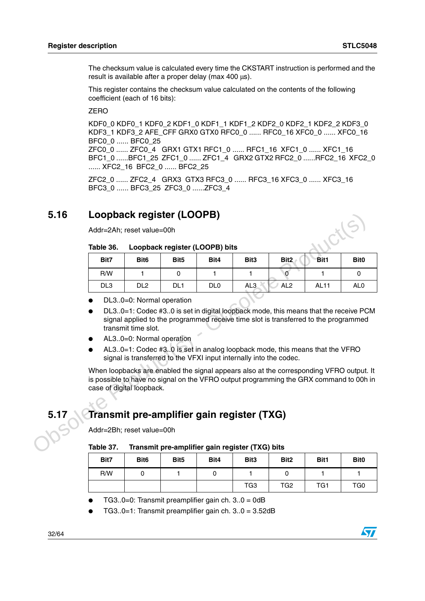The checksum value is calculated every time the CKSTART instruction is performed and the result is available after a proper delay (max 400 μs).

This register contains the checksum value calculated on the contents of the following coefficient (each of 16 bits):

ZERO

KDF0\_0 KDF0\_1 KDF0\_2 KDF1\_0 KDF1\_1 KDF1\_2 KDF2\_0 KDF2\_2 KDF3\_0 KDF3\_1 KDF3\_2 AFE\_CFF GRX0 GTX0 RFC0\_0 ...... RFC0\_16 XFC0\_0 ...... XFC0\_16 BFC0\_0 ...... BFC0\_25 ZFC0\_0 ...... ZFC0\_4 GRX1 GTX1 RFC1\_0 ...... RFC1\_16 XFC1\_0 ...... XFC1\_16

BFC1\_0 ......BFC1\_25\_ZFC1\_0 ...... ZFC1\_4 \_GRX2 GTX2 RFC2\_0 ......RFC2\_16 XFC2\_0 ...... XFC2\_16 BFC2\_0 ...... BFC2\_25

ZFC2\_0 ...... ZFC2\_4 GRX3 GTX3 RFC3\_0 ...... RFC3\_16 XFC3\_0 ...... XFC3\_16 BFC3\_0 ...... BFC3\_25 ZFC3\_0 ......ZFC3\_4

## <span id="page-31-0"></span>**5.16 Loopback register (LOOPB)**

#### <span id="page-31-2"></span>Table 36. Loopback register (LOOPB) bits

| 5.16 |                           |                          | Loopback register (LOOPB)                                                                                                                                                         |                  |                 |                 |             |                 |
|------|---------------------------|--------------------------|-----------------------------------------------------------------------------------------------------------------------------------------------------------------------------------|------------------|-----------------|-----------------|-------------|-----------------|
|      | Addr=2Ah; reset value=00h |                          |                                                                                                                                                                                   |                  |                 |                 |             |                 |
|      | Table 36.                 |                          | Loopback register (LOOPB) bits                                                                                                                                                    |                  |                 |                 |             |                 |
|      | Bit7                      | Bit <sub>2</sub>         | Bit1                                                                                                                                                                              | Bit <sub>0</sub> |                 |                 |             |                 |
|      | R/W                       | $\mathbf{1}$             | $\mathbf 0$                                                                                                                                                                       | 1                | 1               | $\Omega$        | 1           | $\mathbf 0$     |
|      | DL <sub>3</sub>           | DL <sub>2</sub>          | DL <sub>1</sub>                                                                                                                                                                   | DL <sub>0</sub>  | AL <sub>3</sub> | AL <sub>2</sub> | <b>AL11</b> | AL <sub>0</sub> |
|      |                           | DL30=0: Normal operation |                                                                                                                                                                                   |                  |                 |                 |             |                 |
|      |                           | transmit time slot.      | DL30=1: Codec #30 is set in digital loopback mode, this means that the receive PCM<br>signal applied to the programmed receive time slot is transferred to the programmed         |                  |                 |                 |             |                 |
|      |                           | AL30=0: Normal operation |                                                                                                                                                                                   |                  |                 |                 |             |                 |
|      |                           |                          | AL30=1: Codec #30 is set in analog loopback mode, this means that the VFRO<br>signal is transferred to the VFXI input internally into the codec.                                  |                  |                 |                 |             |                 |
|      | case of digital loopback. |                          | When loopbacks are enabled the signal appears also at the corresponding VFRO output. It<br>is possible to have no signal on the VFRO output programming the GRX command to 00h in |                  |                 |                 |             |                 |
|      |                           |                          |                                                                                                                                                                                   |                  |                 |                 |             |                 |
| 5.17 |                           |                          | Transmit pre-amplifier gain register (TXG)                                                                                                                                        |                  |                 |                 |             |                 |
|      | Addr=2Bh; reset value=00h |                          |                                                                                                                                                                                   |                  |                 |                 |             |                 |
|      | Table 37.                 |                          | Transmit pre-amplifier gain register (TXG) bits                                                                                                                                   |                  |                 |                 |             |                 |

- DL3..0=0: Normal operation
- DL3..0=1: Codec #3..0 is set in digital loopback mode, this means that the receive PCM signal applied to the programmed receive time slot is transferred to the programmed transmit time slot.
- AL3..0=0: Normal operation
- AL3..0=1: Codec #3..0 is set in analog loopback mode, this means that the VFRO signal is transferred to the VFXI input internally into the codec.

## <span id="page-31-1"></span>**5.17 Transmit pre-amplifier gain register (TXG)**

#### <span id="page-31-3"></span>Table 37. **Table 37. Transmit pre-amplifier gain register (TXG) bits**

| Bit7 | Bit <sub>6</sub> | Bit <sub>5</sub> | Bit4 | Bit <sub>3</sub> | Bit <sub>2</sub> | Bit1            | Bit <sub>0</sub> |
|------|------------------|------------------|------|------------------|------------------|-----------------|------------------|
| R/W  |                  |                  |      |                  |                  |                 |                  |
|      |                  |                  |      | TG3              | TG <sub>2</sub>  | TG <sub>1</sub> | TG <sub>0</sub>  |

- TG3..0=0: Transmit preamplifier gain ch.  $3.0 = 0$ dB
- TG3..0=1: Transmit preamplifier gain ch.  $3.0 = 3.52$ dB

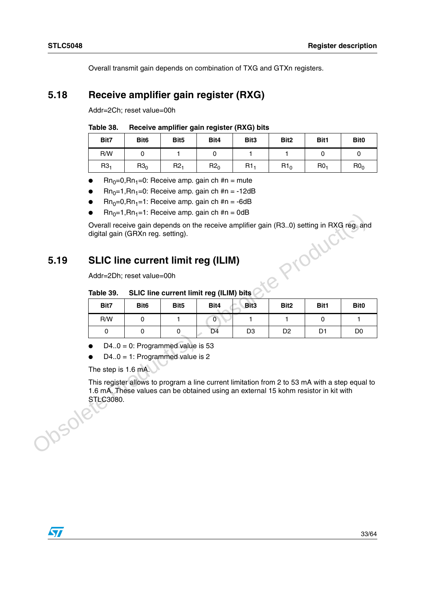Overall transmit gain depends on combination of TXG and GTXn registers.

## <span id="page-32-0"></span>**5.18 Receive amplifier gain register (RXG)**

Addr=2Ch; reset value=00h

#### <span id="page-32-2"></span>Table 38. Receive amplifier gain register (RXG) bits

| Bit7            | Bit <sub>6</sub> | Bit <sub>5</sub> | Bit4   | Bit3            | Bit <sub>2</sub> | Bit1            | Bit <sub>0</sub> |
|-----------------|------------------|------------------|--------|-----------------|------------------|-----------------|------------------|
| R/W             |                  |                  |        |                 |                  |                 |                  |
| R3 <sub>1</sub> | $R3_0$           | R2 <sub>1</sub>  | $R2_0$ | R1 <sub>1</sub> | R1 <sub>0</sub>  | R0 <sub>1</sub> | R0 <sub>0</sub>  |

- **•** Rn<sub>0</sub>=0,Rn<sub>1</sub>=0: Receive amp. gain ch #n = mute
- $Rn_0=1, Rn_1=0$ : Receive amp. gain ch #n = -12dB
- $Rn_0=0, Rn_1=1$ : Receive amp. gain ch #n = -6dB
- $Rn_0=1, Rn_1=1$ : Receive amp. gain ch #n = 0dB

## <span id="page-32-1"></span>**5.19 SLIC line current limit reg (ILIM)**

#### <span id="page-32-3"></span>Table 39. **SLIC line current limit reg (ILIM) bits**

|              |                                   |                                                                                  |                  |                                                                                                | $\text{Hil}_0 = 1, \text{Hil}_1 = 1$ . Heceive amp. gain ch #n = 00D |                  |                |                  |  |  |  |  |  |  |  |  |
|--------------|-----------------------------------|----------------------------------------------------------------------------------|------------------|------------------------------------------------------------------------------------------------|----------------------------------------------------------------------|------------------|----------------|------------------|--|--|--|--|--|--|--|--|
|              | digital gain (GRXn reg. setting). |                                                                                  |                  | Overall receive gain depends on the receive amplifier gain (R30) setting in RXG reg. and       |                                                                      |                  |                |                  |  |  |  |  |  |  |  |  |
| 5.19         |                                   | oductl<br><b>SLIC line current limit reg (ILIM)</b><br>Addr=2Dh; reset value=00h |                  |                                                                                                |                                                                      |                  |                |                  |  |  |  |  |  |  |  |  |
|              | Table 39.                         | SLIC line current limit reg (ILIM) bits                                          |                  |                                                                                                |                                                                      |                  |                |                  |  |  |  |  |  |  |  |  |
|              | Bit7                              | Bit <sub>6</sub>                                                                 | Bit <sub>5</sub> | Bit4                                                                                           | Bit <sub>3</sub>                                                     | Bit <sub>2</sub> | Bit1           | Bit <sub>0</sub> |  |  |  |  |  |  |  |  |
|              | R/W                               | $\mathbf 0$                                                                      | 1                | $\mathbf 0$                                                                                    | 1                                                                    | 1.               | $\Omega$       | $\mathbf{1}$     |  |  |  |  |  |  |  |  |
|              | $\Omega$                          | $\Omega$                                                                         | 0                | D <sub>4</sub>                                                                                 | D <sub>3</sub>                                                       | D <sub>2</sub>   | D <sub>1</sub> | D <sub>0</sub>   |  |  |  |  |  |  |  |  |
|              | The step is 1.6 mA.               | $D4.0 = 0$ : Programmed value is 53<br>$D4.0 = 1$ : Programmed value is 2        |                  | This register allows to program a line current limitation from 2 to 53 mA with a step equal to |                                                                      |                  |                |                  |  |  |  |  |  |  |  |  |
| <b>15018</b> | STLC3080.                         |                                                                                  |                  | 1.6 mA. These values can be obtained using an external 15 kohm resistor in kit with            |                                                                      |                  |                |                  |  |  |  |  |  |  |  |  |
|              |                                   |                                                                                  |                  |                                                                                                |                                                                      |                  |                |                  |  |  |  |  |  |  |  |  |

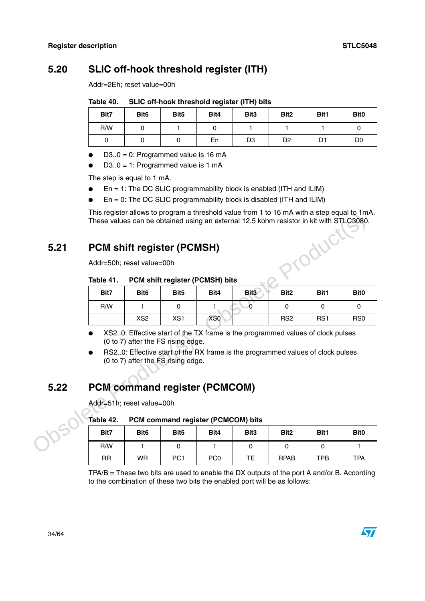## <span id="page-33-0"></span>**5.20 SLIC off-hook threshold register (ITH)**

Addr=2Eh; reset value=00h

<span id="page-33-3"></span>Table 40. SLIC off-hook threshold register (ITH) bits

| Bit7 | Bit <sub>6</sub> | Bit <sub>5</sub> | Bit4 | Bit <sub>3</sub> | Bit <sub>2</sub> | Bit1 | Bit <sub>0</sub> |
|------|------------------|------------------|------|------------------|------------------|------|------------------|
| R/W  |                  |                  |      |                  |                  |      |                  |
|      |                  |                  | En   | D <sub>3</sub>   | D <sub>2</sub>   | D1   | D0               |

- $D3.0 = 0$ : Programmed value is 16 mA
- $D3.0 = 1$ : Programmed value is 1 mA

The step is equal to 1 mA.

- $En = 1$ : The DC SLIC programmability block is enabled (ITH and ILIM)
- $En = 0$ : The DC SLIC programmability block is disabled (ITH and ILIM)

This register allows to program a threshold value from 1 to 16 mA with a step equal to 1mA. These values can be obtained using an external 12.5 kohm resistor in kit with STLC3080.

## <span id="page-33-1"></span>**5.21 PCM shift register (PCMSH)**

#### <span id="page-33-4"></span>Table 41. **PCM shift register (PCMSH) bits**

|      | These values can be obtained using an external 12.5 kohm resistor in kit with STLC3080. |                  |                                                                          |                 | THIS register allows to program a threshold value from T to T6 mA with a step equal to THIA.                                                                     |                  |          |                  |
|------|-----------------------------------------------------------------------------------------|------------------|--------------------------------------------------------------------------|-----------------|------------------------------------------------------------------------------------------------------------------------------------------------------------------|------------------|----------|------------------|
| 5.21 | <b>PCM shift register (PCMSH)</b>                                                       |                  |                                                                          |                 |                                                                                                                                                                  |                  | AUCT     |                  |
|      | Addr=50h; reset value=00h                                                               |                  |                                                                          |                 |                                                                                                                                                                  |                  |          |                  |
|      | Table 41.                                                                               |                  | PCM shift register (PCMSH) bits                                          |                 |                                                                                                                                                                  |                  |          |                  |
|      | Bit7                                                                                    | Bit <sub>6</sub> | Bit <sub>5</sub>                                                         | Bit4            | Bit <sub>3</sub>                                                                                                                                                 | Bit <sub>2</sub> | Bit1     | Bit <sub>0</sub> |
|      | R/W                                                                                     | 1.               | 0                                                                        | 1               | $\Omega$                                                                                                                                                         | $\mathbf 0$      | $\Omega$ | 0                |
|      |                                                                                         | XS <sub>2</sub>  | XS <sub>1</sub>                                                          | XS <sub>0</sub> |                                                                                                                                                                  | RS <sub>2</sub>  | RS1      | RS <sub>0</sub>  |
| 5.22 | <b>PCM command register (PCMCOM)</b>                                                    |                  | (0 to 7) after the FS rising edge.<br>(0 to 7) after the FS rising edge. |                 | XS20: Effective start of the TX frame is the programmed values of clock pulses<br>RS20: Effective start of the RX frame is the programmed values of clock pulses |                  |          |                  |
|      | Addr=51h; reset value=00h                                                               |                  |                                                                          |                 |                                                                                                                                                                  |                  |          |                  |
|      | Table 42.                                                                               |                  | PCM command register (PCMCOM) bits                                       |                 |                                                                                                                                                                  |                  |          |                  |
|      | Bit7                                                                                    | Bit <sub>6</sub> | Bit <sub>5</sub>                                                         | Bit4            | Bit <sub>3</sub>                                                                                                                                                 | Bit <sub>2</sub> | Bit1     | Bit <sub>0</sub> |
|      | R/W                                                                                     | 1                | 0                                                                        | 1               | 0                                                                                                                                                                | 0                | 0        | 1                |

- XS2..0: Effective start of the TX frame is the programmed values of clock pulses (0 to 7) after the FS rising edge.
- RS2..0: Effective start of the RX frame is the programmed values of clock pulses (0 to 7) after the FS rising edge.

## <span id="page-33-2"></span>**5.22 PCM command register (PCMCOM)**

#### <span id="page-33-5"></span>Table 42. **PCM command register (PCMCOM) bits**

| Bit7      | Bit <sub>6</sub> | Bit <sub>5</sub> | Bit4            | Bit <sub>3</sub> | Bit <sub>2</sub> | Bit1 | Bit <sub>0</sub> |
|-----------|------------------|------------------|-----------------|------------------|------------------|------|------------------|
| R/W       |                  |                  |                 |                  |                  |      |                  |
| <b>RR</b> | <b>WR</b>        | PC <sub>1</sub>  | PC <sub>0</sub> | ТE               | <b>RPAB</b>      | TPB  | <b>TPA</b>       |

TPA/B = These two bits are used to enable the DX outputs of the port A and/or B. According to the combination of these two bits the enabled port will be as follows:



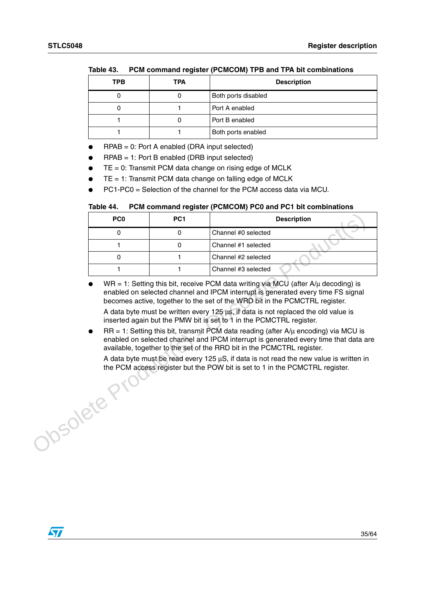| <b>TPB</b> | <b>TPA</b> | <b>Description</b>  |
|------------|------------|---------------------|
|            |            | Both ports disabled |
|            |            | Port A enabled      |
|            |            | Port B enabled      |
|            |            | Both ports enabled  |

#### <span id="page-34-0"></span>Table 43 **Table 43. PCM command register (PCMCOM) TPB and TPA bit combinations**

- $RPAB = 0$ : Port A enabled (DRA input selected)
- $RPAB = 1$ : Port B enabled (DRB input selected)
- $TE = 0$ : Transmit PCM data change on rising edge of MCLK
- $TE = 1$ : Transmit PCM data change on falling edge of MCLK
- PC1-PC0 = Selection of the channel for the PCM access data via MCU.

#### <span id="page-34-1"></span>Table 44. **PCM command register (PCMCOM) PC0 and PC1 bit combinations**

| PC <sub>0</sub> | PC <sub>1</sub> | <b>Description</b>  |
|-----------------|-----------------|---------------------|
|                 |                 | Channel #0 selected |
|                 |                 | Channel #1 selected |
|                 |                 | Channel #2 selected |
|                 |                 | Channel #3 selected |

 $WR = 1$ : Setting this bit, receive PCM data writing via MCU (after A/ $\mu$  decoding) is enabled on selected channel and IPCM interrupt is generated every time FS signal becomes active, together to the set of the WRD bit in the PCMCTRL register.

A data byte must be written every 125 μs, if data is not replaced the old value is inserted again but the PMW bit is set to 1 in the PCMCTRL register.

 $RR = 1$ : Setting this bit, transmit PCM data reading (after  $A/\mu$  encoding) via MCU is enabled on selected channel and IPCM interrupt is generated every time that data are available, together to the set of the RRD bit in the PCMCTRL register.

Josolete Pri A data byte must be read every 125 μS, if data is not read the new value is written in the PCM access register but the POW bit is set to 1 in the PCMCTRL register.

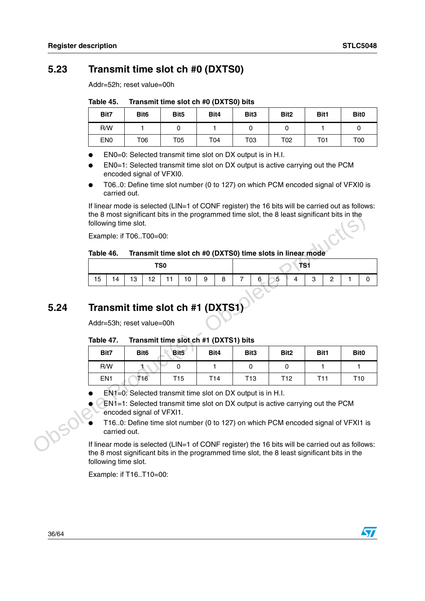## <span id="page-35-0"></span>**5.23 Transmit time slot ch #0 (DXTS0)**

Addr=52h; reset value=00h

<span id="page-35-2"></span>Table 45. **Table 45. Transmit time slot ch #0 (DXTS0) bits**

| Bit7            | Bit <sub>6</sub> | Bit <sub>5</sub> | Bit4 | Bit <sub>3</sub> | Bit <sub>2</sub> | Bit1 | Bit <sub>0</sub> |
|-----------------|------------------|------------------|------|------------------|------------------|------|------------------|
| R/W             |                  |                  |      |                  |                  |      |                  |
| EN <sub>0</sub> | T06              | T05              | T04  | T03              | T02              | T01  | T00              |

EN0=0: Selected transmit time slot on DX output is in H.I.

- EN0=1: Selected transmit time slot on DX output is active carrying out the PCM encoded signal of VFXI0.
- T06..0: Define time slot number (0 to 127) on which PCM encoded signal of VFXI0 is carried out.

If linear mode is selected (LIN=1 of CONF register) the 16 bits will be carried out as follows: the 8 most significant bits in the programmed time slot, the 8 least significant bits in the following time slot.

#### <span id="page-35-3"></span>Table 46. Transmit time slot ch #0 (DXTS0) time slots in linear mode

| TS0 |  |  |  |  |  |  | TS1                                          |  |  |                |  |              |  |  |
|-----|--|--|--|--|--|--|----------------------------------------------|--|--|----------------|--|--------------|--|--|
| 15  |  |  |  |  |  |  | $14$   13   12   11   10   9   8   7   6   5 |  |  | $\overline{4}$ |  | $\mathbf{2}$ |  |  |

## <span id="page-35-1"></span>**5.24 Transmit time slot ch #1 (DXTS1)**

#### <span id="page-35-4"></span>Table 47. **Table 47. Transmit time slot ch #1 (DXTS1) bits**

|      |           | the 8 most significant bits in the programmed time slot, the 8 least significant bits in the<br>following time slot. |                                                                                                                                                                                                 |    |                 |                  |   |                 |                                                            |   |   |                  |                 |                |              |                  |
|------|-----------|----------------------------------------------------------------------------------------------------------------------|-------------------------------------------------------------------------------------------------------------------------------------------------------------------------------------------------|----|-----------------|------------------|---|-----------------|------------------------------------------------------------|---|---|------------------|-----------------|----------------|--------------|------------------|
|      |           |                                                                                                                      | Example: if T06T00=00:                                                                                                                                                                          |    |                 |                  |   |                 |                                                            |   |   |                  |                 |                |              |                  |
|      | Table 46. |                                                                                                                      |                                                                                                                                                                                                 |    |                 |                  |   |                 | Transmit time slot ch #0 (DXTS0) time slots in linear mode |   |   |                  |                 |                |              |                  |
|      |           |                                                                                                                      |                                                                                                                                                                                                 |    | TS <sub>0</sub> |                  |   |                 |                                                            |   |   |                  | TS1             |                |              |                  |
|      | 15        | 14                                                                                                                   | 13                                                                                                                                                                                              | 12 | 11              | 10               | 9 | 8               | 7                                                          | 6 | 5 |                  | 3               | $\overline{2}$ |              | 0                |
|      |           |                                                                                                                      |                                                                                                                                                                                                 |    |                 |                  |   |                 |                                                            |   |   |                  |                 |                |              |                  |
| 5.24 |           |                                                                                                                      | Transmit time slot ch #1 (DXTS1)                                                                                                                                                                |    |                 |                  |   |                 |                                                            |   |   |                  |                 |                |              |                  |
|      |           |                                                                                                                      | Addr=53h; reset value=00h                                                                                                                                                                       |    |                 |                  |   |                 |                                                            |   |   |                  |                 |                |              |                  |
|      | Table 47. |                                                                                                                      |                                                                                                                                                                                                 |    |                 |                  |   |                 | Transmit time slot ch #1 (DXTS1) bits                      |   |   |                  |                 |                |              |                  |
|      |           | Bit7                                                                                                                 | Bit <sub>6</sub>                                                                                                                                                                                |    |                 | Bit <sub>5</sub> |   | Bit4            | Bit <sub>3</sub>                                           |   |   | Bit <sub>2</sub> | Bit1            |                |              | Bit <sub>0</sub> |
|      |           | R/W                                                                                                                  | T.                                                                                                                                                                                              |    |                 | 0                |   | 1               | $\mathbf 0$                                                |   |   | $\mathbf{0}$     |                 | 1              | $\mathbf{1}$ |                  |
|      |           | EN <sub>1</sub>                                                                                                      | T <sub>16</sub>                                                                                                                                                                                 |    |                 | T <sub>15</sub>  |   | T <sub>14</sub> | T <sub>13</sub>                                            |   |   | T <sub>12</sub>  | T <sub>11</sub> |                |              | T <sub>10</sub>  |
|      |           |                                                                                                                      | EN1=0: Selected transmit time slot on DX output is in H.I.                                                                                                                                      |    |                 |                  |   |                 |                                                            |   |   |                  |                 |                |              |                  |
|      |           |                                                                                                                      | EN1=1: Selected transmit time slot on DX output is active carrying out the PCM<br>encoded signal of VFXI1.                                                                                      |    |                 |                  |   |                 |                                                            |   |   |                  |                 |                |              |                  |
|      |           | carried out.                                                                                                         | T160: Define time slot number (0 to 127) on which PCM encoded signal of VFXI1 is                                                                                                                |    |                 |                  |   |                 |                                                            |   |   |                  |                 |                |              |                  |
|      |           |                                                                                                                      | If linear mode is selected (LIN=1 of CONF register) the 16 bits will be carried out as follows:<br>the 8 most significant hits in the programmed time slot, the 8 least significant hits in the |    |                 |                  |   |                 |                                                            |   |   |                  |                 |                |              |                  |

- EN1=0: Selected transmit time slot on DX output is in H.I.
- EN1=1: Selected transmit time slot on DX output is active carrying out the PCM encoded signal of VFXI1.
- T16..0: Define time slot number (0 to 127) on which PCM encoded signal of VFXI1 is carried out.

If linear mode is selected (LIN=1 of CONF register) the 16 bits will be carried out as follows: the 8 most significant bits in the programmed time slot, the 8 least significant bits in the following time slot.

Example: if T16..T10=00:

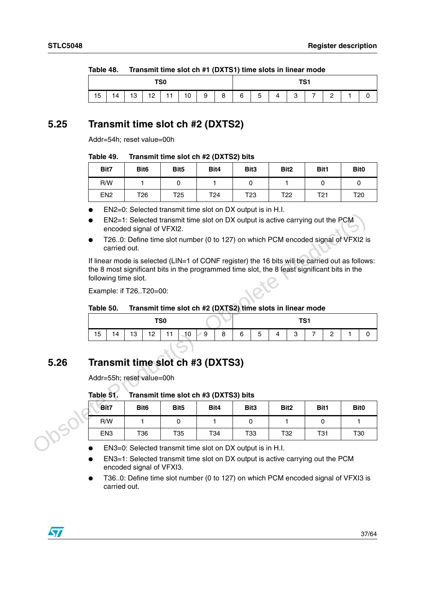| TANIC 40.<br>$\frac{1}{2}$ in alist the state state $\frac{1}{2}$ is the state of $\frac{1}{2}$ and $\frac{1}{2}$ and $\frac{1}{2}$ and $\frac{1}{2}$ and $\frac{1}{2}$ |  |  |  |  |  |  |  |     |   |   |   |  |  |  |  |  |
|-------------------------------------------------------------------------------------------------------------------------------------------------------------------------|--|--|--|--|--|--|--|-----|---|---|---|--|--|--|--|--|
| TS0                                                                                                                                                                     |  |  |  |  |  |  |  | TS1 |   |   |   |  |  |  |  |  |
| 15<br>10<br>9<br>8<br>12<br>12                                                                                                                                          |  |  |  |  |  |  |  | 6   | 5 | Λ | G |  |  |  |  |  |

#### <span id="page-36-2"></span>Table 48 **Table 48. Transmit time slot ch #1 (DXTS1) time slots in linear mode**

## <span id="page-36-0"></span>**5.25 Transmit time slot ch #2 (DXTS2)**

Addr=54h; reset value=00h

#### <span id="page-36-3"></span>Table 49. **Table 49. Transmit time slot ch #2 (DXTS2) bits**

| Bit7            | Bit <sub>6</sub> | Bit <sub>5</sub> | Bit4 | Bit <sub>3</sub> | Bit <sub>2</sub> | Bit1            | Bit <sub>0</sub> |
|-----------------|------------------|------------------|------|------------------|------------------|-----------------|------------------|
| R/W             |                  |                  |      |                  |                  |                 |                  |
| EN <sub>2</sub> | T26              | T25              | T24  | T23              | T <sub>22</sub>  | T <sub>21</sub> | T <sub>20</sub>  |

- EN2=0: Selected transmit time slot on DX output is in H.I.
- EN2=1: Selected transmit time slot on DX output is active carrying out the PCM encoded signal of VFXI2.
- T26..0: Define time slot number (0 to 127) on which PCM encoded signal of VFXI2 is carried out.

#### <span id="page-36-4"></span>Table 50. Transmit time slot ch #2 (DXTS2) time slots in linear mode

| TS <sub>0</sub> |    |           |    |    |    |         |   | TC <sub>1</sub><br>ו סו |                     |          |        |   |        |  |  |
|-----------------|----|-----------|----|----|----|---------|---|-------------------------|---------------------|----------|--------|---|--------|--|--|
| 15              | 14 | 12<br>10. | 12 | 11 | 10 | ୍ର<br>⊵ | 8 | 6                       | $\overline{a}$<br>5 | $\Delta$ | o<br>ບ | - | $\sim$ |  |  |

## <span id="page-36-1"></span>**5.26 Transmit time slot ch #3 (DXTS3)**

#### <span id="page-36-5"></span>Table 51. **Transmit time slot ch #3 (DXTS3) bits**

|      | carried out.                                                                                                                                                                                                            | EN2=1: Selected transmit time slot on DX output is active carrying out the PCM<br>encoded signal of VFXI2.<br>T260: Define time slot number (0 to 127) on which PCM encoded signal of VFXI2 is |                                       |      |   |                  |   |                  |   |                |                |                  |   |
|------|-------------------------------------------------------------------------------------------------------------------------------------------------------------------------------------------------------------------------|------------------------------------------------------------------------------------------------------------------------------------------------------------------------------------------------|---------------------------------------|------|---|------------------|---|------------------|---|----------------|----------------|------------------|---|
|      | If linear mode is selected (LIN=1 of CONF register) the 16 bits will be carried out as follows:<br>the 8 most significant bits in the programmed time slot, the 8 least significant bits in the<br>following time slot. |                                                                                                                                                                                                |                                       |      |   |                  |   |                  |   |                |                |                  |   |
|      | Example: if T26T20=00:                                                                                                                                                                                                  |                                                                                                                                                                                                |                                       |      |   |                  |   |                  |   |                |                |                  |   |
|      | Transmit time slot ch #2 (DXTS2) time slots in linear mode<br>Table 50.                                                                                                                                                 |                                                                                                                                                                                                |                                       |      |   |                  |   |                  |   |                |                |                  |   |
|      | TS <sub>0</sub><br>TS <sub>1</sub>                                                                                                                                                                                      |                                                                                                                                                                                                |                                       |      |   |                  |   |                  |   |                |                |                  |   |
|      | 15<br>14                                                                                                                                                                                                                | 13<br>12                                                                                                                                                                                       | $-10$<br>11                           | ∕9   | 8 | 6                | 5 | 4                | 3 | $\overline{7}$ | $\overline{2}$ | 1                | 0 |
| 5.26 | Transmit time slot ch #3 (DXTS3)                                                                                                                                                                                        |                                                                                                                                                                                                |                                       |      |   |                  |   |                  |   |                |                |                  |   |
|      | Addr=55h; reset value=00h                                                                                                                                                                                               |                                                                                                                                                                                                |                                       |      |   |                  |   |                  |   |                |                |                  |   |
|      | Table 51.                                                                                                                                                                                                               |                                                                                                                                                                                                | Transmit time slot ch #3 (DXTS3) bits |      |   |                  |   |                  |   |                |                |                  |   |
|      | Bit7                                                                                                                                                                                                                    | Bit <sub>6</sub>                                                                                                                                                                               | Bit <sub>5</sub>                      | Bit4 |   | Bit <sub>3</sub> |   | Bit <sub>2</sub> |   | Bit1           |                | Bit <sub>0</sub> |   |
|      | R/W                                                                                                                                                                                                                     | $\mathbf{1}$                                                                                                                                                                                   | 0                                     | 1    |   | 0                |   | 1                |   | 0              |                | $\mathbf{1}$     |   |
|      | EN <sub>3</sub>                                                                                                                                                                                                         | T36                                                                                                                                                                                            | T35                                   | T34  |   | T33              |   | T32              |   | <b>T31</b>     |                | T <sub>30</sub>  |   |
|      |                                                                                                                                                                                                                         | EN3=0: Selected transmit time slot on DX output is in H.I.                                                                                                                                     |                                       |      |   |                  |   |                  |   |                |                |                  |   |

- EN3=1: Selected transmit time slot on DX output is active carrying out the PCM encoded signal of VFXI3.
- T36..0: Define time slot number (0 to 127) on which PCM encoded signal of VFXI3 is carried out.

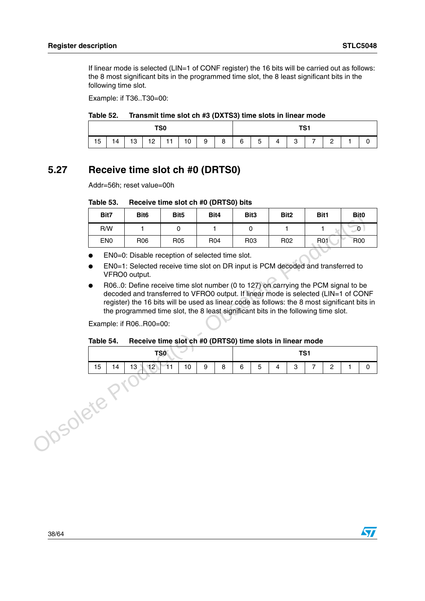If linear mode is selected (LIN=1 of CONF register) the 16 bits will be carried out as follows: the 8 most significant bits in the programmed time slot, the 8 least significant bits in the following time slot.

Example: if T36..T30=00:

#### <span id="page-37-1"></span>Table 52. Transmit time slot ch #3 (DXTS3) time slots in linear mode

|    | TS0 |    |  |  |  |                    |   |   |                |                | TS <sub>1</sub> |                                  |                |  |
|----|-----|----|--|--|--|--------------------|---|---|----------------|----------------|-----------------|----------------------------------|----------------|--|
| 15 | 14  | 13 |  |  |  | $12$   11   10   9 | 8 | 6 | 5 <sup>5</sup> | $\overline{4}$ | 3               | $\begin{array}{ccc} \end{array}$ | $\overline{2}$ |  |

## <span id="page-37-0"></span>**5.27 Receive time slot ch #0 (DRTS0)**

Addr=56h; reset value=00h

#### <span id="page-37-2"></span>Table 53. **Table 53. Receive time slot ch #0 (DRTS0) bits**

|   | Bit <sub>3</sub> | Bit4 | Bit <sub>5</sub>                                                                                                                                                                                                                                                                                                                                                                                                                                                                                                                                                 |     |    | Bit <sub>6</sub>                        |                 | Bit7      |
|---|------------------|------|------------------------------------------------------------------------------------------------------------------------------------------------------------------------------------------------------------------------------------------------------------------------------------------------------------------------------------------------------------------------------------------------------------------------------------------------------------------------------------------------------------------------------------------------------------------|-----|----|-----------------------------------------|-----------------|-----------|
|   | 0                | 1    | 0                                                                                                                                                                                                                                                                                                                                                                                                                                                                                                                                                                |     |    | 1.                                      | R/W             |           |
|   | R <sub>03</sub>  | R04  | R <sub>05</sub>                                                                                                                                                                                                                                                                                                                                                                                                                                                                                                                                                  |     |    | R <sub>06</sub>                         | EN <sub>0</sub> |           |
|   |                  |      | EN0=0: Disable reception of selected time slot.<br>EN0=1: Selected receive time slot on DR input is PCM decoded and transferred to<br>R060: Define receive time slot number (0 to 127) on carrying the PCM signal to be<br>decoded and transferred to VFRO0 output. If linear mode is selected (LIN=1 of CONF<br>register) the 16 bits will be used as linear code as follows: the 8 most significant bits in<br>the programmed time slot, the 8 least significant bits in the following time slot.<br>Receive time slot ch #0 (DRTS0) time slots in linear mode |     |    | VFRO0 output.<br>Example: if R06R00=00: |                 | Table 54. |
|   |                  |      |                                                                                                                                                                                                                                                                                                                                                                                                                                                                                                                                                                  | TSO |    |                                         |                 |           |
| 5 | 6                | 8    | 10                                                                                                                                                                                                                                                                                                                                                                                                                                                                                                                                                               | 11  | 12 | 13                                      | 14              | 15        |
|   |                  |      |                                                                                                                                                                                                                                                                                                                                                                                                                                                                                                                                                                  |     |    |                                         | bsolete t       |           |

#### <span id="page-37-3"></span>Table 54. Receive time slot ch #0 (DRTS0) time slots in linear mode

| TSO                                                                    |  |  |  |  |  |   |   |                |        | TS <sub>1</sub>    |  |  |
|------------------------------------------------------------------------|--|--|--|--|--|---|---|----------------|--------|--------------------|--|--|
| $\boldsymbol{9}$<br>8<br>10<br>13 <sub>1</sub><br>$112$ 11<br>15<br>14 |  |  |  |  |  | 6 | 5 | $\overline{4}$ | Q<br>ت | $\sim$<br><u>.</u> |  |  |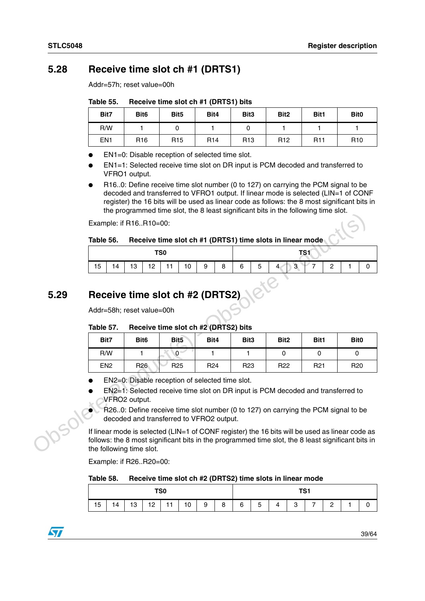## <span id="page-38-0"></span>**5.28 Receive time slot ch #1 (DRTS1)**

Addr=57h; reset value=00h

<span id="page-38-2"></span>

| Table 55. | Receive time slot ch #1 (DRTS1) bits |  |
|-----------|--------------------------------------|--|
|-----------|--------------------------------------|--|

| Bit7            | Bit <sub>6</sub> | Bit <sub>5</sub> | Bit4            | Bit <sub>3</sub> | Bit <sub>2</sub> | Bit1       | Bit <sub>0</sub> |
|-----------------|------------------|------------------|-----------------|------------------|------------------|------------|------------------|
| R/W             |                  |                  |                 |                  |                  |            |                  |
| EN <sub>1</sub> | R <sub>16</sub>  | R <sub>15</sub>  | R <sub>14</sub> | R <sub>13</sub>  | R <sub>12</sub>  | <b>R11</b> | R <sub>10</sub>  |

EN1=0: Disable reception of selected time slot.

- EN1=1: Selected receive time slot on DR input is PCM decoded and transferred to VFRO1 output.
- R16..0: Define receive time slot number (0 to 127) on carrying the PCM signal to be decoded and transferred to VFRO1 output. If linear mode is selected (LIN=1 of CONF register) the 16 bits will be used as linear code as follows: the 8 most significant bits in the programmed time slot, the 8 least significant bits in the following time slot.

#### <span id="page-38-3"></span>Table 56. Receive time slot ch #1 (DRTS1) time slots in linear mode

| TS <sub>0</sub> |    |    |    |    |    |   |   |   |   | T <sub>0</sub>                        |                    |  |
|-----------------|----|----|----|----|----|---|---|---|---|---------------------------------------|--------------------|--|
| 15              | 14 | 13 | 12 | 11 | 10 | 9 | 8 | 6 | 5 | $\overline{ }$<br>$\overline{4}$<br>3 | $\sim$<br><u>_</u> |  |

## <span id="page-38-1"></span>**5.29 Receive time slot ch #2 (DRTS2)**

#### <span id="page-38-4"></span>Table 57. **Table 57. Receive time slot ch #2 (DRTS2) bits**

|      |                                                   |                  | are programmed anno oroa, are o rodo, organisam, ono in are ronoming                                                          |                 |                  |                  |                 |                                                                                                                                                                                                     |  |  |  |  |  |  |  |
|------|---------------------------------------------------|------------------|-------------------------------------------------------------------------------------------------------------------------------|-----------------|------------------|------------------|-----------------|-----------------------------------------------------------------------------------------------------------------------------------------------------------------------------------------------------|--|--|--|--|--|--|--|
|      | Example: if R16R10=00:                            |                  |                                                                                                                               |                 |                  |                  |                 |                                                                                                                                                                                                     |  |  |  |  |  |  |  |
|      | Table 56.                                         |                  | Receive time slot ch #1 (DRTS1) time slots in linear mode                                                                     |                 |                  |                  |                 |                                                                                                                                                                                                     |  |  |  |  |  |  |  |
|      |                                                   |                  | TS <sub>0</sub>                                                                                                               |                 |                  |                  | TS1             |                                                                                                                                                                                                     |  |  |  |  |  |  |  |
|      | 15<br>14                                          | 13<br>12         | 11<br>10                                                                                                                      | 9<br>8          | 6<br>5           | 3                | $\overline{2}$  | 1<br>0                                                                                                                                                                                              |  |  |  |  |  |  |  |
|      |                                                   |                  |                                                                                                                               |                 |                  |                  |                 |                                                                                                                                                                                                     |  |  |  |  |  |  |  |
| 5.29 |                                                   |                  | Receive time slot ch #2 (DRTS2)                                                                                               |                 |                  |                  |                 |                                                                                                                                                                                                     |  |  |  |  |  |  |  |
|      |                                                   |                  |                                                                                                                               |                 |                  |                  |                 |                                                                                                                                                                                                     |  |  |  |  |  |  |  |
|      | Addr=58h; reset value=00h                         |                  |                                                                                                                               |                 |                  |                  |                 |                                                                                                                                                                                                     |  |  |  |  |  |  |  |
|      | Receive time slot ch #2 (DRTS2) bits<br>Table 57. |                  |                                                                                                                               |                 |                  |                  |                 |                                                                                                                                                                                                     |  |  |  |  |  |  |  |
|      | Bit7                                              | Bit <sub>6</sub> | Bit <sub>5</sub>                                                                                                              | Bit4            | Bit <sub>3</sub> | Bit <sub>2</sub> | Bit1            | Bit <sub>0</sub>                                                                                                                                                                                    |  |  |  |  |  |  |  |
|      | R/W                                               | 1                | $\mathbf{0}$                                                                                                                  | 1               | 1                | $\mathbf 0$      | 0               | 0                                                                                                                                                                                                   |  |  |  |  |  |  |  |
|      | EN <sub>2</sub>                                   | R <sub>26</sub>  | R <sub>25</sub>                                                                                                               | R <sub>24</sub> | R <sub>23</sub>  | R <sub>22</sub>  | R <sub>21</sub> | R <sub>20</sub>                                                                                                                                                                                     |  |  |  |  |  |  |  |
|      |                                                   |                  | EN2=0: Disable reception of selected time slot.                                                                               |                 |                  |                  |                 |                                                                                                                                                                                                     |  |  |  |  |  |  |  |
|      |                                                   |                  | EN2=1: Selected receive time slot on DR input is PCM decoded and transferred to                                               |                 |                  |                  |                 |                                                                                                                                                                                                     |  |  |  |  |  |  |  |
|      |                                                   | VFRO2 output.    |                                                                                                                               |                 |                  |                  |                 |                                                                                                                                                                                                     |  |  |  |  |  |  |  |
|      |                                                   |                  | R260: Define receive time slot number (0 to 127) on carrying the PCM signal to be<br>decoded and transferred to VFRO2 output. |                 |                  |                  |                 |                                                                                                                                                                                                     |  |  |  |  |  |  |  |
|      | the following time slot.                          |                  |                                                                                                                               |                 |                  |                  |                 | If linear mode is selected (LIN=1 of CONF register) the 16 bits will be used as linear code as<br>follows: the 8 most significant bits in the programmed time slot, the 8 least significant bits in |  |  |  |  |  |  |  |

- EN2=0: Disable reception of selected time slot.
- EN2=1: Selected receive time slot on DR input is PCM decoded and transferred to VFRO2 output.
- R26..0: Define receive time slot number (0 to 127) on carrying the PCM signal to be decoded and transferred to VFRO2 output.

Example: if R26..R20=00:

#### <span id="page-38-5"></span>Table 58. Receive time slot ch #2 (DRTS2) time slots in linear mode

| TS0<br>$12$   11   10 |    |    |  |  |  |   |   |   |   | TS <sub>1</sub> |   |                |               |  |
|-----------------------|----|----|--|--|--|---|---|---|---|-----------------|---|----------------|---------------|--|
| 15                    | 14 | 13 |  |  |  | 9 | 8 | 6 | 5 | $\overline{4}$  | 3 | $\overline{z}$ | 2<br><u>_</u> |  |

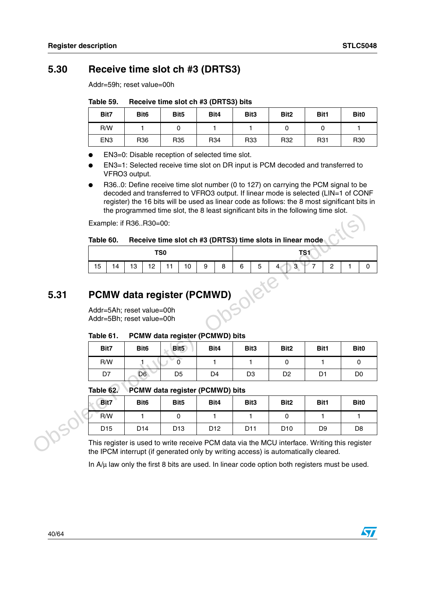## <span id="page-39-0"></span>**5.30 Receive time slot ch #3 (DRTS3)**

Addr=59h; reset value=00h

<span id="page-39-2"></span>Table 59. **Table 59. Receive time slot ch #3 (DRTS3) bits**

| Bit7            | Bit <sub>6</sub> | Bit <sub>5</sub> | Bit4            | Bit <sub>3</sub> | Bit <sub>2</sub> | Bit1 | Bit <sub>0</sub> |
|-----------------|------------------|------------------|-----------------|------------------|------------------|------|------------------|
| R/W             |                  |                  |                 |                  |                  |      |                  |
| EN <sub>3</sub> | R <sub>36</sub>  | R <sub>35</sub>  | R <sub>34</sub> | R33              | R32              | R31  | R <sub>30</sub>  |

EN3=0: Disable reception of selected time slot.

- EN3=1: Selected receive time slot on DR input is PCM decoded and transferred to VFRO3 output.
- R36..0: Define receive time slot number (0 to 127) on carrying the PCM signal to be decoded and transferred to VFRO3 output. If linear mode is selected (LIN=1 of CONF register) the 16 bits will be used as linear code as follows: the 8 most significant bits in the programmed time slot, the 8 least significant bits in the following time slot.

#### <span id="page-39-3"></span>Table 60. Receive time slot ch #3 (DRTS3) time slots in linear mode

| TS0 |    |    |    |            |    |   |   |   |   | TC <sub>1</sub><br>וסו                     |        |  |
|-----|----|----|----|------------|----|---|---|---|---|--------------------------------------------|--------|--|
| 15  | 14 | 13 | 12 | $\vert$ 11 | 10 | 9 | 8 | 6 | 5 | $\overline{3}$<br>⊢<br>-<br>4 <sup>1</sup> | $\sim$ |  |

# <span id="page-39-1"></span>**5.31 PCMW data register (PCMWD)**

#### <span id="page-39-4"></span>Table 61. **PCMW data register (PCMWD) bits**

| Bit7 | Bit <sub>6</sub> | Bit <sub>5</sub> | Bit4 | Bit <sub>3</sub> | Bit <sub>2</sub> | Bit1 | Bit <sub>0</sub> |
|------|------------------|------------------|------|------------------|------------------|------|------------------|
| R/W  |                  |                  |      |                  |                  |      |                  |
| D7   | D6               | D <sub>5</sub>   | D4   | D3               | D <sub>2</sub>   | D1   | D <sub>0</sub>   |

#### <span id="page-39-5"></span>Table 62. **PCMW data register (PCMWD) bits**

|      |                                                        | Example: if R36R30=00:            |                  | are programmed anno olog are o lodot olghillodin, bito in are rolloming |                  |                                                                                                                                                                                   |                |                  |  |  |  |  |  |
|------|--------------------------------------------------------|-----------------------------------|------------------|-------------------------------------------------------------------------|------------------|-----------------------------------------------------------------------------------------------------------------------------------------------------------------------------------|----------------|------------------|--|--|--|--|--|
|      |                                                        |                                   |                  |                                                                         |                  |                                                                                                                                                                                   |                |                  |  |  |  |  |  |
|      | Table 60.                                              |                                   |                  |                                                                         |                  | Receive time slot ch #3 (DRTS3) time slots in linear mode                                                                                                                         |                |                  |  |  |  |  |  |
|      |                                                        |                                   | TS <sub>0</sub>  |                                                                         |                  |                                                                                                                                                                                   | TS1            |                  |  |  |  |  |  |
|      | 15<br>14                                               | 13<br>12                          | 11<br>10         | 9<br>8                                                                  | 5<br>6           | 3                                                                                                                                                                                 | $\overline{c}$ | 0                |  |  |  |  |  |
|      |                                                        |                                   |                  |                                                                         |                  |                                                                                                                                                                                   |                |                  |  |  |  |  |  |
| 5.31 |                                                        | <b>PCMW data register (PCMWD)</b> |                  |                                                                         |                  |                                                                                                                                                                                   |                |                  |  |  |  |  |  |
|      |                                                        |                                   |                  |                                                                         |                  |                                                                                                                                                                                   |                |                  |  |  |  |  |  |
|      |                                                        |                                   |                  |                                                                         |                  |                                                                                                                                                                                   |                |                  |  |  |  |  |  |
|      | Addr=5Ah; reset value=00h<br>Addr=5Bh; reset value=00h |                                   |                  |                                                                         |                  |                                                                                                                                                                                   |                |                  |  |  |  |  |  |
|      | Table 61.                                              |                                   |                  | PCMW data register (PCMWD) bits                                         |                  |                                                                                                                                                                                   |                |                  |  |  |  |  |  |
|      | Bit7                                                   | Bit <sub>6</sub>                  | Bit <sub>5</sub> | Bit4                                                                    | Bit <sub>3</sub> | Bit <sub>2</sub>                                                                                                                                                                  | Bit1           | Bit <sub>0</sub> |  |  |  |  |  |
|      | R/W                                                    |                                   | $\Omega$         | 1                                                                       | 1                | 0                                                                                                                                                                                 | 1              | $\mathbf{0}$     |  |  |  |  |  |
|      | D7                                                     | D <sub>6</sub>                    | D <sub>5</sub>   | D <sub>4</sub>                                                          | D <sub>3</sub>   | D <sub>2</sub>                                                                                                                                                                    | D <sub>1</sub> | D0               |  |  |  |  |  |
|      | Table 62.                                              |                                   |                  | PCMW data register (PCMWD) bits                                         |                  |                                                                                                                                                                                   |                |                  |  |  |  |  |  |
|      | Bit7                                                   | Bit <sub>6</sub>                  | Bit <sub>5</sub> | Bit4                                                                    | Bit <sub>3</sub> | Bit <sub>2</sub>                                                                                                                                                                  | Bit1           | Bit <sub>0</sub> |  |  |  |  |  |
|      | R/W                                                    | 1                                 | 0                | 1                                                                       | 1                | $\Omega$                                                                                                                                                                          | 1              | 1                |  |  |  |  |  |
|      | D <sub>15</sub>                                        | D <sub>14</sub>                   | D <sub>13</sub>  | D <sub>12</sub>                                                         | D <sub>11</sub>  | D <sub>10</sub>                                                                                                                                                                   | D <sub>9</sub> | D <sub>8</sub>   |  |  |  |  |  |
|      |                                                        |                                   |                  |                                                                         |                  | This register is used to write receive PCM data via the MCU interface. Writing this register<br>the IPCM interrupt (if generated only by writing access) is automatically cleared |                |                  |  |  |  |  |  |

This register is used to write receive PCM data via the MCU interface. Writing this register the IPCM interrupt (if generated only by writing access) is automatically cleared.

In  $A/\mu$  law only the first 8 bits are used. In linear code option both registers must be used.

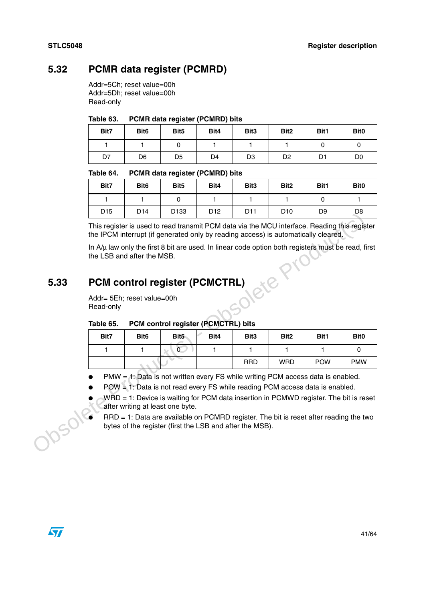## <span id="page-40-0"></span>**5.32 PCMR data register (PCMRD)**

Addr=5Ch; reset value=00h Addr=5Dh; reset value=00h Read-only

#### <span id="page-40-2"></span>Table 63. **PCMR data register (PCMRD) bits**

| Bit7 | Bit <sub>6</sub> | Bit <sub>5</sub> | Bit4 | Bit <sub>3</sub> | Bit <sub>2</sub> | Bit1 | Bit <sub>0</sub> |
|------|------------------|------------------|------|------------------|------------------|------|------------------|
|      |                  |                  |      |                  |                  |      |                  |
| D7   | D6               | D <sub>5</sub>   | D4   | D <sub>3</sub>   | D <sub>2</sub>   | D1   | D <sub>0</sub>   |

#### <span id="page-40-3"></span>Table 64. **PCMR data register (PCMRD) bits**

| Bit7            | Bit <sub>6</sub> | Bit <sub>5</sub> | Bit4            | Bit <sub>3</sub> | Bit <sub>2</sub> | Bit1           | Bit <sub>0</sub> |
|-----------------|------------------|------------------|-----------------|------------------|------------------|----------------|------------------|
|                 |                  |                  |                 |                  |                  |                |                  |
| D <sub>15</sub> | D <sub>14</sub>  | D <sub>133</sub> | D <sub>12</sub> | D <sub>11</sub>  | D <sub>10</sub>  | D <sub>9</sub> | D8               |

## <span id="page-40-1"></span>**5.33 PCM control register (PCMCTRL)**

#### <span id="page-40-4"></span>Table 65. **PCM control register (PCMCTRL) bits**

|                                                                                       | ◡                                                                                                                                                                  | +ו ש             | טטו ש                            | ◡                                                                                                                                                 |                  | טוע              | υJ         | ັບບ              |  |
|---------------------------------------------------------------------------------------|--------------------------------------------------------------------------------------------------------------------------------------------------------------------|------------------|----------------------------------|---------------------------------------------------------------------------------------------------------------------------------------------------|------------------|------------------|------------|------------------|--|
|                                                                                       | the IPCM interrupt (if generated only by reading access) is automatically cleared.                                                                                 |                  |                                  | This register is used to read transmit PCM data via the MCU interface. Reading this register                                                      |                  |                  |            |                  |  |
|                                                                                       | the LSB and after the MSB.                                                                                                                                         |                  |                                  | In $A/\mu$ law only the first 8 bit are used. In linear code option both registers must be read, first                                            |                  |                  |            |                  |  |
| 5.33                                                                                  | <b>PCM control register (PCMCTRL)</b>                                                                                                                              |                  |                                  |                                                                                                                                                   |                  |                  |            |                  |  |
|                                                                                       | Addr= 5Eh; reset value=00h<br>Read-only                                                                                                                            |                  |                                  |                                                                                                                                                   |                  |                  |            |                  |  |
|                                                                                       | PCM control register (PCMCTRL) bits<br>Table 65.                                                                                                                   |                  |                                  |                                                                                                                                                   |                  |                  |            |                  |  |
|                                                                                       | Bit7                                                                                                                                                               | Bit <sub>6</sub> | Bit <sub>5</sub>                 | Bit4                                                                                                                                              | Bit <sub>3</sub> | Bit <sub>2</sub> | Bit1       | Bit <sub>0</sub> |  |
|                                                                                       | 1                                                                                                                                                                  | 1                | $\overline{0}$                   | 1                                                                                                                                                 | 1                | 1                | 1          | 0                |  |
|                                                                                       |                                                                                                                                                                    |                  |                                  |                                                                                                                                                   | <b>RRD</b>       | <b>WRD</b>       | <b>POW</b> | <b>PMW</b>       |  |
|                                                                                       |                                                                                                                                                                    |                  |                                  |                                                                                                                                                   |                  |                  |            |                  |  |
|                                                                                       | PMW = 1: Data is not written every FS while writing PCM access data is enabled.<br>$POW = 1$ : Data is not read every FS while reading PCM access data is enabled. |                  |                                  |                                                                                                                                                   |                  |                  |            |                  |  |
| WRD = 1: Device is waiting for PCM data insertion in PCMWD register. The bit is reset |                                                                                                                                                                    |                  |                                  |                                                                                                                                                   |                  |                  |            |                  |  |
|                                                                                       |                                                                                                                                                                    |                  |                                  |                                                                                                                                                   |                  |                  |            |                  |  |
|                                                                                       |                                                                                                                                                                    |                  | after writing at least one byte. |                                                                                                                                                   |                  |                  |            |                  |  |
|                                                                                       |                                                                                                                                                                    |                  |                                  | RRD = 1: Data are available on PCMRD register. The bit is reset after reading the two<br>bytes of the register (first the LSB and after the MSB). |                  |                  |            |                  |  |

- POW = 1: Data is not read every FS while reading PCM access data is enabled.
- $WRD = 1$ : Device is waiting for PCM data insertion in PCMWD register. The bit is reset after writing at least one byte.

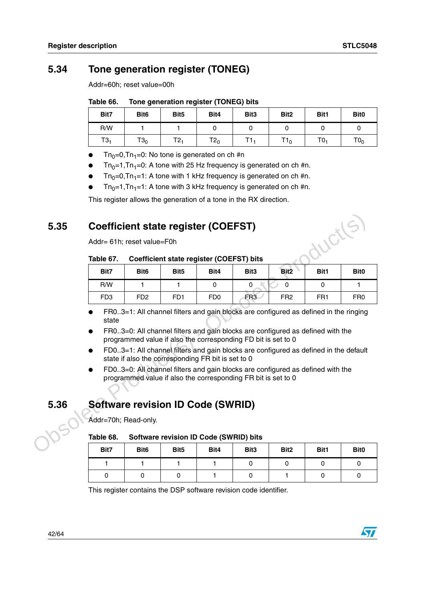## <span id="page-41-0"></span>**5.34 Tone generation register (TONEG)**

Addr=60h; reset value=00h

#### <span id="page-41-3"></span>Table 66. **Tone generation register (TONEG) bits**

| Bit7            | Bit <sub>6</sub> | Bit <sub>5</sub> | Bit4   | Bit <sub>3</sub> | Bit <sub>2</sub> | Bit1            | Bit <sub>0</sub> |
|-----------------|------------------|------------------|--------|------------------|------------------|-----------------|------------------|
| R/W             |                  |                  |        |                  |                  |                 |                  |
| T3 <sub>1</sub> | $T3_0$           | $T2_1$           | $T2_0$ |                  | $T1_0$           | T0 <sub>1</sub> | TO <sub>0</sub>  |

- $Tn_0=0$ , Tn<sub>1</sub>=0: No tone is generated on ch #n
- $Tn_0=1, Tn_1=0$ : A tone with 25 Hz frequency is generated on ch #n.
- $Tn_0=0, Tn_1=1$ : A tone with 1 kHz frequency is generated on ch #n.
- $Tn_0=1, Tn_1=1$ : A tone with 3 kHz frequency is generated on ch #n.

This register allows the generation of a tone in the RX direction.

## <span id="page-41-1"></span>**5.35 Coefficient state register (COEFST)**

#### <span id="page-41-4"></span>Table 67. **Coefficient state register (COEFST) bits**

| 5.35 | <b>Coefficient state register (COEFST)</b>                                                                                                                                                                                                                                                                                                                                                                                                                                                                                                        | JUCI(S.                     |                  |                                          |                  |                  |                 |                  |
|------|---------------------------------------------------------------------------------------------------------------------------------------------------------------------------------------------------------------------------------------------------------------------------------------------------------------------------------------------------------------------------------------------------------------------------------------------------------------------------------------------------------------------------------------------------|-----------------------------|------------------|------------------------------------------|------------------|------------------|-----------------|------------------|
|      | Addr= 61h; reset value=F0h                                                                                                                                                                                                                                                                                                                                                                                                                                                                                                                        |                             |                  |                                          |                  |                  |                 |                  |
|      | Table 67.                                                                                                                                                                                                                                                                                                                                                                                                                                                                                                                                         |                             |                  | Coefficient state register (COEFST) bits |                  |                  |                 |                  |
|      | Bit7                                                                                                                                                                                                                                                                                                                                                                                                                                                                                                                                              | Bit <sub>6</sub>            | Bit <sub>5</sub> | Bit4                                     | Bit <sub>3</sub> | Bit <sub>2</sub> | <b>Bit1</b>     | <b>Bit0</b>      |
|      | R/W                                                                                                                                                                                                                                                                                                                                                                                                                                                                                                                                               | 1                           | 1.               | $\mathbf{0}$                             | 0                | 0                | $\Omega$        | 1.               |
|      | FD <sub>3</sub>                                                                                                                                                                                                                                                                                                                                                                                                                                                                                                                                   | F <sub>D</sub> <sub>2</sub> | FD <sub>1</sub>  | F <sub>D0</sub>                          | FR <sub>3</sub>  | FR <sub>2</sub>  | FR <sub>1</sub> | FR <sub>0</sub>  |
|      | FR03=1: All channel filters and gain blocks are configured as defined in the ringing<br>state<br>FR03=0: All channel filters and gain blocks are configured as defined with the<br>programmed value if also the corresponding FD bit is set to 0<br>FD03=1: All channel filters and gain blocks are configured as defined in the default<br>state if also the corresponding FR bit is set to 0<br>FD03=0: All channel filters and gain blocks are configured as defined with the<br>programmed value if also the corresponding FR bit is set to 0 |                             |                  |                                          |                  |                  |                 |                  |
| 5.36 | <b>Software revision ID Code (SWRID)</b>                                                                                                                                                                                                                                                                                                                                                                                                                                                                                                          |                             |                  |                                          |                  |                  |                 |                  |
|      | Addr=70h; Read-only.                                                                                                                                                                                                                                                                                                                                                                                                                                                                                                                              |                             |                  |                                          |                  |                  |                 |                  |
|      | Table 68.                                                                                                                                                                                                                                                                                                                                                                                                                                                                                                                                         |                             |                  | Software revision ID Code (SWRID) bits   |                  |                  |                 |                  |
|      | Bit7                                                                                                                                                                                                                                                                                                                                                                                                                                                                                                                                              | Bit <sub>6</sub>            | Bit <sub>5</sub> | Bit4                                     | Bit <sub>3</sub> | Bit <sub>2</sub> | Bit1            | Bit <sub>0</sub> |

- FR0..3=1: All channel filters and gain blocks are configured as defined in the ringing state
- FR0..3=0: All channel filters and gain blocks are configured as defined with the programmed value if also the corresponding FD bit is set to 0
- FD0..3=1: All channel filters and gain blocks are configured as defined in the default state if also the corresponding FR bit is set to 0
- FD0..3=0: All channel filters and gain blocks are configured as defined with the programmed value if also the corresponding FR bit is set to 0

## <span id="page-41-2"></span>**5.36 Software revision ID Code (SWRID)**

#### <span id="page-41-5"></span>Table 68. **Software revision ID Code (SWRID) bits**

| Bit7 | Bit <sub>6</sub> | Bit <sub>5</sub> | Bit4 | Bit <sub>3</sub> | Bit <sub>2</sub> | Bit1 | Bit <sub>0</sub> |
|------|------------------|------------------|------|------------------|------------------|------|------------------|
|      |                  |                  |      |                  |                  |      |                  |
|      |                  |                  |      |                  |                  |      |                  |

This register contains the DSP software revision code identifier.



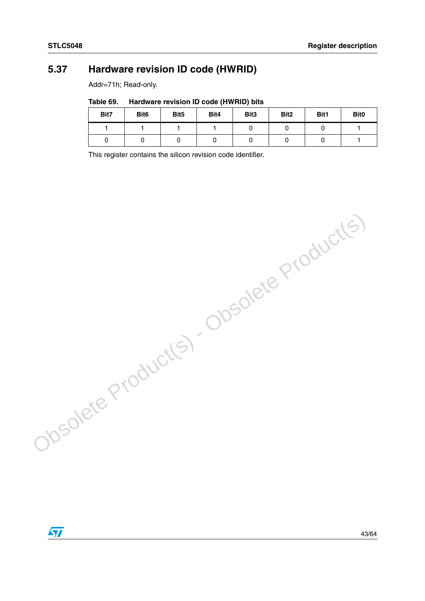## <span id="page-42-0"></span>**5.37 Hardware revision ID code (HWRID)**

Addr=71h; Read-only.

<span id="page-42-1"></span>Table 69. **Hardware revision ID code (HWRID) bits** 

| Bit7 | Bit <sub>6</sub> | Bit <sub>5</sub> | Bit4 | Bit <sub>3</sub> | Bit <sub>2</sub> | Bit1 | Bit <sub>0</sub> |
|------|------------------|------------------|------|------------------|------------------|------|------------------|
|      |                  |                  |      |                  |                  |      |                  |
|      |                  |                  |      |                  |                  |      |                  |

This register contains the silicon revision code identifier.

Obsolete Product(s) - Obsolete Product(s)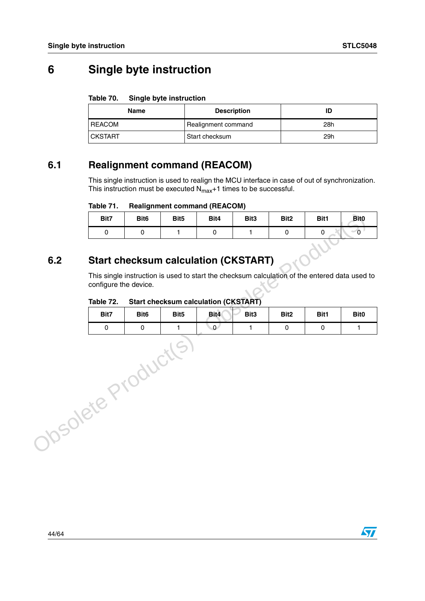# <span id="page-43-0"></span>**6 Single byte instruction**

#### <span id="page-43-3"></span>Table 70. **Single byte instruction**

| Name           | <b>Description</b>  | ID  |
|----------------|---------------------|-----|
| <b>REACOM</b>  | Realignment command | 28h |
| <b>CKSTART</b> | Start checksum      | 29h |

## <span id="page-43-1"></span>**6.1 Realignment command (REACOM)**

This single instruction is used to realign the MCU interface in case of out of synchronization. This instruction must be executed  $N_{\text{max}}+1$  times to be successful.

#### <span id="page-43-4"></span>Table 71. **Realignment command (REACOM)**

| Bit7                                 | Bit <sub>6</sub> | Bit <sub>5</sub> | Bit4 | Bit <sub>3</sub> | Bit <sub>2</sub> | Bit1 | Bit <sub>0</sub> |  |  |
|--------------------------------------|------------------|------------------|------|------------------|------------------|------|------------------|--|--|
|                                      |                  |                  |      |                  |                  |      |                  |  |  |
| Start checksum calculation (CKSTART) |                  |                  |      |                  |                  |      |                  |  |  |

## <span id="page-43-2"></span>**6.2 Start checksum calculation (CKSTART)**

<span id="page-43-5"></span>

| Table 72. | <b>Start checksum calculation (CKSTART)</b> |  |
|-----------|---------------------------------------------|--|
|           |                                             |  |

|                   | Bit7                                                                                                                                | Bit <sub>6</sub> | Bit <sub>5</sub> | Bit4                                        | Bit <sub>3</sub> | Bit <sub>2</sub> | Bit1 | Bit0        |
|-------------------|-------------------------------------------------------------------------------------------------------------------------------------|------------------|------------------|---------------------------------------------|------------------|------------------|------|-------------|
|                   | 0                                                                                                                                   | $\mathbf 0$      | 1                | 0                                           | 1                | $\mathbf 0$      | 0    | $\sim_{0}$  |
| 6.2               | <b>Start checksum calculation (CKSTART)</b>                                                                                         |                  |                  |                                             |                  |                  |      |             |
|                   | This single instruction is used to start the checksum calculation of the entered data used to<br>configure the device.<br>Table 72. |                  |                  | <b>Start checksum calculation (CKSTART)</b> |                  |                  |      |             |
|                   | Bit7                                                                                                                                | Bit <sub>6</sub> | Bit <sub>5</sub> | Bit4                                        | Bit3             | Bit <sub>2</sub> | Bit1 | <b>Bit0</b> |
|                   | 0                                                                                                                                   | $\mathbf 0$      | $\mathbf{1}$     | $\mathbf{O}$                                | 1                | 0                | 0    | 1           |
| bsolete Products. |                                                                                                                                     |                  |                  |                                             |                  |                  |      |             |

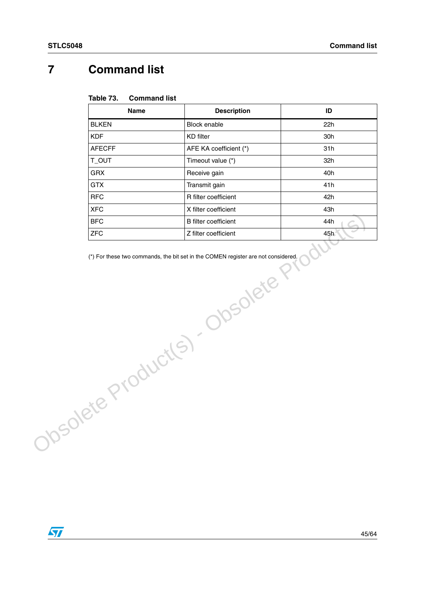# <span id="page-44-0"></span>**7 Command list**

<span id="page-44-1"></span>

| Table 73. | <b>Command list</b> |  |
|-----------|---------------------|--|
|-----------|---------------------|--|

| <b>Name</b>          | <b>Description</b>          | ID  |
|----------------------|-----------------------------|-----|
| <b>BLKEN</b>         | Block enable                | 22h |
| <b>KDF</b>           | <b>KD</b> filter            | 30h |
| <b>AFECFF</b>        | AFE KA coefficient (*)      | 31h |
| T_OUT                | Timeout value (*)           | 32h |
| <b>GRX</b>           | Receive gain                | 40h |
| <b>GTX</b>           | Transmit gain               | 41h |
| <b>RFC</b>           | R filter coefficient        | 42h |
| <b>XFC</b>           | X filter coefficient        | 43h |
| <b>BFC</b>           | <b>B</b> filter coefficient | 44h |
| <b>ZFC</b>           | Z filter coefficient        | 45h |
| Josolete Product(s). | Obsolete                    |     |

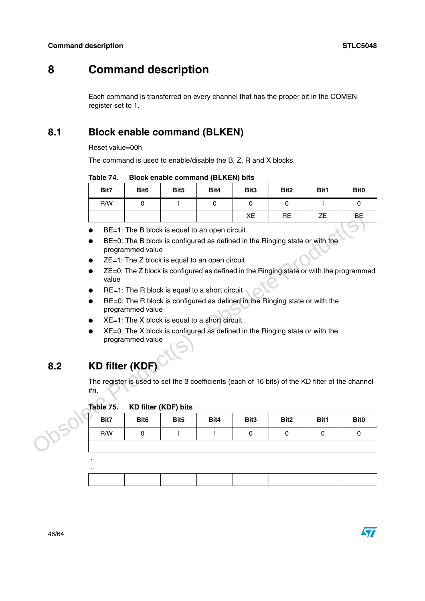## <span id="page-45-0"></span>**8 Command description**

Each command is transferred on every channel that has the proper bit in the COMEN register set to 1.

## <span id="page-45-1"></span>**8.1 Block enable command (BLKEN)**

Reset value=00h

The command is used to enable/disable the B, Z, R and X blocks.

#### <span id="page-45-3"></span>Table 74. **Block enable command (BLKEN) bits**

| Bit7 | Bit <sub>6</sub> | Bit <sub>5</sub> | Bit4 | Bit <sub>3</sub> | Bit <sub>2</sub> | Bit1 | Bit <sub>0</sub> |
|------|------------------|------------------|------|------------------|------------------|------|------------------|
| R/W  |                  |                  |      |                  |                  |      |                  |
|      |                  |                  |      | XE               | <b>RE</b>        | ΖE   | <b>BE</b><br>___ |

- BE=1: The B block is equal to an open circuit
- BE=0: The B block is configured as defined in the Ringing state or with the programmed value
- $ZE=1$ : The  $Z$  block is equal to an open circuit
- ZE=0: The Z block is configured as defined in the Ringing state or with the programmed value
- RE=1: The R block is equal to a short circuit
- RE=0: The R block is configured as defined in the Ringing state or with the programmed value
- $XE=1$ : The X block is equal to a short circuit
- XE=0: The X block is configured as defined in the Ringing state or with the programmed value

## <span id="page-45-2"></span>**8.2 KD filter (KDF)**

.

<span id="page-45-4"></span>

| Table 75. | <b>KD filter (KDF) bits</b> |  |  |
|-----------|-----------------------------|--|--|
|-----------|-----------------------------|--|--|

|     |                                                                                                         |                                                                                                 |                             |                                               | XE               | <b>RE</b>        | <b>ZE</b> | BE               |  |  |  |
|-----|---------------------------------------------------------------------------------------------------------|-------------------------------------------------------------------------------------------------|-----------------------------|-----------------------------------------------|------------------|------------------|-----------|------------------|--|--|--|
|     |                                                                                                         |                                                                                                 |                             | BE=1: The B block is equal to an open circuit |                  |                  |           |                  |  |  |  |
|     |                                                                                                         | BE=0: The B block is configured as defined in the Ringing state or with the<br>programmed value |                             |                                               |                  |                  |           |                  |  |  |  |
|     |                                                                                                         | $ZE=1$ : The Z block is equal to an open circuit                                                |                             |                                               |                  |                  |           |                  |  |  |  |
|     | ZE=0: The Z block is configured as defined in the Ringing state or with the programmed<br>value         |                                                                                                 |                             |                                               |                  |                  |           |                  |  |  |  |
|     | RE=1: The R block is equal to a short circuit                                                           |                                                                                                 |                             |                                               |                  |                  |           |                  |  |  |  |
|     | RE=0: The R block is configured as defined in the Ringing state or with the<br>programmed value         |                                                                                                 |                             |                                               |                  |                  |           |                  |  |  |  |
|     | $XE=1$ : The X block is equal to a short circuit                                                        |                                                                                                 |                             |                                               |                  |                  |           |                  |  |  |  |
|     | $XE=0$ : The X block is configured as defined in the Ringing state or with the                          |                                                                                                 |                             |                                               |                  |                  |           |                  |  |  |  |
|     | programmed value                                                                                        |                                                                                                 |                             |                                               |                  |                  |           |                  |  |  |  |
| 8.2 | <b>KD filter (KDF)</b>                                                                                  |                                                                                                 |                             |                                               |                  |                  |           |                  |  |  |  |
|     | The register is used to set the 3 coefficients (each of 16 bits) of the KD filter of the channel<br>#n. |                                                                                                 |                             |                                               |                  |                  |           |                  |  |  |  |
|     | Table 75.                                                                                               |                                                                                                 | <b>KD filter (KDF) bits</b> |                                               |                  |                  |           |                  |  |  |  |
|     | Bit7                                                                                                    | Bit <sub>6</sub>                                                                                | Bit <sub>5</sub>            | Bit4                                          | Bit <sub>3</sub> | Bit <sub>2</sub> | Bit1      | Bit <sub>0</sub> |  |  |  |
|     | R/W                                                                                                     | 0                                                                                               | 1                           | 1                                             | 0                | 0                | 0         | 0                |  |  |  |
|     |                                                                                                         |                                                                                                 |                             |                                               |                  |                  |           |                  |  |  |  |

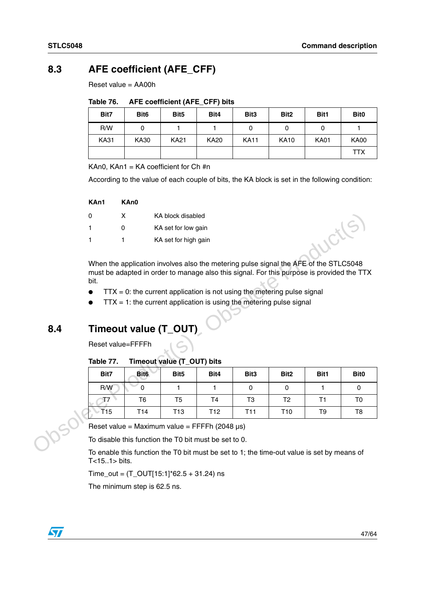## <span id="page-46-0"></span>**8.3 AFE coefficient (AFE\_CFF)**

Reset value = AA00h

<span id="page-46-2"></span>

| Table 76. | AFE coefficient (AFE_CFF) bits |  |  |
|-----------|--------------------------------|--|--|
|-----------|--------------------------------|--|--|

| Bit7        | Bit <sub>6</sub> | Bit <sub>5</sub> | Bit4        | Bit <sub>3</sub> | Bit <sub>2</sub> | Bit1        | Bit <sub>0</sub> |
|-------------|------------------|------------------|-------------|------------------|------------------|-------------|------------------|
| R/W         |                  |                  |             |                  |                  |             |                  |
| <b>KA31</b> | KA30             | <b>KA21</b>      | <b>KA20</b> | <b>KA11</b>      | <b>KA10</b>      | <b>KA01</b> | <b>KA00</b>      |
|             |                  |                  |             |                  |                  |             | <b>TTX</b>       |

KAn0,  $KAn1 = KA coefficient for Ch #n$ 

According to the value of each couple of bits, the KA block is set in the following condition:

| KAn1 | KAn0 |                      |
|------|------|----------------------|
| 0    | x    | KA block disabled    |
| 1    | n    | KA set for low gain  |
|      |      | KA set for high gain |

- $\bullet$  TTX = 0: the current application is not using the metering pulse signal
- $TTX = 1$ : the current application is using the metering pulse signal

# <span id="page-46-1"></span>**8.4 Timeout value (T\_OUT)**

<span id="page-46-3"></span>Table 77. **Timeout value (T\_OUT) bits** 

|     | 0                                                                          | X                | KA block disabled                                                                         |                 |                  |                  |             |                  |  |  |  |
|-----|----------------------------------------------------------------------------|------------------|-------------------------------------------------------------------------------------------|-----------------|------------------|------------------|-------------|------------------|--|--|--|
|     | 1<br>$\Omega$                                                              |                  | KA set for low gain                                                                       |                 |                  |                  |             |                  |  |  |  |
|     | 1<br>1                                                                     |                  | KA set for high gain                                                                      |                 |                  |                  |             |                  |  |  |  |
|     |                                                                            |                  |                                                                                           |                 |                  |                  |             |                  |  |  |  |
|     |                                                                            |                  | When the application involves also the metering pulse signal the AFE of the STLC5048      |                 |                  |                  |             |                  |  |  |  |
|     | bit.                                                                       |                  | must be adapted in order to manage also this signal. For this purpose is provided the TTX |                 |                  |                  |             |                  |  |  |  |
|     | $TTX = 0$ : the current application is not using the metering pulse signal |                  |                                                                                           |                 |                  |                  |             |                  |  |  |  |
|     | $TTX = 1$ : the current application is using the metering pulse signal     |                  |                                                                                           |                 |                  |                  |             |                  |  |  |  |
|     |                                                                            |                  |                                                                                           |                 |                  |                  |             |                  |  |  |  |
| 8.4 |                                                                            |                  | Timeout value (T_OUT)                                                                     |                 |                  |                  |             |                  |  |  |  |
|     |                                                                            |                  |                                                                                           |                 |                  |                  |             |                  |  |  |  |
|     | Reset value=FFFFh                                                          |                  |                                                                                           |                 |                  |                  |             |                  |  |  |  |
|     | Table 77.                                                                  |                  | Timeout value (T_OUT) bits                                                                |                 |                  |                  |             |                  |  |  |  |
|     | Bit7                                                                       | Bit <sub>6</sub> | Bit <sub>5</sub>                                                                          | Bit4            | Bit <sub>3</sub> | Bit <sub>2</sub> | <b>Bit1</b> | Bit <sub>0</sub> |  |  |  |
|     | R/W                                                                        | 0                | 1                                                                                         | 1               | 0                | 0                | 1           | 0                |  |  |  |
|     | T7                                                                         | T <sub>6</sub>   | T5                                                                                        | T4              | T3               | T <sub>2</sub>   | T1          | T0               |  |  |  |
|     | T15                                                                        | T <sub>14</sub>  | T <sub>13</sub>                                                                           | T <sub>12</sub> | T11              | T <sub>10</sub>  | T9          | T8               |  |  |  |
|     |                                                                            |                  | Reset value = Maximum value = FFFFh (2048 $\mu$ s)                                        |                 |                  |                  |             |                  |  |  |  |
|     |                                                                            |                  |                                                                                           |                 |                  |                  |             |                  |  |  |  |
|     |                                                                            |                  | To disable this function the T0 bit must be set to 0.                                     |                 |                  |                  |             |                  |  |  |  |

To enable this function the T0 bit must be set to 1; the time-out value is set by means of T<15..1> bits.

Time\_out = (T\_OUT[15:1]\*62.5 + 31.24) ns

The minimum step is 62.5 ns.

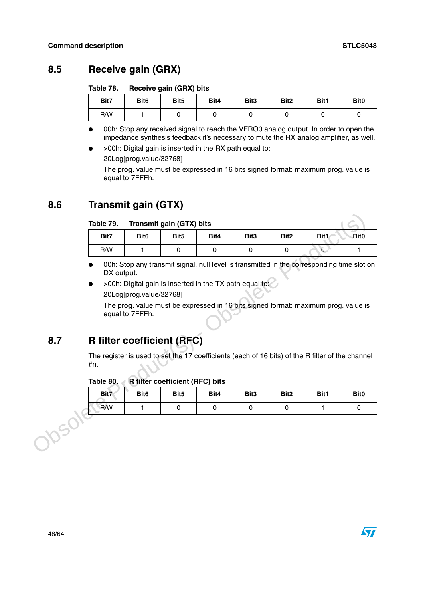$\sqrt{2}$ 

## <span id="page-47-0"></span>**8.5 Receive gain (GRX)**

<span id="page-47-3"></span>Table 78. **Receive gain (GRX) bits** 

| Bit7 | Bit <sub>6</sub> | Bit <sub>5</sub> | Bit4 | Bit <sub>3</sub> | Bit <sub>2</sub> | Bit1 | Bit <sub>0</sub> |
|------|------------------|------------------|------|------------------|------------------|------|------------------|
| R/W  |                  |                  |      |                  |                  |      |                  |

00h: Stop any received signal to reach the VFRO0 analog output. In order to open the impedance synthesis feedback it's necessary to mute the RX analog amplifier, as well.

● >00h: Digital gain is inserted in the RX path equal to:

20Log[prog.value/32768]

The prog. value must be expressed in 16 bits signed format: maximum prog. value is equal to 7FFFh.

## <span id="page-47-1"></span>**8.6 Transmit gain (GTX)**

#### <span id="page-47-4"></span>Table 79. **Transmit gain (GTX) bits**

|      | Table 79.                                                                                               |                         | <b>Transmit gain (GTX) bits</b>                         |             |                  |                  |                                                                                            |                  |  |  |
|------|---------------------------------------------------------------------------------------------------------|-------------------------|---------------------------------------------------------|-------------|------------------|------------------|--------------------------------------------------------------------------------------------|------------------|--|--|
|      | Bit7                                                                                                    | Bit <sub>6</sub>        | Bit <sub>5</sub>                                        | Bit4        | Bit <sub>3</sub> | Bit <sub>2</sub> | Bit1                                                                                       | Bit <sub>0</sub> |  |  |
|      | R/W                                                                                                     | 1                       | 0                                                       | $\mathbf 0$ | $\mathbf 0$      | 0                | 0                                                                                          | 1                |  |  |
|      | DX output.                                                                                              | 20Log[prog.value/32768] | >00h: Digital gain is inserted in the TX path equal to: |             |                  |                  | 00h: Stop any transmit signal, null level is transmitted in the corresponding time slot on |                  |  |  |
| 8.7  | <b>R</b> filter coefficient (RFC)                                                                       | equal to 7FFFh.         |                                                         |             |                  |                  | The prog. value must be expressed in 16 bits signed format: maximum prog. value is         |                  |  |  |
|      | The register is used to set the 17 coefficients (each of 16 bits) of the R filter of the channel<br>#n. |                         |                                                         |             |                  |                  |                                                                                            |                  |  |  |
|      | Table 80.                                                                                               |                         | <b>R</b> filter coefficient (RFC) bits                  |             |                  |                  |                                                                                            |                  |  |  |
|      | Bit7                                                                                                    | Bit <sub>6</sub>        | Bit <sub>5</sub>                                        | Bit4        | Bit <sub>3</sub> | Bit <sub>2</sub> | Bit1                                                                                       | <b>Bit0</b>      |  |  |
|      | R/W                                                                                                     | 1                       | 0                                                       | 0           | 0                | 0                | 1.                                                                                         | 0                |  |  |
| 1901 |                                                                                                         |                         |                                                         |             |                  |                  |                                                                                            |                  |  |  |

- 00h: Stop any transmit signal, null level is transmitted in the corresponding time slot on DX output.
- $>$ 00h: Digital gain is inserted in the TX path equal to: 20Log[prog.value/32768]

## <span id="page-47-2"></span>**8.7 R filter coefficient (RFC)**

## <span id="page-47-5"></span>Table 80. **R filter coefficient (RFC) bits**

| Bit7 | Bit <sub>6</sub> | Bit <sub>5</sub> | Bit4 | Bit3 | Bit <sub>2</sub> | Bit1 | Bit <sub>0</sub> |
|------|------------------|------------------|------|------|------------------|------|------------------|
| R/W  |                  |                  |      |      |                  |      |                  |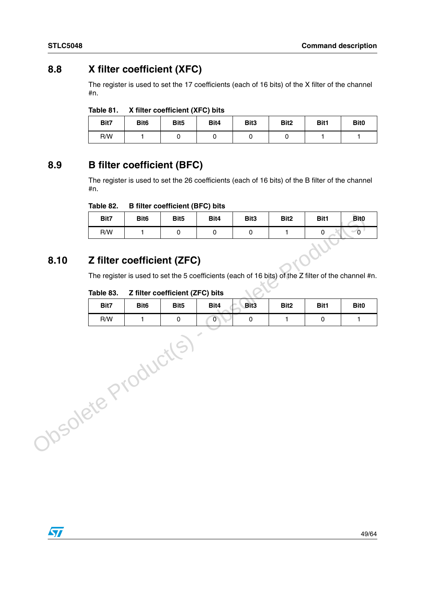## <span id="page-48-0"></span>**8.8 X filter coefficient (XFC)**

The register is used to set the 17 coefficients (each of 16 bits) of the X filter of the channel #n.

<span id="page-48-3"></span>

| Table 81. | X filter coefficient (XFC) bits |  |
|-----------|---------------------------------|--|
|-----------|---------------------------------|--|

| Bit7 | Bit <sub>6</sub> | Bit <sub>5</sub> | Bit4 | Bit3 | Bit <sub>2</sub> | Bit1 | Bit <sub>0</sub> |
|------|------------------|------------------|------|------|------------------|------|------------------|
| R/W  |                  |                  |      |      |                  |      |                  |

## <span id="page-48-1"></span>**8.9 B filter coefficient (BFC)**

The register is used to set the 26 coefficients (each of 16 bits) of the B filter of the channel #n.

#### <span id="page-48-4"></span>Table 82. **B** filter coefficient (BFC) bits

| Bit7                       | Bit <sub>6</sub> | Bit <sub>5</sub> | Bit4 | Bit <sub>3</sub> | Bit <sub>2</sub> | Bit1 | <b>Bit0</b> |
|----------------------------|------------------|------------------|------|------------------|------------------|------|-------------|
| R/W                        |                  |                  |      |                  |                  |      |             |
| Z filter coefficient (ZFC) |                  |                  |      |                  |                  |      |             |

## <span id="page-48-2"></span>**8.10 Z filter coefficient (ZFC)**

#### <span id="page-48-5"></span>Table 83. **Z** filter coefficient (ZFC) bits

|                    | Bit7                              | Bit <sub>6</sub> | Bit <sub>5</sub>                        | Bit4           | Bit3                | Bit2             | Bit1                                                                                                | <b>Bit0</b>  |
|--------------------|-----------------------------------|------------------|-----------------------------------------|----------------|---------------------|------------------|-----------------------------------------------------------------------------------------------------|--------------|
|                    | R/W                               | 1                | $\pmb{0}$                               | 0              | $\mathsf{O}\xspace$ | 1                | 0                                                                                                   | $\sim$ 0     |
| 8.10               | <b>Z filter coefficient (ZFC)</b> |                  |                                         |                |                     |                  |                                                                                                     |              |
|                    |                                   |                  |                                         |                |                     |                  | The register is used to set the 5 coefficients (each of 16 bits) of the Z filter of the channel #n. |              |
|                    | Table 83.<br>Bit7                 | Bit <sub>6</sub> | Z filter coefficient (ZFC) bits<br>Bit5 | Bit4           | Bit <sub>3</sub>    | Bit <sub>2</sub> | Bit1                                                                                                | <b>Bit0</b>  |
|                    | R/W                               | 1                | 0                                       | $\overline{0}$ | 0                   | 1                | 0                                                                                                   | $\mathbf{1}$ |
| vsolete Product(s) |                                   |                  |                                         |                |                     |                  |                                                                                                     |              |

 $\sqrt{27}$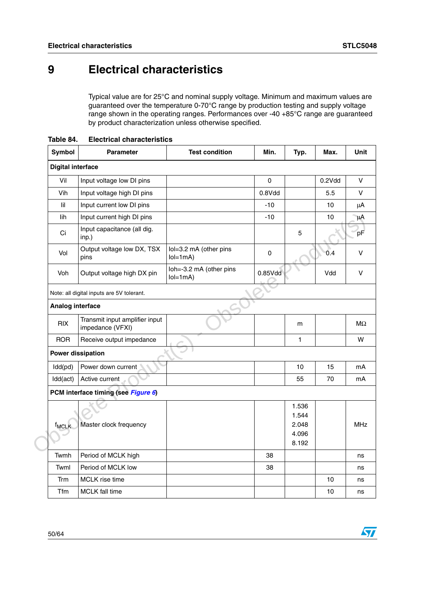$\bm{\varpi}$ 

# <span id="page-49-0"></span>**9 Electrical characteristics**

Typical value are for 25°C and nominal supply voltage. Minimum and maximum values are guaranteed over the temperature 0-70°C range by production testing and supply voltage range shown in the operating ranges. Performances over -40 +85°C range are guaranteed by product characterization unless otherwise specified.

| Symbol                   | Parameter                                          | <b>Test condition</b>                | Min.      | Typ.           | Max.   | Unit       |
|--------------------------|----------------------------------------------------|--------------------------------------|-----------|----------------|--------|------------|
| <b>Digital interface</b> |                                                    |                                      |           |                |        |            |
| Vil                      | Input voltage low DI pins                          |                                      | $\pmb{0}$ |                | 0.2Vdd | $\vee$     |
| Vih                      | Input voltage high DI pins                         |                                      | 0.8Vdd    |                | 5.5    | V          |
| lil                      | Input current low DI pins                          |                                      | $-10$     |                | 10     | μA         |
| lih                      | Input current high DI pins                         |                                      | $-10$     |                | 10     | μA         |
| Ci                       | Input capacitance (all dig.<br>inp.)               |                                      |           | 5              |        | pF         |
| Vol                      | Output voltage low DX, TSX<br>pins                 | lol=3.2 mA (other pins<br>$IoI=1mA$  | 0         |                | 0.4    | v          |
| Voh                      | Output voltage high DX pin                         | loh=-3.2 mA (other pins<br>$IoI=1mA$ | 0.85Vdd   |                | Vdd    | $\vee$     |
|                          | Note: all digital inputs are 5V tolerant.          |                                      |           |                |        |            |
| Analog interface         |                                                    |                                      |           |                |        |            |
| <b>RIX</b>               | Transmit input amplifier input<br>impedance (VFXI) |                                      |           | m              |        | MΩ         |
| <b>ROR</b>               | Receive output impedance                           |                                      |           | 1              |        | W          |
|                          | <b>Power dissipation</b>                           |                                      |           |                |        |            |
| Idd(pd)                  | Power down current                                 |                                      |           | 10             | 15     | mA         |
| Idd(act)                 | Active current                                     |                                      |           | 55             | 70     | mA         |
|                          | PCM interface timing (see Figure 6)                |                                      |           |                |        |            |
|                          |                                                    |                                      |           | 1.536          |        |            |
|                          |                                                    |                                      |           | 1.544          |        |            |
| <b>f<sub>MCLK</sub></b>  | Master clock frequency                             |                                      |           | 2.048          |        | <b>MHz</b> |
|                          |                                                    |                                      |           | 4.096<br>8.192 |        |            |
| Twmh                     | Period of MCLK high                                |                                      | 38        |                |        | ns         |
| Twml                     | Period of MCLK low                                 |                                      | 38        |                |        | ns         |
| Trm                      | <b>MCLK</b> rise time                              |                                      |           |                | 10     | ns         |
| Tfm                      | <b>MCLK</b> fall time                              |                                      |           |                | 10     | ns         |

<span id="page-49-1"></span>**Table 84. Electrical characteristics**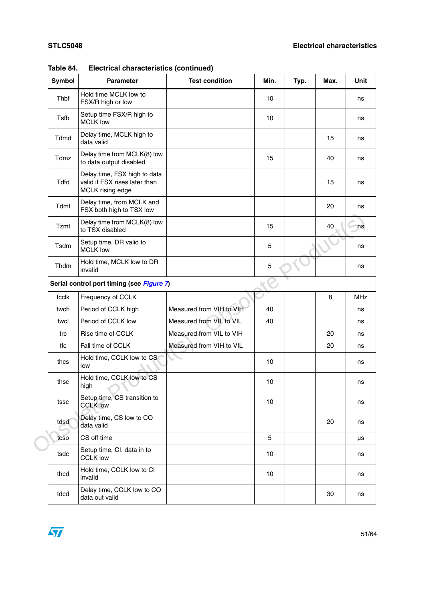| <b>Symbol</b> | <b>Parameter</b>                                                                  | <b>Test condition</b>    | Min. | Typ. | Max. | Unit       |
|---------------|-----------------------------------------------------------------------------------|--------------------------|------|------|------|------------|
| Thbf          | Hold time MCLK low to<br>FSX/R high or low                                        |                          | 10   |      |      | ns         |
| Tsfb          | Setup time FSX/R high to<br><b>MCLK low</b>                                       |                          | 10   |      |      | ns         |
| Tdmd          | Delay time, MCLK high to<br>data valid                                            |                          |      |      | 15   | ns         |
| Tdmz          | Delay time from MCLK(8) low<br>to data output disabled                            |                          | 15   |      | 40   | ns         |
| <b>Tdfd</b>   | Delay time, FSX high to data<br>valid if FSX rises later than<br>MCLK rising edge |                          |      |      | 15   | ns         |
| Tdmt          | Delay time, from MCLK and<br>FSX both high to TSX low                             |                          |      |      | 20   | ns         |
| Tzmt          | Delay time from MCLK(8) low<br>to TSX disabled                                    |                          | 15   |      | 40   | ns         |
| Tsdm          | Setup time, DR valid to<br><b>MCLK low</b>                                        |                          | 5    |      |      | ns         |
| Thdm          | Hold time, MCLK low to DR<br>invalid                                              |                          | 5    |      |      | ns         |
|               | Serial control port timing (see Figure 7)                                         |                          |      |      |      |            |
| fcclk         | Frequency of CCLK                                                                 |                          |      |      | 8    | <b>MHz</b> |
| twch          | Period of CCLK high                                                               | Measured from VIH to VIH | 40   |      |      | ns         |
| twcl          | Period of CCLK low                                                                | Measured from VIL to VIL | 40   |      |      | ns         |
| trc           | Rise time of CCLK                                                                 | Measured from VIL to VIH |      |      | 20   | ns         |
| tfc           | Fall time of CCLK                                                                 | Measured from VIH to VIL |      |      | 20   | ns         |
| thcs          | Hold time, CCLK low to CS<br>low                                                  |                          | 10   |      |      | ns         |
| thsc          | Hold time, CCLK low to CS<br>high                                                 |                          | 10   |      |      | ns         |
| tssc          | Setup time, CS transition to<br><b>CCLK low</b>                                   |                          | 10   |      |      | ns         |
| tdsd          | Delay time, CS low to CO<br>data valid                                            |                          |      |      | 20   | ns         |
| tcso          | CS off time                                                                       |                          | 5    |      |      | μs         |
| tsdc          | Setup time, CI. data in to<br><b>CCLK low</b>                                     |                          | 10   |      |      | ns         |
| thcd          | Hold time, CCLK low to CI<br>invalid                                              |                          | 10   |      |      | ns         |
| tdcd          | Delay time, CCLK low to CO<br>data out valid                                      |                          |      |      | 30   | ns         |

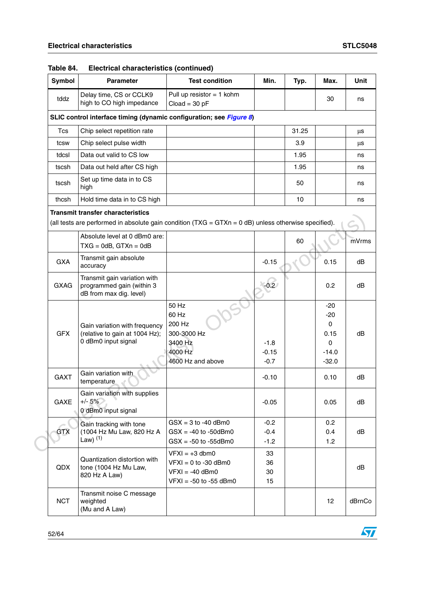| Symbol      | <b>Parameter</b>                                                                                                                                  | <b>Test condition</b>                                                                         | Min.                        | Typ.  | Max.                                                                     | <b>Unit</b> |
|-------------|---------------------------------------------------------------------------------------------------------------------------------------------------|-----------------------------------------------------------------------------------------------|-----------------------------|-------|--------------------------------------------------------------------------|-------------|
| tddz        | Delay time, CS or CCLK9<br>high to CO high impedance                                                                                              | Pull up resistor $= 1$ kohm<br>$Cloud = 30 pF$                                                | 30                          |       |                                                                          | ns          |
|             | SLIC control interface timing (dynamic configuration; see Figure 8)                                                                               |                                                                                               |                             |       |                                                                          |             |
| <b>Tcs</b>  | Chip select repetition rate                                                                                                                       |                                                                                               |                             | 31.25 |                                                                          | μs          |
| tcsw        | Chip select pulse width                                                                                                                           |                                                                                               |                             | 3.9   |                                                                          | μs          |
| tdcsl       | Data out valid to CS low                                                                                                                          |                                                                                               |                             | 1.95  |                                                                          | ns          |
| tscsh       | Data out held after CS high                                                                                                                       |                                                                                               |                             | 1.95  |                                                                          | ns          |
| tscsh       | Set up time data in to CS<br>high                                                                                                                 |                                                                                               |                             | 50    |                                                                          | ns          |
| thcsh       | Hold time data in to CS high                                                                                                                      |                                                                                               |                             | 10    |                                                                          | ns          |
|             | <b>Transmit transfer characteristics</b><br>(all tests are performed in absolute gain condition $(TXG = GTXn = 0 d)$ unless otherwise specified). |                                                                                               |                             |       |                                                                          |             |
|             | Absolute level at 0 dBm0 are:<br>$TXG = OdB$ , $GTXn = OdB$                                                                                       |                                                                                               |                             | 60    |                                                                          | mVrms       |
| <b>GXA</b>  | Transmit gain absolute<br>accuracy                                                                                                                |                                                                                               | $-0.15$                     |       | 0.15                                                                     | dB          |
| <b>GXAG</b> | Transmit gain variation with<br>programmed gain (within 3<br>dB from max dig. level)                                                              |                                                                                               | $-0.2$                      |       | 0.2                                                                      | dB          |
| <b>GFX</b>  | Gain variation with frequency<br>(relative to gain at 1004 Hz);<br>0 dBm0 input signal                                                            | 50 Hz<br>60 Hz<br>200 Hz<br>300-3000 Hz<br>3400 Hz<br>4000 Hz<br>4600 Hz and above            | $-1.8$<br>$-0.15$<br>$-0.7$ |       | $-20$<br>$-20$<br>$\mathbf{0}$<br>0.15<br>$\Omega$<br>$-14.0$<br>$-32.0$ | dB          |
| <b>GAXT</b> | Gain variation with<br>temperature                                                                                                                |                                                                                               | $-0.10$                     |       | 0.10                                                                     | dB          |
| <b>GAXE</b> | Gain variation with supplies<br>+/- 5%<br>0 dBm0 input signal                                                                                     |                                                                                               | $-0.05$                     |       | 0.05                                                                     | dB          |
| <b>GTX</b>  | Gain tracking with tone<br>(1004 Hz Mu Law, 820 Hz A<br>Law) $(1)$                                                                                | $GSX = 3$ to -40 dBm0<br>$GSX = -40$ to $-50$ dBm0<br>$GSX = -50$ to $-55dBm0$                | $-0.2$<br>$-0.4$<br>$-1.2$  |       | 0.2<br>0.4<br>1.2                                                        | dB          |
| QDX         | Quantization distortion with<br>tone (1004 Hz Mu Law,<br>820 Hz A Law)                                                                            | $VFXI = +3$ dbm0<br>$VFXI = 0$ to -30 dBm0<br>$VFXI = -40$ dBm0<br>$VFXI = -50$ to $-55$ dBm0 | 33<br>36<br>30<br>15        |       |                                                                          | dB          |
| <b>NCT</b>  | Transmit noise C message<br>weighted<br>(Mu and A Law)                                                                                            |                                                                                               |                             |       | 12 <sup>2</sup>                                                          | dBrnCo      |

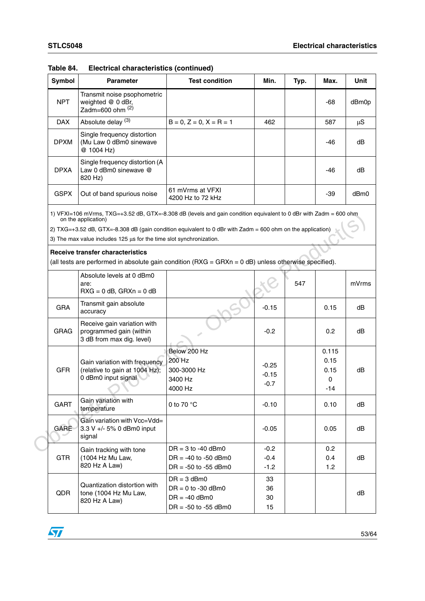| <b>Symbol</b> | <b>Parameter</b>                                                                                                                        | <b>Test condition</b>                                                                                                                                                                                                           | Min.                         | Typ. | Max.                              | Unit    |
|---------------|-----------------------------------------------------------------------------------------------------------------------------------------|---------------------------------------------------------------------------------------------------------------------------------------------------------------------------------------------------------------------------------|------------------------------|------|-----------------------------------|---------|
| <b>NPT</b>    | Transmit noise psophometric<br>weighted @ 0 dBr,<br>Zadm=600 ohm $(2)$                                                                  |                                                                                                                                                                                                                                 |                              |      | -68                               | dBm0p   |
| <b>DAX</b>    | Absolute delay <sup>(3)</sup>                                                                                                           | $B = 0, Z = 0, X = R = 1$                                                                                                                                                                                                       | 462                          |      | 587                               | $\mu S$ |
| <b>DPXM</b>   | Single frequency distortion<br>(Mu Law 0 dBm0 sinewave<br>@ 1004 Hz)                                                                    |                                                                                                                                                                                                                                 |                              |      | -46                               | dB      |
| <b>DPXA</b>   | Single frequency distortion (A<br>Law 0 dBm0 sinewave @<br>820 Hz)                                                                      |                                                                                                                                                                                                                                 |                              |      | -46                               | dB      |
| <b>GSPX</b>   | Out of band spurious noise                                                                                                              | 61 mVrms at VFXI<br>4200 Hz to 72 kHz                                                                                                                                                                                           |                              |      | $-39$                             | dBm0    |
|               | on the application)<br>3) The max value includes 125 us for the time slot synchronization.                                              | 1) VFXI=106 mVrms, TXG=+3.52 dB, GTX=-8.308 dB (levels and gain condition equivalent to 0 dBr with Zadm = 600 ohm<br>2) TXG=+3.52 dB, GTX=-8.308 dB (gain condition equivalent to 0 dBr with Zadm = 600 ohm on the application) |                              |      |                                   |         |
|               | <b>Receive transfer characteristics</b>                                                                                                 | (all tests are performed in absolute gain condition $(RXG = GRXn = 0 dB)$ unless otherwise specified).                                                                                                                          |                              |      |                                   |         |
|               | Absolute levels at 0 dBm0<br>are:<br>$\text{R} \text{X} \text{G} = 0 \text{ dB}$ , $\text{G} \text{R} \text{X} \text{n} = 0 \text{ dB}$ |                                                                                                                                                                                                                                 |                              | 547  |                                   | mVrms   |
| <b>GRA</b>    | Transmit gain absolute<br>accuracy                                                                                                      |                                                                                                                                                                                                                                 | $-0.15$                      |      | 0.15                              | dB      |
| <b>GRAG</b>   | Receive gain variation with<br>programmed gain (within<br>3 dB from max dig. level)                                                     |                                                                                                                                                                                                                                 | $-0.2$                       |      | 0.2                               | dB      |
| <b>GFR</b>    | Gain variation with frequency<br>(relative to gain at 1004 Hz);<br>0 dBm0 input signal                                                  | Below 200 Hz<br>200 Hz<br>300-3000 Hz<br>3400 Hz<br>4000 Hz                                                                                                                                                                     | $-0.25$<br>$-0.15$<br>$-0.7$ |      | 0.115<br>0.15<br>0.15<br>0<br>-14 | dB      |
| <b>GART</b>   | Gain variation with<br>temperature                                                                                                      | 0 to 70 $\degree$ C                                                                                                                                                                                                             | $-0.10$                      |      | 0.10                              | dB      |
| GARE          | Gain variation with Vcc=Vdd=<br>3.3 V +/- 5% 0 dBm0 input<br>signal                                                                     |                                                                                                                                                                                                                                 | $-0.05$                      |      | 0.05                              | dB      |
| <b>GTR</b>    | Gain tracking with tone<br>(1004 Hz Mu Law,<br>820 Hz A Law)                                                                            | $DR = 3$ to -40 dBm0<br>$DR = -40$ to $-50$ dBm0<br>$DR = -50$ to $-55$ dBm0                                                                                                                                                    | $-0.2$<br>$-0.4$<br>$-1.2$   |      | 0.2<br>0.4<br>1.2                 | dB      |
| QDR           | Quantization distortion with<br>tone (1004 Hz Mu Law,<br>820 Hz A Law)                                                                  | $DR = 3$ dBm0<br>$DR = 0$ to -30 dBm0<br>$DR = -40$ dBm0<br>$DR = -50$ to $-55$ dBm0                                                                                                                                            | 33<br>36<br>30<br>15         |      |                                   | dB      |

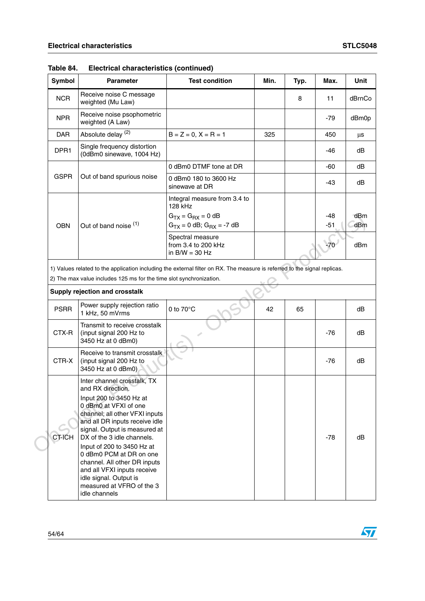| <b>Symbol</b> | <b>Parameter</b>                                                                                                                                                                                                                                                                                                                                                                                                                        | <b>Test condition</b>                                                                                                     | Min. | Typ. | Max.         | Unit       |
|---------------|-----------------------------------------------------------------------------------------------------------------------------------------------------------------------------------------------------------------------------------------------------------------------------------------------------------------------------------------------------------------------------------------------------------------------------------------|---------------------------------------------------------------------------------------------------------------------------|------|------|--------------|------------|
| <b>NCR</b>    | Receive noise C message<br>weighted (Mu Law)                                                                                                                                                                                                                                                                                                                                                                                            |                                                                                                                           |      | 8    | 11           | dBrnCo     |
| <b>NPR</b>    | Receive noise psophometric<br>weighted (A Law)                                                                                                                                                                                                                                                                                                                                                                                          |                                                                                                                           |      |      | -79          | dBm0p      |
| <b>DAR</b>    | Absolute delay <sup>(2)</sup>                                                                                                                                                                                                                                                                                                                                                                                                           | $B = Z = 0, X = R = 1$                                                                                                    | 325  |      | 450          | μs         |
| DPR1          | Single frequency distortion<br>(0dBm0 sinewave, 1004 Hz)                                                                                                                                                                                                                                                                                                                                                                                |                                                                                                                           |      |      | -46          | dB         |
|               |                                                                                                                                                                                                                                                                                                                                                                                                                                         | 0 dBm0 DTMF tone at DR                                                                                                    |      |      | -60          | dB         |
| <b>GSPR</b>   | Out of band spurious noise                                                                                                                                                                                                                                                                                                                                                                                                              | 0 dBm0 180 to 3600 Hz<br>sinewave at DR                                                                                   |      |      | -43          | dB         |
| <b>OBN</b>    | Out of band noise (1)                                                                                                                                                                                                                                                                                                                                                                                                                   | Integral measure from 3.4 to<br>128 kHz<br>$GTX = GRX = 0 dB$<br>$G_{TX} = 0$ dB; $G_{RX} = -7$ dB                        |      |      | -48<br>$-51$ | dBm<br>dBm |
|               |                                                                                                                                                                                                                                                                                                                                                                                                                                         | Spectral measure<br>from 3.4 to 200 kHz<br>in $B/W = 30 Hz$                                                               |      |      | $-70$        | dBm        |
|               | 2) The max value includes 125 ms for the time slot synchronization.<br>Supply rejection and crosstalk                                                                                                                                                                                                                                                                                                                                   | 1) Values related to the application including the external filter on RX. The measure is referred to the signal replicas. |      |      |              |            |
| <b>PSRR</b>   | Power supply rejection ratio<br>1 kHz, 50 mVrms                                                                                                                                                                                                                                                                                                                                                                                         | 0 to $70^{\circ}$ C                                                                                                       | 42   | 65   |              | dB         |
| CTX-R         | Transmit to receive crosstalk<br>(input signal 200 Hz to<br>3450 Hz at 0 dBm0)                                                                                                                                                                                                                                                                                                                                                          |                                                                                                                           |      |      | $-76$        | dB         |
| CTR-X         | Receive to transmit crosstalk<br>(input signal 200 Hz to<br>3450 Hz at 0 dBm0)                                                                                                                                                                                                                                                                                                                                                          |                                                                                                                           |      |      | -76          | dB         |
| <b>CT-ICH</b> | Inter channel crosstalk, TX<br>and RX direction.<br>Input 200 to 3450 Hz at<br>0 dBm0 at VFXI of one<br>channel; all other VFXI inputs<br>and all DR inputs receive idle<br>signal. Output is measured at<br>DX of the 3 idle channels.<br>Input of 200 to 3450 Hz at<br>0 dBm0 PCM at DR on one<br>channel. All other DR inputs<br>and all VFXI inputs receive<br>idle signal. Output is<br>measured at VFRO of the 3<br>idle channels |                                                                                                                           |      |      | $-78$        | dB         |

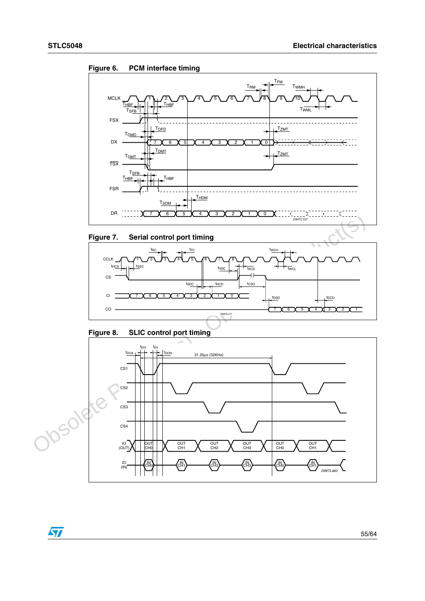

<span id="page-54-0"></span>**Figure 6. PCM interface timing**

<span id="page-54-1"></span>



<span id="page-54-2"></span>

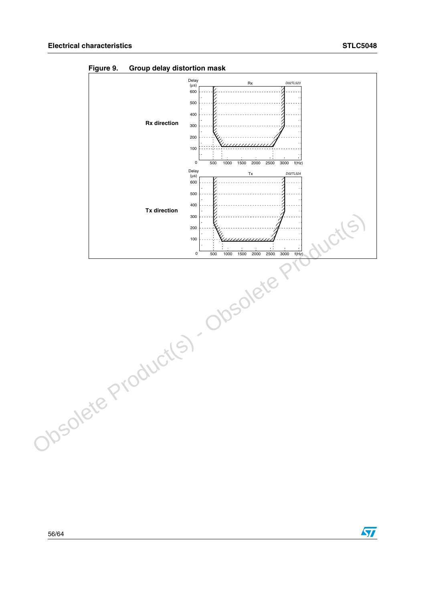

<span id="page-55-0"></span>**Figure 9. Group delay distortion mask**

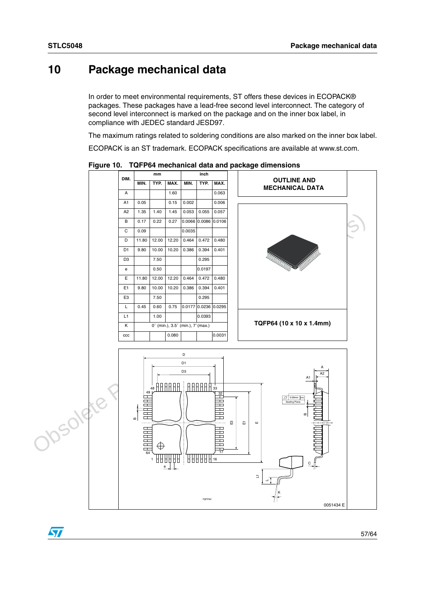## <span id="page-56-0"></span>**10 Package mechanical data**

In order to meet environmental requirements, ST offers these devices in ECOPACK® packages. These packages have a lead-free second level interconnect. The category of second level interconnect is marked on the package and on the inner box label, in compliance with JEDEC standard JESD97.

The maximum ratings related to soldering conditions are also marked on the inner box label.

ECOPACK is an ST trademark. ECOPACK specifications are available at www.st.com.



<span id="page-56-1"></span>**Figure 10. TQFP64 mechanical data and package dimensions**

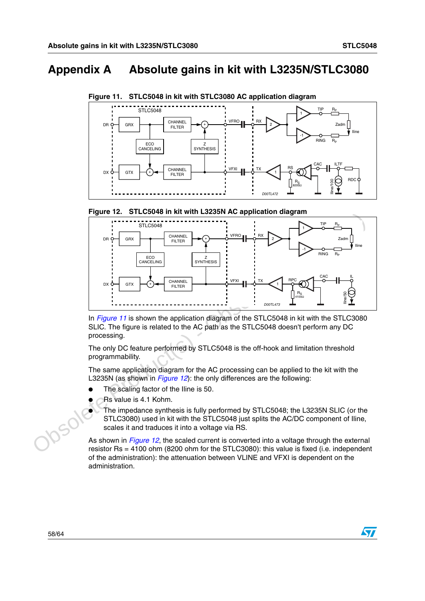# <span id="page-57-0"></span>**Appendix A Absolute gains in kit with L3235N/STLC3080**



<span id="page-57-1"></span>**Figure 11. STLC5048 in kit with STLC3080 AC application diagram**

<span id="page-57-2"></span>



In *Figure 11* is shown the application diagram of the STLC5048 in kit with the STLC3080 SLIC. The figure is related to the AC path as the STLC5048 doesn't perform any DC processing.

The only DC feature performed by STLC5048 is the off-hook and limitation threshold programmability.

The same application diagram for the AC processing can be applied to the kit with the L3235N (as shown in *Figure 12*): the only differences are the following:

- The scaling factor of the Iline is 50.
- Rs value is 4.1 Kohm.
- The impedance synthesis is fully performed by STLC5048; the L3235N SLIC (or the STLC3080) used in kit with the STLC5048 just splits the AC/DC component of Iline, scales it and traduces it into a voltage via RS.

As shown in Figure 12, the scaled current is converted into a voltage through the external resistor Rs = 4100 ohm (8200 ohm for the STLC3080): this value is fixed (i.e. independent of the administration): the attenuation between VLINE and VFXI is dependent on the administration.



 $\sqrt{2}$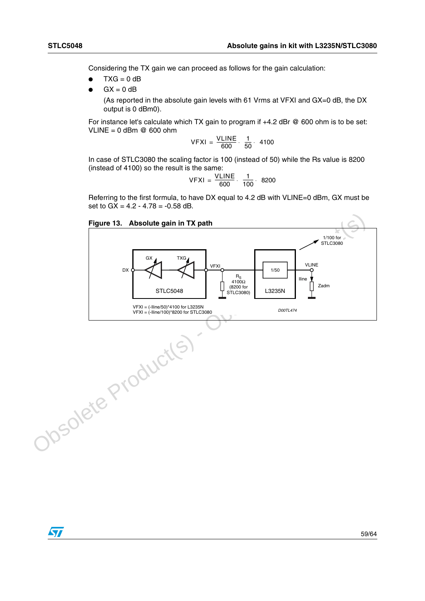Considering the TX gain we can proceed as follows for the gain calculation:

- $TXG = 0$  dB
- $GX = 0$  dB

(As reported in the absolute gain levels with 61 Vrms at VFXI and GX=0 dB, the DX output is 0 dBm0).

For instance let's calculate which TX gain to program if  $+4.2$  dBr @ 600 ohm is to be set: VLINE =  $0$  dBm  $@$  600 ohm

$$
VFXI = \frac{VLINE}{600} \cdot \frac{1}{50} \cdot 4100
$$

In case of STLC3080 the scaling factor is 100 (instead of 50) while the Rs value is 8200 (instead of 4100) so the result is the same:

$$
VFXI = \frac{VLINE}{600} \cdot \frac{1}{100} \cdot 8200
$$

<span id="page-58-0"></span>Referring to the first formula, to have DX equal to 4.2 dB with VLINE=0 dBm, GX must be set to  $GX = 4.2 - 4.78 = -0.58$  dB.

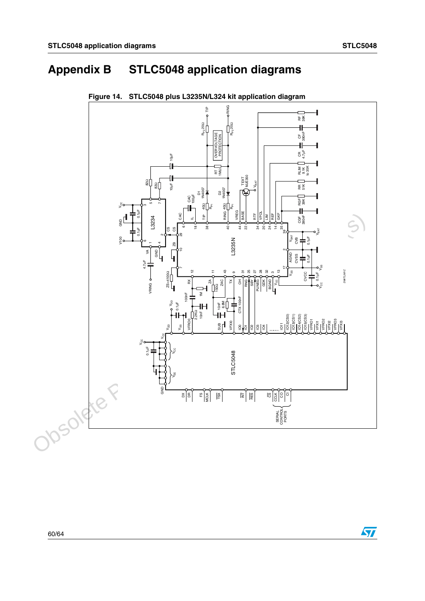# <span id="page-59-0"></span>**Appendix B STLC5048 application diagrams**



<span id="page-59-1"></span>**Figure 14. STLC5048 plus L3235N/L324 kit application diagram**



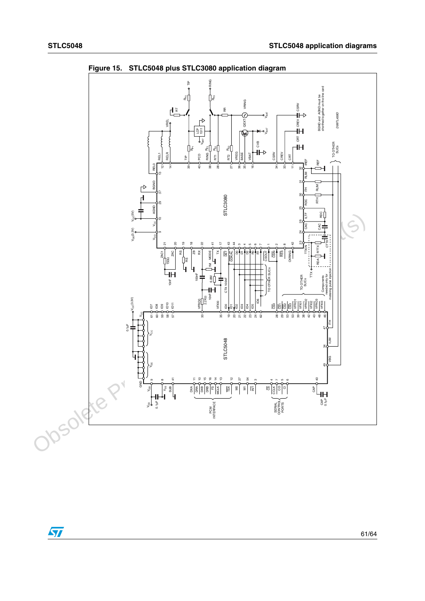

<span id="page-60-0"></span>**Figure 15. STLC5048 plus STLC3080 application diagram**

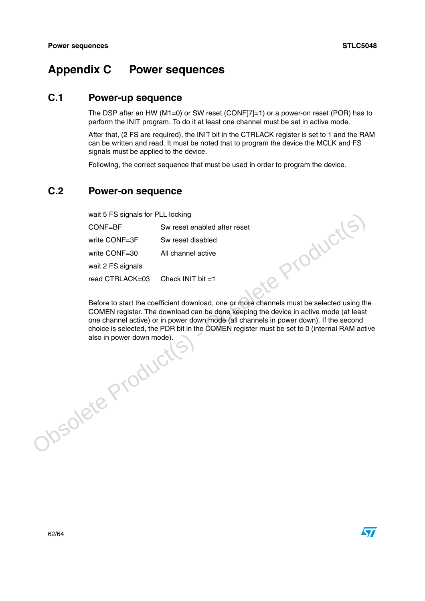## <span id="page-61-0"></span>**Appendix C Power sequences**

## <span id="page-61-1"></span>**C.1 Power-up sequence**

The DSP after an HW (M1=0) or SW reset (CONF[7]=1) or a power-on reset (POR) has to perform the INIT program. To do it at least one channel must be set in active mode.

After that, (2 FS are required), the INIT bit in the CTRLACK register is set to 1 and the RAM can be written and read. It must be noted that to program the device the MCLK and FS signals must be applied to the device.

Following, the correct sequence that must be used in order to program the device.

## <span id="page-61-2"></span>**C.2 Power-on sequence**

| wait 5 FS signals for PLL locking                                                         |  |  |  |  |  |  |
|-------------------------------------------------------------------------------------------|--|--|--|--|--|--|
| Sw reset enabled after reset                                                              |  |  |  |  |  |  |
| Sw reset disabled                                                                         |  |  |  |  |  |  |
| All channel active                                                                        |  |  |  |  |  |  |
|                                                                                           |  |  |  |  |  |  |
| Check INIT bit $=1$                                                                       |  |  |  |  |  |  |
|                                                                                           |  |  |  |  |  |  |
| Before to start the coefficient download, one or more channels must be selected using the |  |  |  |  |  |  |
|                                                                                           |  |  |  |  |  |  |

COMEN register. The download can be done keeping the device in active mode (at least one channel active) or in power down mode (all channels in power down). If the second choice is selected, the PDR bit in the COMEN register must be set to 0 (internal RAM active also in power down mode).

wait 5 FS signals for PLL locking<br>
CONF=BF<br>
Sw reset enabled after reset<br>
write CONF=30 SW reset of stahled<br>
write CONF=30 All channel active<br>
wait 2 FS signals<br>
read CTRLACK=03 Check INIT bit =1<br>
Before to start the coeff

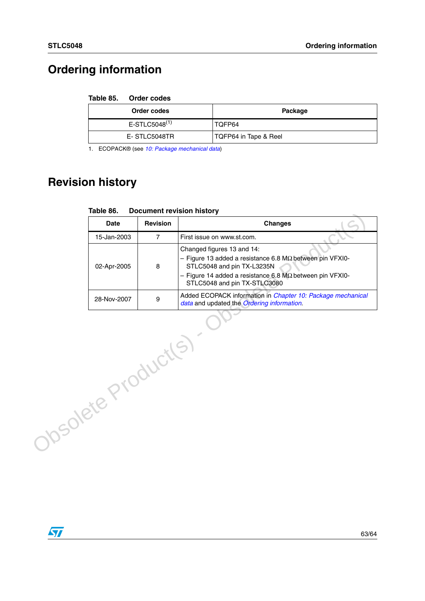# <span id="page-62-0"></span>**Ordering information**

#### <span id="page-62-2"></span>Table 85. **Order codes**

| Order codes         | Package               |
|---------------------|-----------------------|
| $E$ -STLC5048 $(1)$ | TOFP64                |
| E-STLC5048TR        | TQFP64 in Tape & Reel |

1. ECOPACK® (see [10: Package mechanical data](#page-56-0))

# <span id="page-62-1"></span>**Revision history**

|                   |                 | <u>Podamont revision motory</u>                                                                                                                                                                                                   |
|-------------------|-----------------|-----------------------------------------------------------------------------------------------------------------------------------------------------------------------------------------------------------------------------------|
| Date              | <b>Revision</b> | <b>Changes</b>                                                                                                                                                                                                                    |
| 15-Jan-2003       | $\overline{7}$  | First issue on www.st.com.                                                                                                                                                                                                        |
| 02-Apr-2005       | 8               | Changed figures 13 and 14:<br>$-$ Figure 13 added a resistance 6.8 M $\Omega$ between pin VFXI0-<br>STLC5048 and pin TX-L3235N<br>- Figure 14 added a resistance 6.8 $M\Omega$ between pin VFXI0-<br>STLC5048 and pin TX-STLC3080 |
| 28-Nov-2007       | 9               | Added ECOPACK information in Chapter 10: Package mechanical<br>data and updated the Ordering information.                                                                                                                         |
| vsolete Products, |                 |                                                                                                                                                                                                                                   |

<span id="page-62-3"></span>

| <b>Document revision history</b><br>Table 86. |
|-----------------------------------------------|
|-----------------------------------------------|